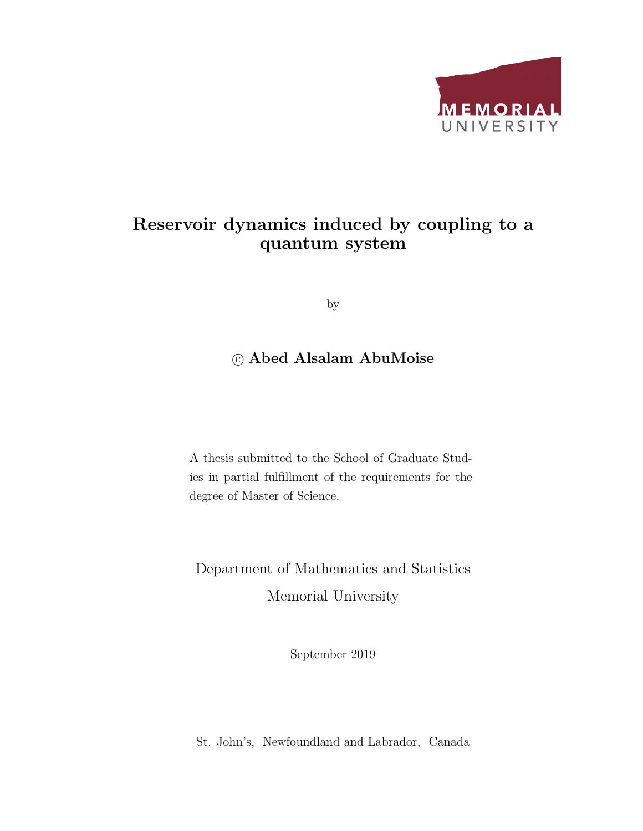

### Reservoir dynamics induced by coupling to a quantum system

by

### c Abed Alsalam AbuMoise

A thesis submitted to the School of Graduate Studies in partial fulfillment of the requirements for the degree of Master of Science.

Department of Mathematics and Statistics Memorial University

September 2019

St. John's, Newfoundland and Labrador, Canada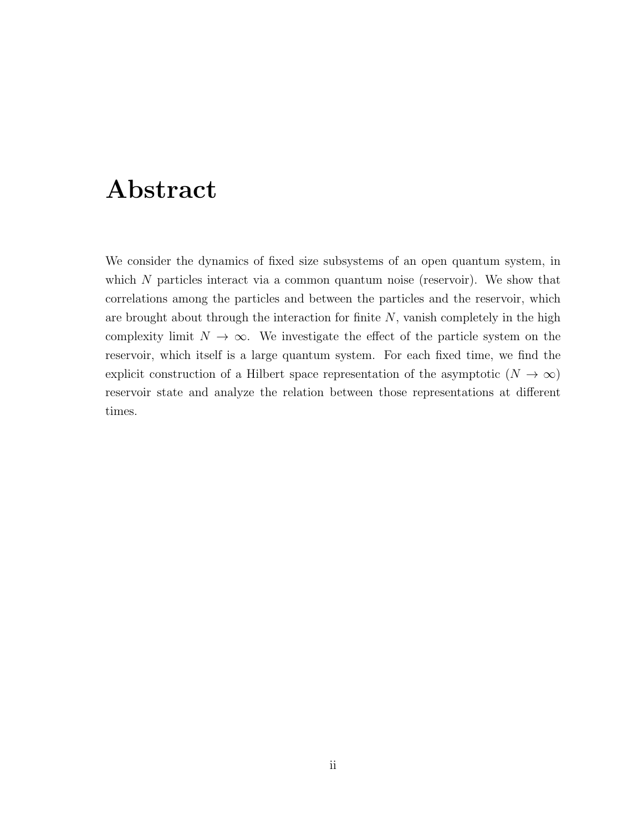## Abstract

We consider the dynamics of fixed size subsystems of an open quantum system, in which  $N$  particles interact via a common quantum noise (reservoir). We show that correlations among the particles and between the particles and the reservoir, which are brought about through the interaction for finite  $N$ , vanish completely in the high complexity limit  $N \to \infty$ . We investigate the effect of the particle system on the reservoir, which itself is a large quantum system. For each fixed time, we find the explicit construction of a Hilbert space representation of the asymptotic  $(N \to \infty)$ reservoir state and analyze the relation between those representations at different times.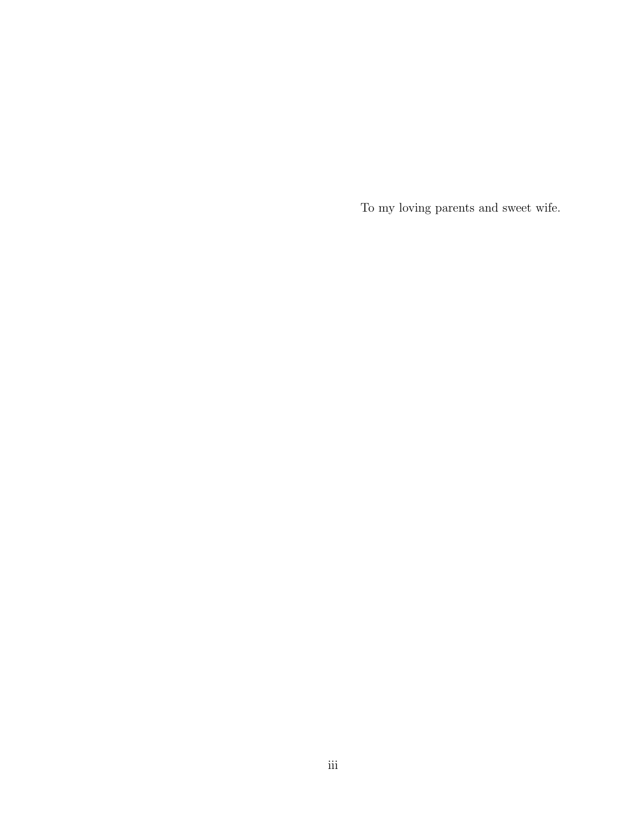To my loving parents and sweet wife.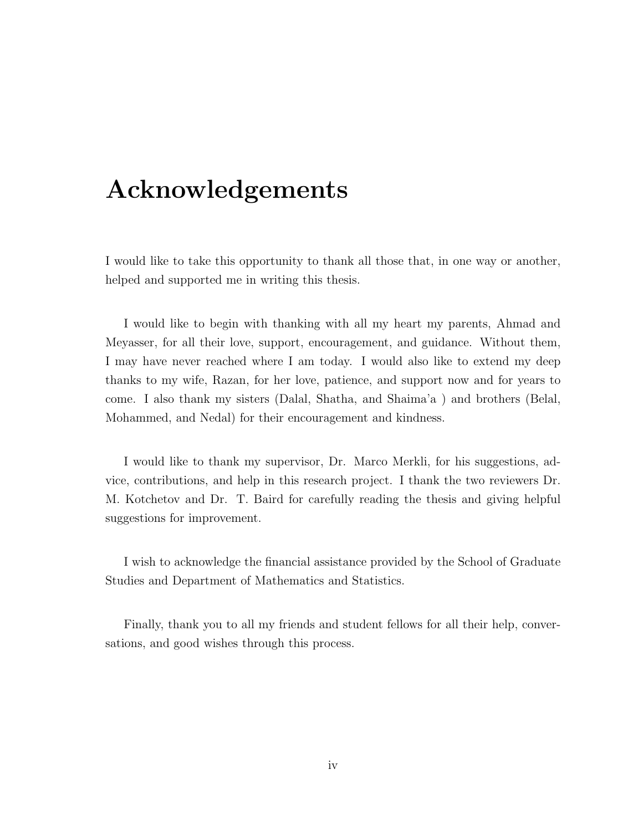## Acknowledgements

I would like to take this opportunity to thank all those that, in one way or another, helped and supported me in writing this thesis.

I would like to begin with thanking with all my heart my parents, Ahmad and Meyasser, for all their love, support, encouragement, and guidance. Without them, I may have never reached where I am today. I would also like to extend my deep thanks to my wife, Razan, for her love, patience, and support now and for years to come. I also thank my sisters (Dalal, Shatha, and Shaima'a ) and brothers (Belal, Mohammed, and Nedal) for their encouragement and kindness.

I would like to thank my supervisor, Dr. Marco Merkli, for his suggestions, advice, contributions, and help in this research project. I thank the two reviewers Dr. M. Kotchetov and Dr. T. Baird for carefully reading the thesis and giving helpful suggestions for improvement.

I wish to acknowledge the financial assistance provided by the School of Graduate Studies and Department of Mathematics and Statistics.

Finally, thank you to all my friends and student fellows for all their help, conversations, and good wishes through this process.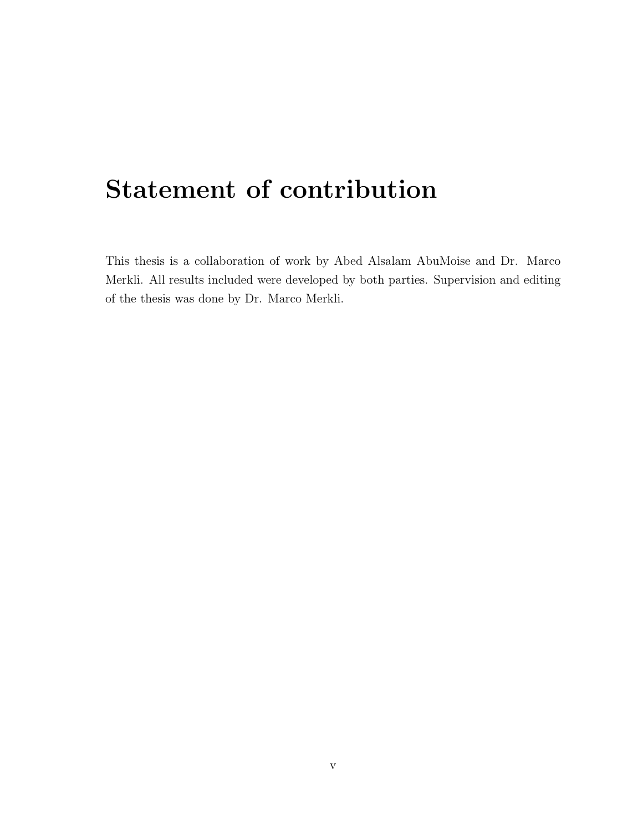## Statement of contribution

This thesis is a collaboration of work by Abed Alsalam AbuMoise and Dr. Marco Merkli. All results included were developed by both parties. Supervision and editing of the thesis was done by Dr. Marco Merkli.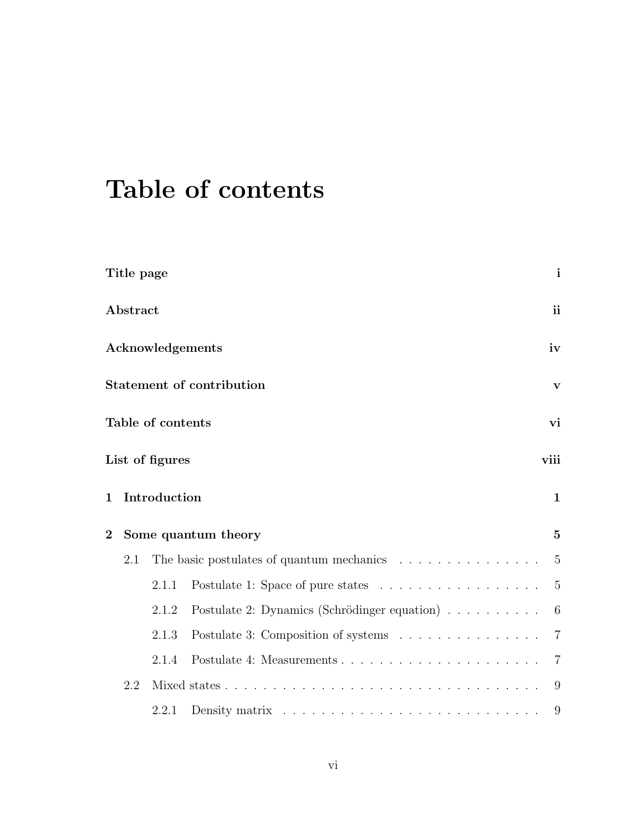# Table of contents

| Title page                       |                         |       | $\mathbf{i}$                                                                   |                                                                                    |                |  |  |  |  |  |  |  |
|----------------------------------|-------------------------|-------|--------------------------------------------------------------------------------|------------------------------------------------------------------------------------|----------------|--|--|--|--|--|--|--|
| ${\bf Abstract}$                 |                         |       | <i>ii</i>                                                                      |                                                                                    |                |  |  |  |  |  |  |  |
|                                  | <b>Acknowledgements</b> |       | iv                                                                             |                                                                                    |                |  |  |  |  |  |  |  |
| <b>Statement of contribution</b> |                         |       |                                                                                |                                                                                    |                |  |  |  |  |  |  |  |
|                                  | Table of contents       |       |                                                                                |                                                                                    |                |  |  |  |  |  |  |  |
|                                  | List of figures         |       |                                                                                |                                                                                    |                |  |  |  |  |  |  |  |
| 1                                | Introduction            |       |                                                                                |                                                                                    |                |  |  |  |  |  |  |  |
| $\overline{\mathbf{2}}$          |                         |       | Some quantum theory                                                            | $\mathbf{V}$<br>vi<br>viii<br>$\mathbf{1}$<br>$\bf{5}$<br>5<br>$\overline{5}$<br>6 |                |  |  |  |  |  |  |  |
|                                  | 2.1                     |       | The basic postulates of quantum mechanics $\ldots \ldots \ldots \ldots \ldots$ |                                                                                    |                |  |  |  |  |  |  |  |
|                                  |                         | 2.1.1 | Postulate 1: Space of pure states                                              |                                                                                    |                |  |  |  |  |  |  |  |
|                                  |                         | 2.1.2 | Postulate 2: Dynamics (Schrödinger equation)                                   |                                                                                    |                |  |  |  |  |  |  |  |
|                                  |                         | 2.1.3 | Postulate 3: Composition of systems                                            |                                                                                    | $\overline{7}$ |  |  |  |  |  |  |  |
|                                  |                         | 2.1.4 |                                                                                |                                                                                    | $\overline{7}$ |  |  |  |  |  |  |  |
|                                  | 2.2                     |       |                                                                                |                                                                                    | 9              |  |  |  |  |  |  |  |
|                                  |                         | 2.2.1 |                                                                                |                                                                                    | 9              |  |  |  |  |  |  |  |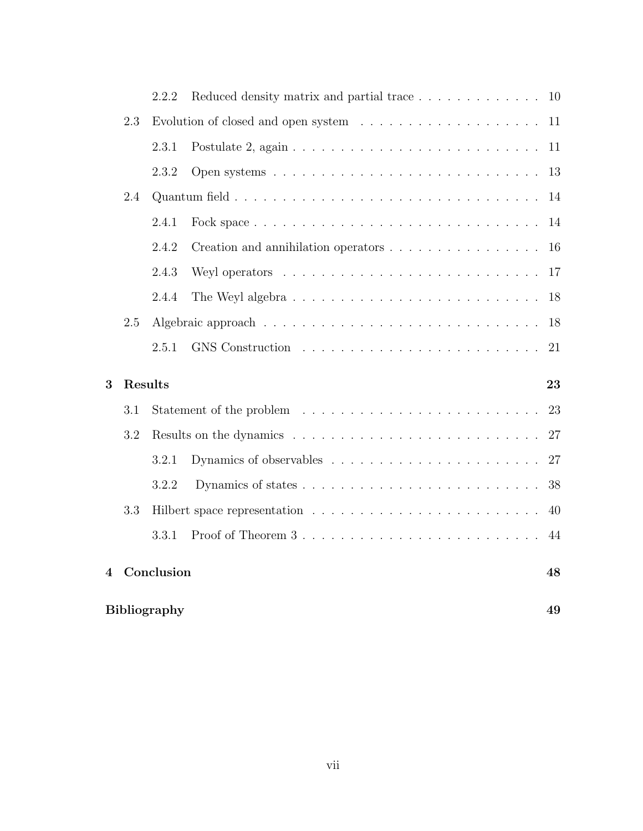|   |         | <b>Bibliography</b> |                                                                        | 49 |  |  |  |  |
|---|---------|---------------------|------------------------------------------------------------------------|----|--|--|--|--|
| 4 |         | Conclusion          |                                                                        | 48 |  |  |  |  |
|   |         | 3.3.1               |                                                                        | 44 |  |  |  |  |
|   | 3.3     |                     |                                                                        | 40 |  |  |  |  |
|   |         | 3.2.2               |                                                                        | 38 |  |  |  |  |
|   |         | 3.2.1               |                                                                        | 27 |  |  |  |  |
|   | 3.2     |                     |                                                                        |    |  |  |  |  |
|   | 3.1     |                     |                                                                        | 23 |  |  |  |  |
| 3 | Results |                     |                                                                        | 23 |  |  |  |  |
|   |         | 2.5.1               |                                                                        | 21 |  |  |  |  |
|   | 2.5     |                     |                                                                        | 18 |  |  |  |  |
|   |         | 2.4.4               |                                                                        | 18 |  |  |  |  |
|   |         | 2.4.3               |                                                                        | 17 |  |  |  |  |
|   |         | 2.4.2               | Creation and annihilation operators                                    | 16 |  |  |  |  |
|   |         | 2.4.1               |                                                                        | 14 |  |  |  |  |
|   | 2.4     |                     |                                                                        | 14 |  |  |  |  |
|   |         | 2.3.2               |                                                                        | 13 |  |  |  |  |
|   |         | 2.3.1               |                                                                        | 11 |  |  |  |  |
|   | 2.3     |                     |                                                                        | 11 |  |  |  |  |
|   |         | 2.2.2               | Reduced density matrix and partial trace $\ldots \ldots \ldots \ldots$ | 10 |  |  |  |  |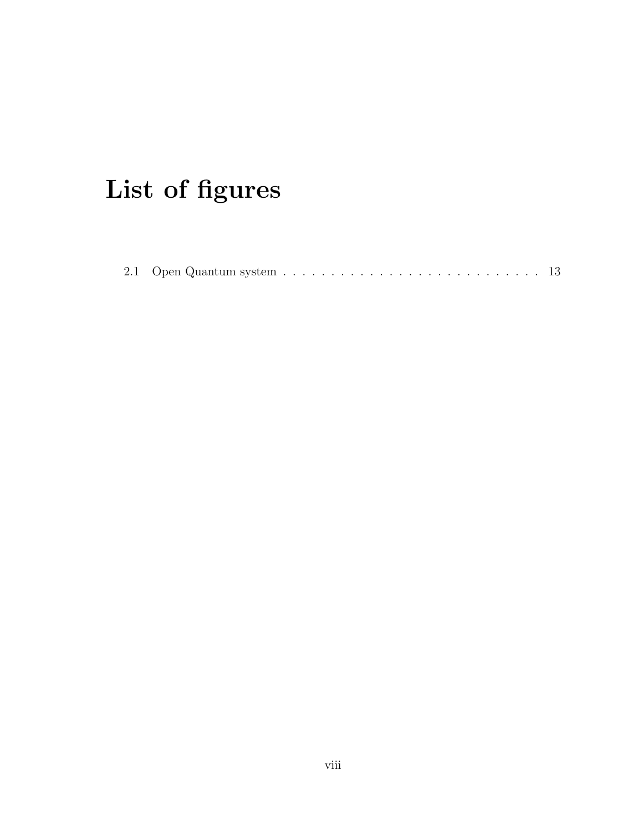# List of figures

|--|--|--|--|--|--|--|--|--|--|--|--|--|--|--|--|--|--|--|--|--|--|--|--|--|--|--|--|--|--|--|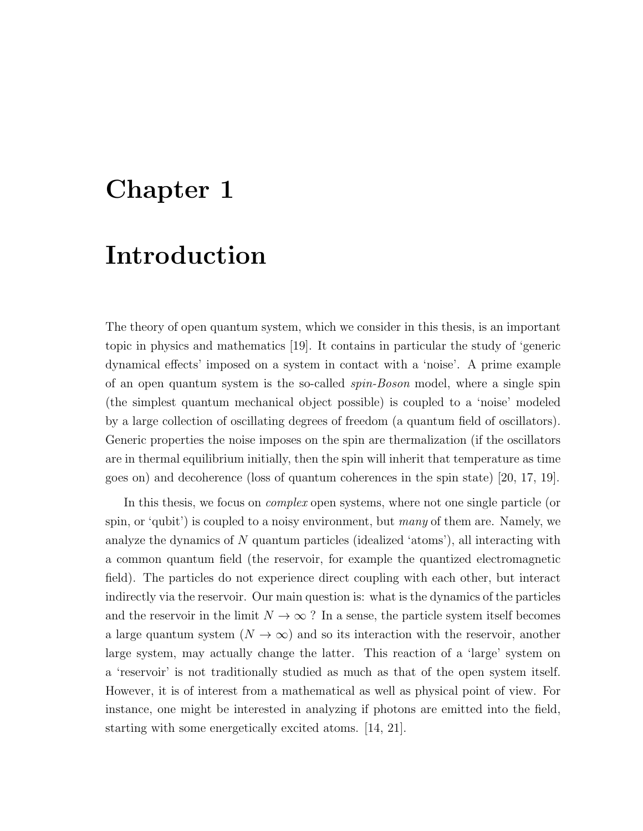## Chapter 1

## Introduction

The theory of open quantum system, which we consider in this thesis, is an important topic in physics and mathematics [19]. It contains in particular the study of 'generic dynamical effects' imposed on a system in contact with a 'noise'. A prime example of an open quantum system is the so-called spin-Boson model, where a single spin (the simplest quantum mechanical object possible) is coupled to a 'noise' modeled by a large collection of oscillating degrees of freedom (a quantum field of oscillators). Generic properties the noise imposes on the spin are thermalization (if the oscillators are in thermal equilibrium initially, then the spin will inherit that temperature as time goes on) and decoherence (loss of quantum coherences in the spin state) [20, 17, 19].

In this thesis, we focus on *complex* open systems, where not one single particle (or spin, or 'qubit') is coupled to a noisy environment, but many of them are. Namely, we analyze the dynamics of N quantum particles (idealized 'atoms'), all interacting with a common quantum field (the reservoir, for example the quantized electromagnetic field). The particles do not experience direct coupling with each other, but interact indirectly via the reservoir. Our main question is: what is the dynamics of the particles and the reservoir in the limit  $N \to \infty$ ? In a sense, the particle system itself becomes a large quantum system  $(N \to \infty)$  and so its interaction with the reservoir, another large system, may actually change the latter. This reaction of a 'large' system on a 'reservoir' is not traditionally studied as much as that of the open system itself. However, it is of interest from a mathematical as well as physical point of view. For instance, one might be interested in analyzing if photons are emitted into the field, starting with some energetically excited atoms. [14, 21].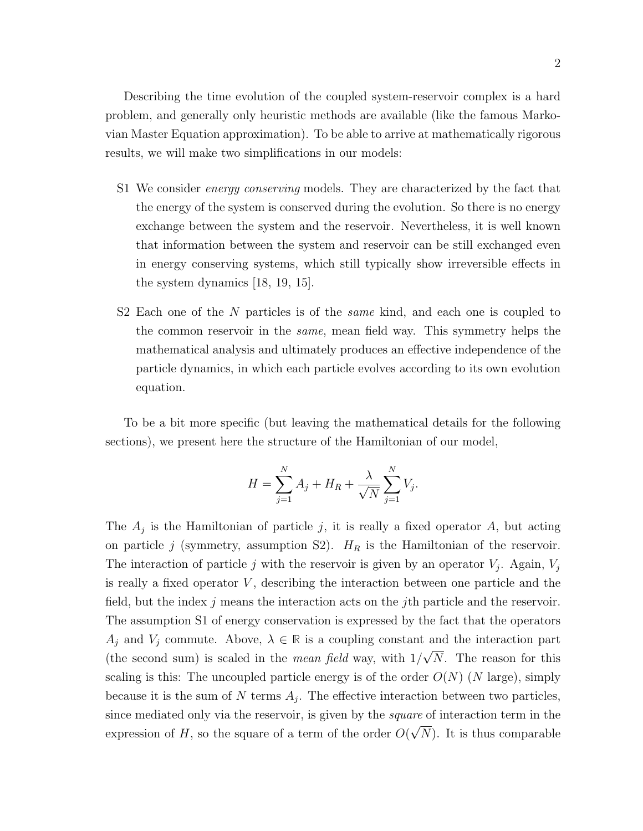Describing the time evolution of the coupled system-reservoir complex is a hard problem, and generally only heuristic methods are available (like the famous Markovian Master Equation approximation). To be able to arrive at mathematically rigorous results, we will make two simplifications in our models:

- S1 We consider energy conserving models. They are characterized by the fact that the energy of the system is conserved during the evolution. So there is no energy exchange between the system and the reservoir. Nevertheless, it is well known that information between the system and reservoir can be still exchanged even in energy conserving systems, which still typically show irreversible effects in the system dynamics [18, 19, 15].
- S2 Each one of the N particles is of the *same* kind, and each one is coupled to the common reservoir in the same, mean field way. This symmetry helps the mathematical analysis and ultimately produces an effective independence of the particle dynamics, in which each particle evolves according to its own evolution equation.

To be a bit more specific (but leaving the mathematical details for the following sections), we present here the structure of the Hamiltonian of our model,

$$
H = \sum_{j=1}^{N} A_j + H_R + \frac{\lambda}{\sqrt{N}} \sum_{j=1}^{N} V_j.
$$

The  $A_j$  is the Hamiltonian of particle j, it is really a fixed operator  $A$ , but acting on particle j (symmetry, assumption S2).  $H_R$  is the Hamiltonian of the reservoir. The interaction of particle j with the reservoir is given by an operator  $V_j$ . Again,  $V_j$ is really a fixed operator  $V$ , describing the interaction between one particle and the field, but the index  $j$  means the interaction acts on the j<sup>th</sup> particle and the reservoir. The assumption S1 of energy conservation is expressed by the fact that the operators  $A_j$  and  $V_j$  commute. Above,  $\lambda \in \mathbb{R}$  is a coupling constant and the interaction part (the second sum) is scaled in the *mean field* way, with  $1/\sqrt{N}$ . The reason for this scaling is this: The uncoupled particle energy is of the order  $O(N)$  (N large), simply because it is the sum of N terms  $A_j$ . The effective interaction between two particles, since mediated only via the reservoir, is given by the *square* of interaction term in the expression of H, so the square of a term of the order  $O(\sqrt{N})$ . It is thus comparable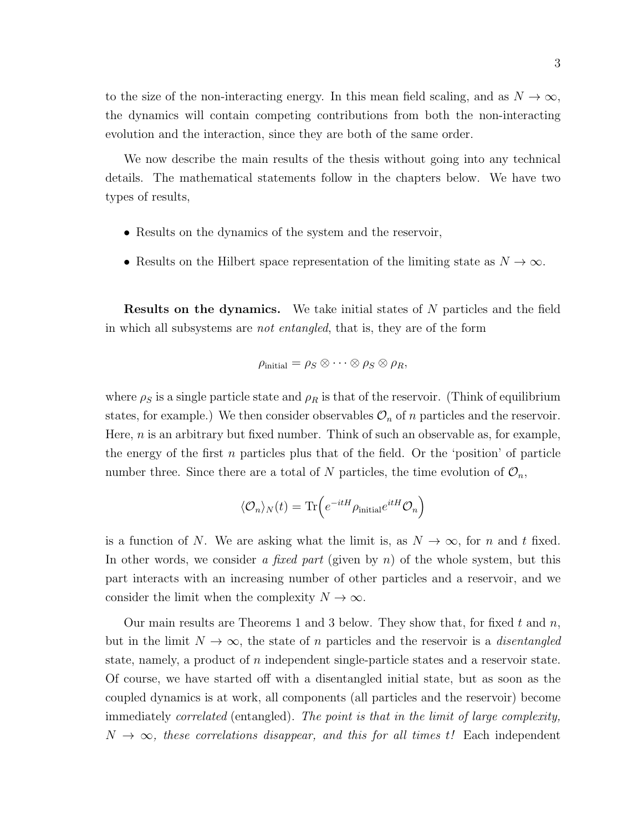to the size of the non-interacting energy. In this mean field scaling, and as  $N \to \infty$ , the dynamics will contain competing contributions from both the non-interacting evolution and the interaction, since they are both of the same order.

We now describe the main results of the thesis without going into any technical details. The mathematical statements follow in the chapters below. We have two types of results,

- Results on the dynamics of the system and the reservoir,
- Results on the Hilbert space representation of the limiting state as  $N \to \infty$ .

**Results on the dynamics.** We take initial states of N particles and the field in which all subsystems are not entangled, that is, they are of the form

$$
\rho_{\text{initial}} = \rho_S \otimes \cdots \otimes \rho_S \otimes \rho_R,
$$

where  $\rho_S$  is a single particle state and  $\rho_R$  is that of the reservoir. (Think of equilibrium states, for example.) We then consider observables  $\mathcal{O}_n$  of n particles and the reservoir. Here,  $n$  is an arbitrary but fixed number. Think of such an observable as, for example, the energy of the first  $n$  particles plus that of the field. Or the 'position' of particle number three. Since there are a total of N particles, the time evolution of  $\mathcal{O}_n$ ,

$$
\langle \mathcal{O}_n \rangle_N(t) = \text{Tr}\Big(e^{-itH}\rho_{\text{initial}}e^{itH}\mathcal{O}_n\Big)
$$

is a function of N. We are asking what the limit is, as  $N \to \infty$ , for n and t fixed. In other words, we consider a fixed part (given by  $n$ ) of the whole system, but this part interacts with an increasing number of other particles and a reservoir, and we consider the limit when the complexity  $N \to \infty$ .

Our main results are Theorems 1 and 3 below. They show that, for fixed  $t$  and  $n$ , but in the limit  $N \to \infty$ , the state of n particles and the reservoir is a *disentangled* state, namely, a product of  $n$  independent single-particle states and a reservoir state. Of course, we have started off with a disentangled initial state, but as soon as the coupled dynamics is at work, all components (all particles and the reservoir) become immediately correlated (entangled). The point is that in the limit of large complexity,  $N \to \infty$ , these correlations disappear, and this for all times t! Each independent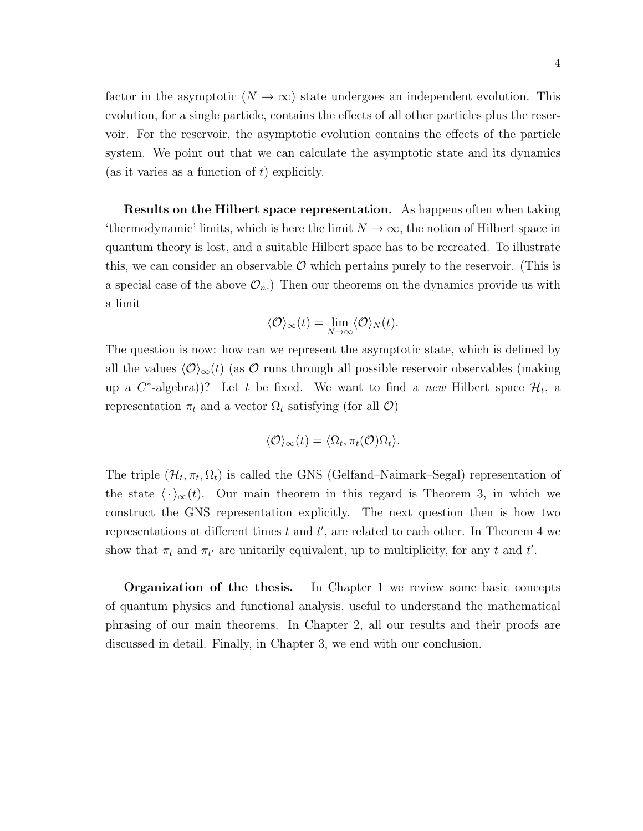factor in the asymptotic  $(N \to \infty)$  state undergoes an independent evolution. This evolution, for a single particle, contains the effects of all other particles plus the reservoir. For the reservoir, the asymptotic evolution contains the effects of the particle system. We point out that we can calculate the asymptotic state and its dynamics (as it varies as a function of  $t$ ) explicitly.

Results on the Hilbert space representation. As happens often when taking 'thermodynamic' limits, which is here the limit  $N \to \infty$ , the notion of Hilbert space in quantum theory is lost, and a suitable Hilbert space has to be recreated. To illustrate this, we can consider an observable  $\mathcal O$  which pertains purely to the reservoir. (This is a special case of the above  $\mathcal{O}_n$ .) Then our theorems on the dynamics provide us with a limit

$$
\langle \mathcal{O} \rangle_{\infty}(t) = \lim_{N \to \infty} \langle \mathcal{O} \rangle_N(t).
$$

The question is now: how can we represent the asymptotic state, which is defined by all the values  $\langle \mathcal{O}\rangle_{\infty}(t)$  (as  $\mathcal O$  runs through all possible reservoir observables (making up a  $C^*$ -algebra))? Let t be fixed. We want to find a new Hilbert space  $\mathcal{H}_t$ , a representation  $\pi_t$  and a vector  $\Omega_t$  satisfying (for all  $\mathcal{O}$ )

$$
\langle \mathcal{O} \rangle_{\infty}(t) = \langle \Omega_t, \pi_t(\mathcal{O}) \Omega_t \rangle.
$$

The triple  $(\mathcal{H}_t, \pi_t, \Omega_t)$  is called the GNS (Gelfand–Naimark–Segal) representation of the state  $\langle \cdot \rangle_{\infty}(t)$ . Our main theorem in this regard is Theorem 3, in which we construct the GNS representation explicitly. The next question then is how two representations at different times  $t$  and  $t'$ , are related to each other. In Theorem 4 we show that  $\pi_t$  and  $\pi_{t'}$  are unitarily equivalent, up to multiplicity, for any t and t'.

**Organization of the thesis.** In Chapter 1 we review some basic concepts of quantum physics and functional analysis, useful to understand the mathematical phrasing of our main theorems. In Chapter 2, all our results and their proofs are discussed in detail. Finally, in Chapter 3, we end with our conclusion.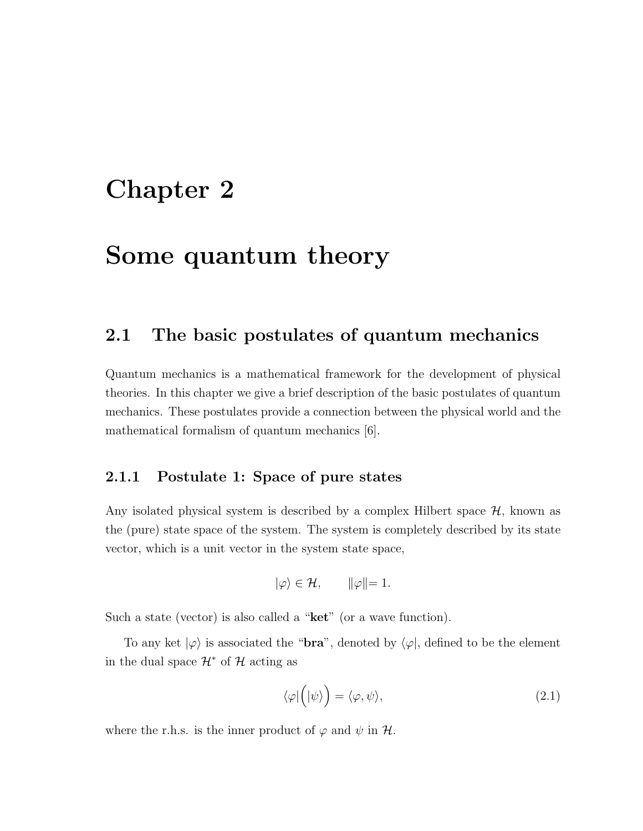## Chapter 2

## Some quantum theory

### 2.1 The basic postulates of quantum mechanics

Quantum mechanics is a mathematical framework for the development of physical theories. In this chapter we give a brief description of the basic postulates of quantum mechanics. These postulates provide a connection between the physical world and the mathematical formalism of quantum mechanics [6].

#### 2.1.1 Postulate 1: Space of pure states

Any isolated physical system is described by a complex Hilbert space  $H$ , known as the (pure) state space of the system. The system is completely described by its state vector, which is a unit vector in the system state space,

$$
|\varphi\rangle \in \mathcal{H}, \qquad ||\varphi|| = 1.
$$

Such a state (vector) is also called a " $\text{ket}$ " (or a wave function).

To any ket  $|\varphi\rangle$  is associated the "**bra**", denoted by  $\langle \varphi |$ , defined to be the element in the dual space  $\mathcal{H}^*$  of  $\mathcal{H}$  acting as

$$
\langle \varphi | \Big( | \psi \rangle \Big) = \langle \varphi, \psi \rangle, \tag{2.1}
$$

where the r.h.s. is the inner product of  $\varphi$  and  $\psi$  in  $\mathcal{H}$ .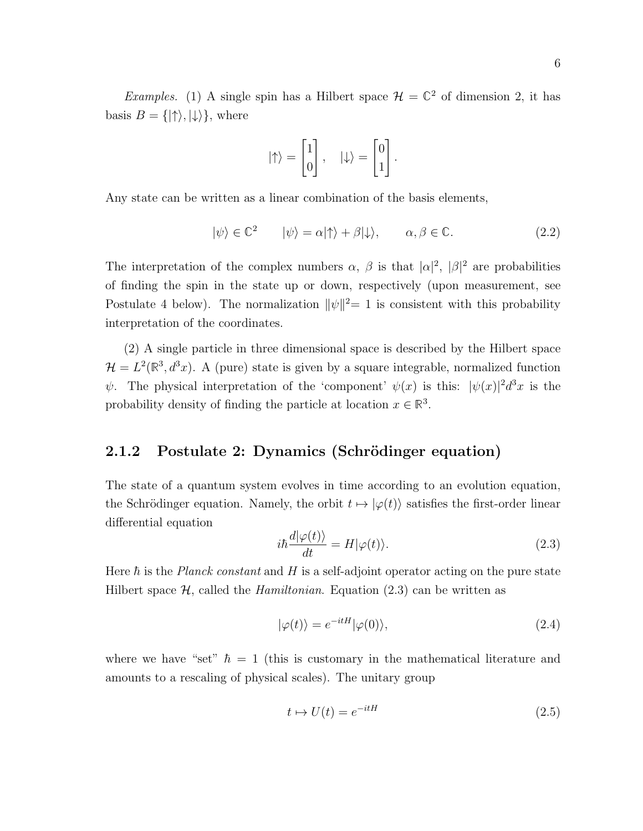*Examples.* (1) A single spin has a Hilbert space  $\mathcal{H} = \mathbb{C}^2$  of dimension 2, it has basis  $B = \{ | \uparrow \rangle, | \downarrow \rangle \}$ , where

$$
|\!\uparrow\rangle = \begin{bmatrix} 1 \\ 0 \end{bmatrix}, \quad |\!\downarrow\rangle = \begin{bmatrix} 0 \\ 1 \end{bmatrix}.
$$

Any state can be written as a linear combination of the basis elements,

$$
|\psi\rangle \in \mathbb{C}^2 \qquad |\psi\rangle = \alpha|\uparrow\rangle + \beta|\downarrow\rangle, \qquad \alpha, \beta \in \mathbb{C}.\tag{2.2}
$$

The interpretation of the complex numbers  $\alpha$ ,  $\beta$  is that  $|\alpha|^2$ ,  $|\beta|^2$  are probabilities of finding the spin in the state up or down, respectively (upon measurement, see Postulate 4 below). The normalization  $\|\psi\|^2 = 1$  is consistent with this probability interpretation of the coordinates.

(2) A single particle in three dimensional space is described by the Hilbert space  $\mathcal{H} = L^2(\mathbb{R}^3, d^3x)$ . A (pure) state is given by a square integrable, normalized function  $\psi$ . The physical interpretation of the 'component'  $\psi(x)$  is this:  $|\psi(x)|^2 d^3x$  is the probability density of finding the particle at location  $x \in \mathbb{R}^3$ .

#### 2.1.2 Postulate 2: Dynamics (Schrödinger equation)

The state of a quantum system evolves in time according to an evolution equation, the Schrödinger equation. Namely, the orbit  $t \mapsto |\varphi(t)\rangle$  satisfies the first-order linear differential equation

$$
i\hbar \frac{d|\varphi(t)\rangle}{dt} = H|\varphi(t)\rangle.
$$
\n(2.3)

Here  $\hbar$  is the *Planck constant* and H is a self-adjoint operator acting on the pure state Hilbert space  $\mathcal{H}$ , called the *Hamiltonian*. Equation (2.3) can be written as

$$
|\varphi(t)\rangle = e^{-itH}|\varphi(0)\rangle,\tag{2.4}
$$

where we have "set"  $\hbar = 1$  (this is customary in the mathematical literature and amounts to a rescaling of physical scales). The unitary group

$$
t \mapsto U(t) = e^{-itH} \tag{2.5}
$$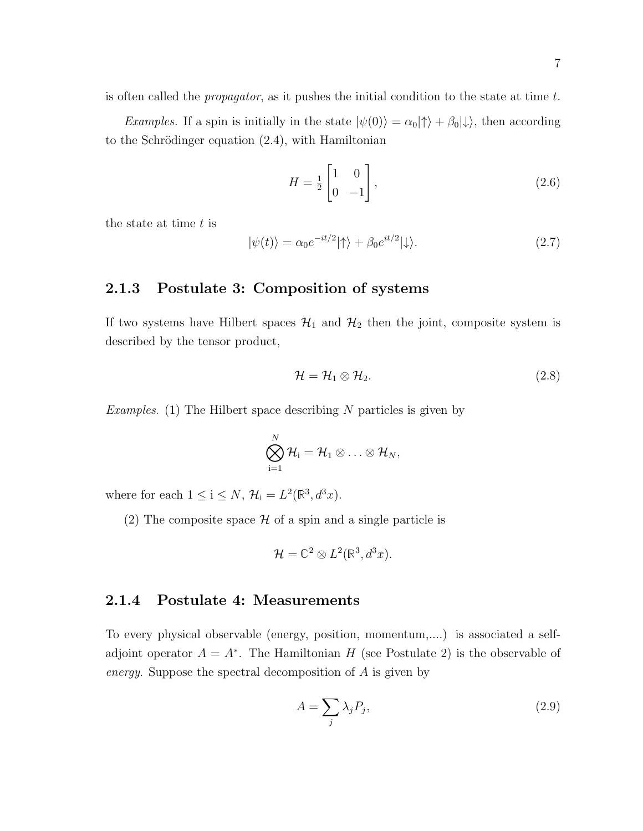is often called the propagator, as it pushes the initial condition to the state at time t.

Examples. If a spin is initially in the state  $|\psi(0)\rangle = \alpha_0|\uparrow\rangle + \beta_0|\downarrow\rangle$ , then according to the Schrödinger equation  $(2.4)$ , with Hamiltonian

$$
H = \frac{1}{2} \begin{bmatrix} 1 & 0 \\ 0 & -1 \end{bmatrix},\tag{2.6}
$$

the state at time  $t$  is

$$
|\psi(t)\rangle = \alpha_0 e^{-it/2} |\uparrow\rangle + \beta_0 e^{it/2} |\downarrow\rangle. \tag{2.7}
$$

#### 2.1.3 Postulate 3: Composition of systems

If two systems have Hilbert spaces  $\mathcal{H}_1$  and  $\mathcal{H}_2$  then the joint, composite system is described by the tensor product,

$$
\mathcal{H} = \mathcal{H}_1 \otimes \mathcal{H}_2. \tag{2.8}
$$

Examples. (1) The Hilbert space describing N particles is given by

$$
\bigotimes_{i=1}^N \mathcal{H}_i = \mathcal{H}_1 \otimes \ldots \otimes \mathcal{H}_N,
$$

where for each  $1 \leq i \leq N$ ,  $\mathcal{H}_i = L^2(\mathbb{R}^3, d^3x)$ .

(2) The composite space  $\mathcal H$  of a spin and a single particle is

$$
\mathcal{H} = \mathbb{C}^2 \otimes L^2(\mathbb{R}^3, d^3x).
$$

#### 2.1.4 Postulate 4: Measurements

To every physical observable (energy, position, momentum,....) is associated a selfadjoint operator  $A = A^*$ . The Hamiltonian H (see Postulate 2) is the observable of energy. Suppose the spectral decomposition of A is given by

$$
A = \sum_{j} \lambda_j P_j,\tag{2.9}
$$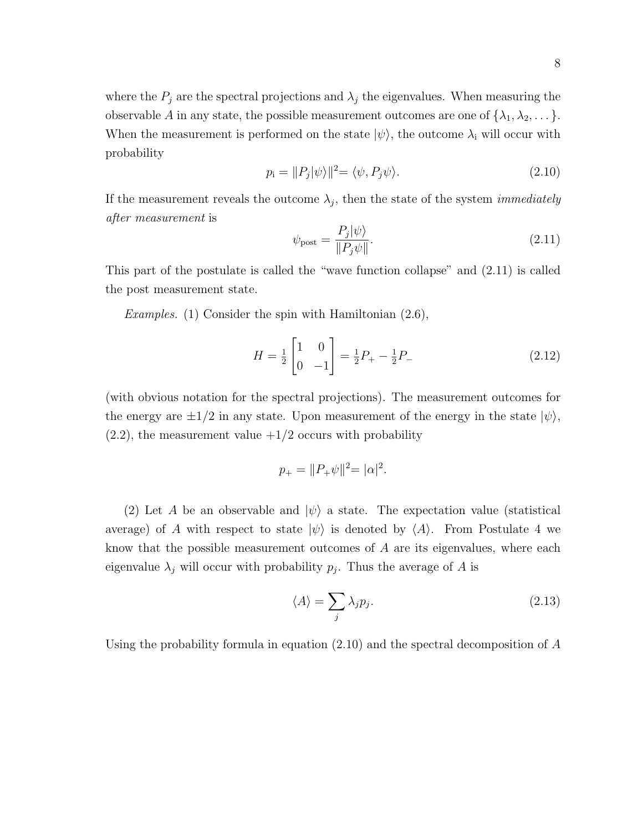where the  $P_j$  are the spectral projections and  $\lambda_j$  the eigenvalues. When measuring the observable A in any state, the possible measurement outcomes are one of  $\{\lambda_1, \lambda_2, \dots\}$ . When the measurement is performed on the state  $|\psi\rangle$ , the outcome  $\lambda_i$  will occur with probability

$$
p_{\rm i} = ||P_j|\psi\rangle||^2 = \langle \psi, P_j\psi \rangle. \tag{2.10}
$$

If the measurement reveals the outcome  $\lambda_j$ , then the state of the system *immediately* after measurement is

$$
\psi_{\text{post}} = \frac{P_j |\psi\rangle}{\|P_j \psi\|}.
$$
\n(2.11)

This part of the postulate is called the "wave function collapse" and (2.11) is called the post measurement state.

*Examples.* (1) Consider the spin with Hamiltonian  $(2.6)$ ,

$$
H = \frac{1}{2} \begin{bmatrix} 1 & 0 \\ 0 & -1 \end{bmatrix} = \frac{1}{2} P_{+} - \frac{1}{2} P_{-}
$$
 (2.12)

(with obvious notation for the spectral projections). The measurement outcomes for the energy are  $\pm 1/2$  in any state. Upon measurement of the energy in the state  $|\psi\rangle$ ,  $(2.2)$ , the measurement value  $+1/2$  occurs with probability

$$
p_{+} = ||P_{+}\psi||^{2} = |\alpha|^{2}.
$$

(2) Let A be an observable and  $|\psi\rangle$  a state. The expectation value (statistical average) of A with respect to state  $|\psi\rangle$  is denoted by  $\langle A \rangle$ . From Postulate 4 we know that the possible measurement outcomes of A are its eigenvalues, where each eigenvalue  $\lambda_j$  will occur with probability  $p_j$ . Thus the average of A is

$$
\langle A \rangle = \sum_{j} \lambda_j p_j. \tag{2.13}
$$

Using the probability formula in equation (2.10) and the spectral decomposition of A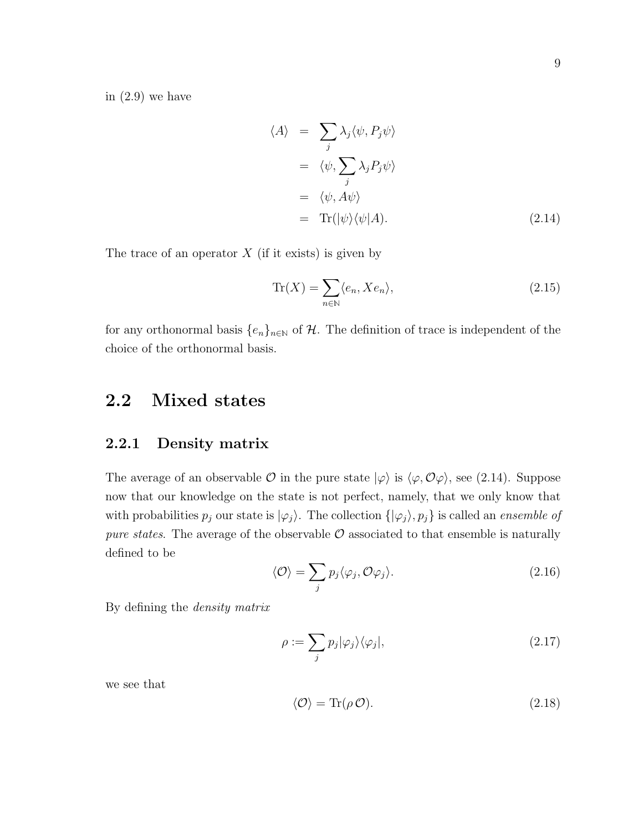in (2.9) we have

$$
\langle A \rangle = \sum_{j} \lambda_{j} \langle \psi, P_{j} \psi \rangle
$$
  
=  $\langle \psi, \sum_{j} \lambda_{j} P_{j} \psi \rangle$   
=  $\langle \psi, A \psi \rangle$   
= Tr( $|\psi \rangle \langle \psi | A$ ). (2.14)

The trace of an operator  $X$  (if it exists) is given by

$$
\operatorname{Tr}(X) = \sum_{n \in \mathbb{N}} \langle e_n, X e_n \rangle,\tag{2.15}
$$

for any orthonormal basis  $\{e_n\}_{n\in\mathbb{N}}$  of H. The definition of trace is independent of the choice of the orthonormal basis.

### 2.2 Mixed states

#### 2.2.1 Density matrix

The average of an observable  $\mathcal O$  in the pure state  $|\varphi\rangle$  is  $\langle \varphi, \mathcal O\varphi\rangle$ , see (2.14). Suppose now that our knowledge on the state is not perfect, namely, that we only know that with probabilities  $p_j$  our state is  $|\varphi_j\rangle$ . The collection  $\{|\varphi_j\rangle, p_j\}$  is called an *ensemble of* pure states. The average of the observable  $\mathcal O$  associated to that ensemble is naturally defined to be

$$
\langle \mathcal{O} \rangle = \sum_{j} p_j \langle \varphi_j, \mathcal{O} \varphi_j \rangle. \tag{2.16}
$$

By defining the density matrix

$$
\rho := \sum_{j} p_j |\varphi_j\rangle\langle\varphi_j|,\tag{2.17}
$$

we see that

$$
\langle \mathcal{O} \rangle = \text{Tr}(\rho \mathcal{O}). \tag{2.18}
$$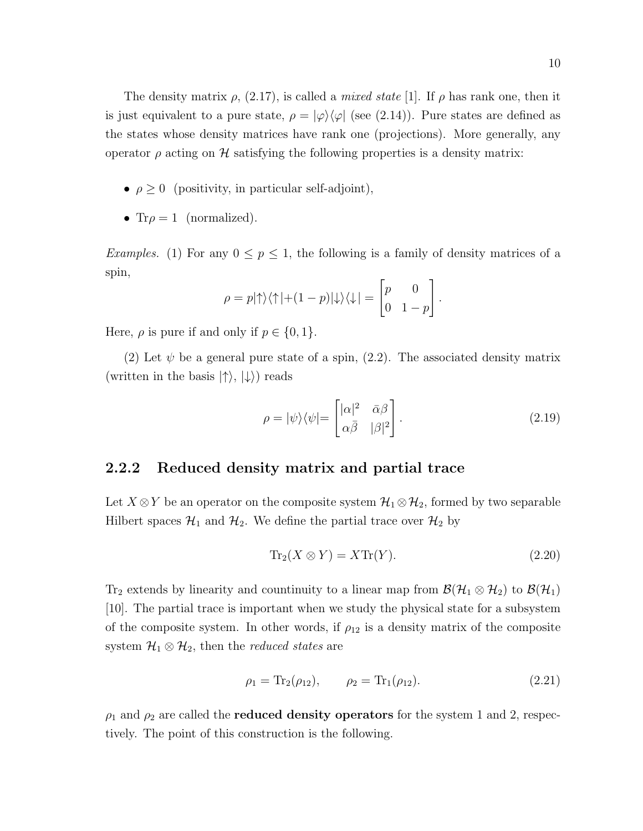The density matrix  $\rho$ , (2.17), is called a *mixed state* [1]. If  $\rho$  has rank one, then it is just equivalent to a pure state,  $\rho = |\varphi\rangle\langle\varphi|$  (see (2.14)). Pure states are defined as the states whose density matrices have rank one (projections). More generally, any operator  $\rho$  acting on H satisfying the following properties is a density matrix:

- $\rho \geq 0$  (positivity, in particular self-adjoint),
- Tr $\rho = 1$  (normalized).

Examples. (1) For any  $0 \le p \le 1$ , the following is a family of density matrices of a spin,

$$
\rho = p|\!\uparrow\rangle\langle\uparrow| + (1-p)|\downarrow\rangle\langle\downarrow| = \begin{bmatrix} p & 0 \\ 0 & 1-p \end{bmatrix}.
$$

Here,  $\rho$  is pure if and only if  $p \in \{0, 1\}$ .

(2) Let  $\psi$  be a general pure state of a spin, (2.2). The associated density matrix (written in the basis  $|\uparrow\rangle, |\downarrow\rangle$ ) reads

$$
\rho = |\psi\rangle\langle\psi| = \begin{bmatrix} |\alpha|^2 & \bar{\alpha}\beta \\ \alpha\bar{\beta} & |\beta|^2 \end{bmatrix} . \tag{2.19}
$$

#### 2.2.2 Reduced density matrix and partial trace

Let  $X \otimes Y$  be an operator on the composite system  $\mathcal{H}_1 \otimes \mathcal{H}_2$ , formed by two separable Hilbert spaces  $\mathcal{H}_1$  and  $\mathcal{H}_2$ . We define the partial trace over  $\mathcal{H}_2$  by

$$
\operatorname{Tr}_2(X \otimes Y) = X \operatorname{Tr}(Y). \tag{2.20}
$$

Tr<sub>2</sub> extends by linearity and countinuity to a linear map from  $\mathcal{B}(\mathcal{H}_1 \otimes \mathcal{H}_2)$  to  $\mathcal{B}(\mathcal{H}_1)$ [10]. The partial trace is important when we study the physical state for a subsystem of the composite system. In other words, if  $\rho_{12}$  is a density matrix of the composite system  $\mathcal{H}_1 \otimes \mathcal{H}_2$ , then the *reduced states* are

$$
\rho_1 = \text{Tr}_2(\rho_{12}), \qquad \rho_2 = \text{Tr}_1(\rho_{12}). \tag{2.21}
$$

 $\rho_1$  and  $\rho_2$  are called the **reduced density operators** for the system 1 and 2, respectively. The point of this construction is the following.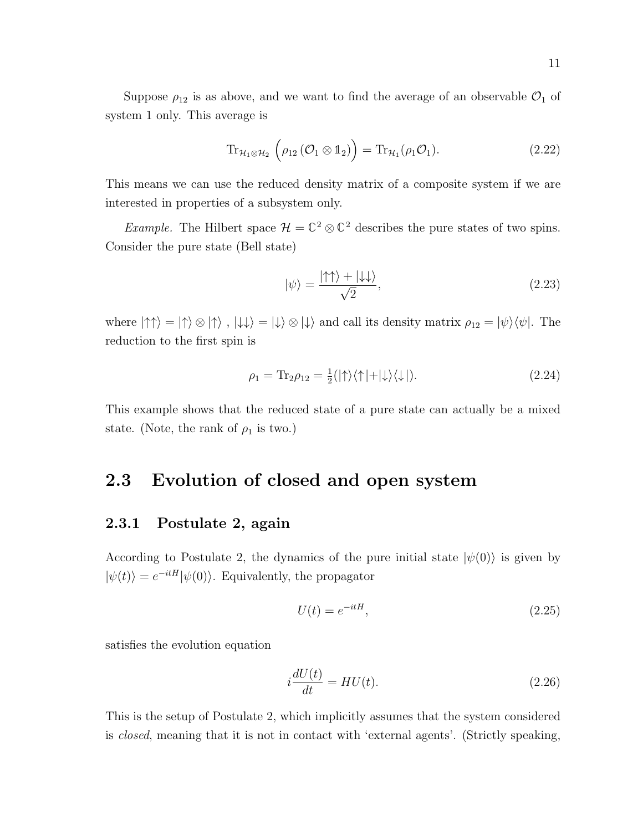Suppose  $\rho_{12}$  is as above, and we want to find the average of an observable  $\mathcal{O}_1$  of system 1 only. This average is

$$
\operatorname{Tr}_{\mathcal{H}_1 \otimes \mathcal{H}_2} \left( \rho_{12} \left( \mathcal{O}_1 \otimes \mathbb{1}_2 \right) \right) = \operatorname{Tr}_{\mathcal{H}_1}(\rho_1 \mathcal{O}_1). \tag{2.22}
$$

This means we can use the reduced density matrix of a composite system if we are interested in properties of a subsystem only.

*Example*. The Hilbert space  $\mathcal{H} = \mathbb{C}^2 \otimes \mathbb{C}^2$  describes the pure states of two spins. Consider the pure state (Bell state)

$$
|\psi\rangle = \frac{|\!\uparrow\uparrow\rangle + |\!\downarrow\downarrow\rangle}{\sqrt{2}},\tag{2.23}
$$

where  $|\uparrow \uparrow \rangle = |\uparrow \rangle \otimes |\uparrow \rangle$ ,  $|\downarrow \downarrow \rangle = |\downarrow \rangle \otimes |\downarrow \rangle$  and call its density matrix  $\rho_{12} = |\psi \rangle \langle \psi|$ . The reduction to the first spin is

$$
\rho_1 = \text{Tr}_2 \rho_{12} = \frac{1}{2} (|\uparrow\rangle\langle\uparrow| + |\downarrow\rangle\langle\downarrow|). \tag{2.24}
$$

This example shows that the reduced state of a pure state can actually be a mixed state. (Note, the rank of  $\rho_1$  is two.)

### 2.3 Evolution of closed and open system

#### 2.3.1 Postulate 2, again

According to Postulate 2, the dynamics of the pure initial state  $|\psi(0)\rangle$  is given by  $|\psi(t)\rangle = e^{-itH}|\psi(0)\rangle$ . Equivalently, the propagator

$$
U(t) = e^{-itH},\tag{2.25}
$$

satisfies the evolution equation

$$
i\frac{dU(t)}{dt} = HU(t). \tag{2.26}
$$

This is the setup of Postulate 2, which implicitly assumes that the system considered is closed, meaning that it is not in contact with 'external agents'. (Strictly speaking,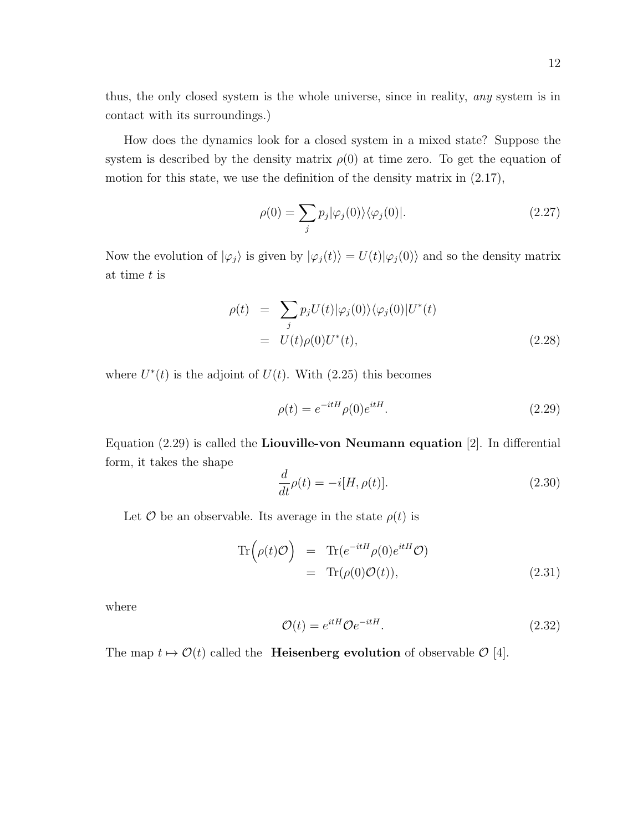thus, the only closed system is the whole universe, since in reality, any system is in contact with its surroundings.)

How does the dynamics look for a closed system in a mixed state? Suppose the system is described by the density matrix  $\rho(0)$  at time zero. To get the equation of motion for this state, we use the definition of the density matrix in (2.17),

$$
\rho(0) = \sum_{j} p_j |\varphi_j(0)\rangle \langle \varphi_j(0)|. \tag{2.27}
$$

Now the evolution of  $|\varphi_j\rangle$  is given by  $|\varphi_j(t)\rangle = U(t)|\varphi_j(0)\rangle$  and so the density matrix at time t is

$$
\rho(t) = \sum_{j} p_j U(t) |\varphi_j(0)\rangle \langle \varphi_j(0)| U^*(t)
$$
  
= 
$$
U(t) \rho(0) U^*(t),
$$
 (2.28)

where  $U^*(t)$  is the adjoint of  $U(t)$ . With (2.25) this becomes

$$
\rho(t) = e^{-itH}\rho(0)e^{itH}.\tag{2.29}
$$

Equation (2.29) is called the Liouville-von Neumann equation [2]. In differential form, it takes the shape

$$
\frac{d}{dt}\rho(t) = -i[H, \rho(t)].
$$
\n(2.30)

Let  $\mathcal O$  be an observable. Its average in the state  $\rho(t)$  is

$$
\operatorname{Tr}\left(\rho(t)\mathcal{O}\right) = \operatorname{Tr}(e^{-itH}\rho(0)e^{itH}\mathcal{O})
$$
  
=  $\operatorname{Tr}(\rho(0)\mathcal{O}(t)),$  (2.31)

where

$$
\mathcal{O}(t) = e^{itH}\mathcal{O}e^{-itH}.\tag{2.32}
$$

The map  $t \mapsto \mathcal{O}(t)$  called the **Heisenberg evolution** of observable  $\mathcal{O}$  [4].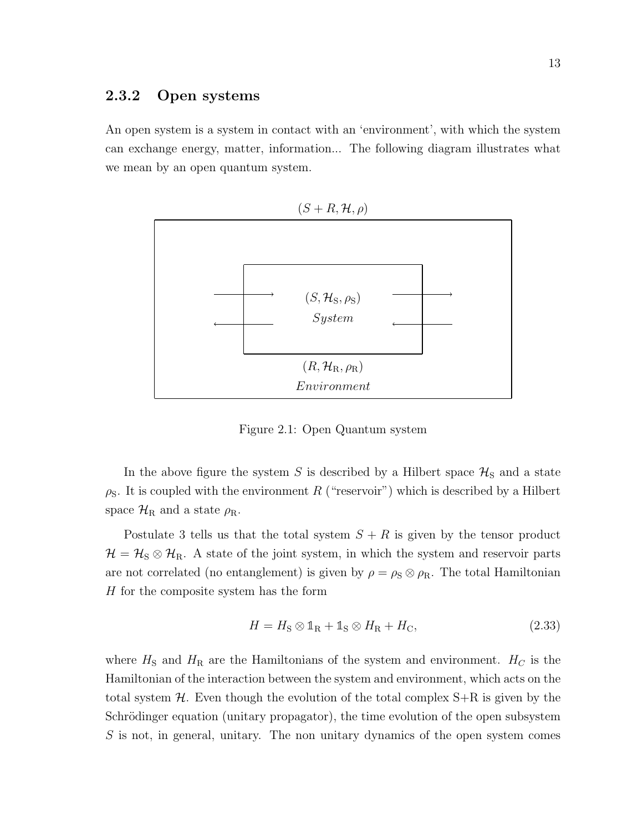#### 2.3.2 Open systems

An open system is a system in contact with an 'environment', with which the system can exchange energy, matter, information... The following diagram illustrates what we mean by an open quantum system.

$$
(S+R,\mathcal{H},\rho)
$$



Figure 2.1: Open Quantum system

In the above figure the system S is described by a Hilbert space  $\mathcal{H}_S$  and a state  $\rho_{\rm S}$ . It is coupled with the environment R ("reservoir") which is described by a Hilbert space  $\mathcal{H}_R$  and a state  $\rho_R$ .

Postulate 3 tells us that the total system  $S + R$  is given by the tensor product  $\mathcal{H} = \mathcal{H}_{\rm S} \otimes \mathcal{H}_{\rm R}$ . A state of the joint system, in which the system and reservoir parts are not correlated (no entanglement) is given by  $\rho = \rho_S \otimes \rho_R$ . The total Hamiltonian H for the composite system has the form

$$
H = H_{\rm S} \otimes \mathbb{1}_{\rm R} + \mathbb{1}_{\rm S} \otimes H_{\rm R} + H_{\rm C},\tag{2.33}
$$

where  $H<sub>S</sub>$  and  $H<sub>R</sub>$  are the Hamiltonians of the system and environment.  $H<sub>C</sub>$  is the Hamiltonian of the interaction between the system and environment, which acts on the total system  $H$ . Even though the evolution of the total complex  $S+R$  is given by the Schrödinger equation (unitary propagator), the time evolution of the open subsystem S is not, in general, unitary. The non unitary dynamics of the open system comes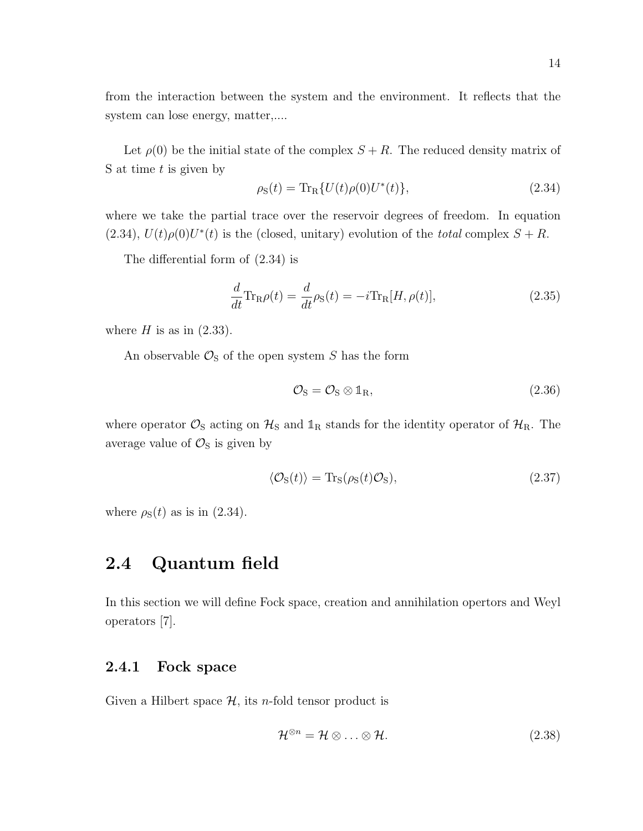from the interaction between the system and the environment. It reflects that the system can lose energy, matter,....

Let  $\rho(0)$  be the initial state of the complex  $S + R$ . The reduced density matrix of S at time  $t$  is given by

$$
\rho_{\rm S}(t) = {\rm Tr}_{\rm R} \{ U(t) \rho(0) U^*(t) \},\tag{2.34}
$$

where we take the partial trace over the reservoir degrees of freedom. In equation  $(2.34)$ ,  $U(t)\rho(0)U^*(t)$  is the (closed, unitary) evolution of the total complex  $S + R$ .

The differential form of (2.34) is

$$
\frac{d}{dt}\text{Tr}_{\text{R}}\rho(t) = \frac{d}{dt}\rho_{\text{S}}(t) = -i\text{Tr}_{\text{R}}[H,\rho(t)],\tag{2.35}
$$

where  $H$  is as in  $(2.33)$ .

An observable  $\mathcal{O}_S$  of the open system S has the form

$$
\mathcal{O}_S = \mathcal{O}_S \otimes \mathbb{1}_R,\tag{2.36}
$$

where operator  $\mathcal{O}_S$  acting on  $\mathcal{H}_S$  and  $\mathbb{1}_R$  stands for the identity operator of  $\mathcal{H}_R$ . The average value of  $\mathcal{O}_S$  is given by

$$
\langle \mathcal{O}_{S}(t) \rangle = \text{Tr}_{S}(\rho_{S}(t)\mathcal{O}_{S}), \tag{2.37}
$$

where  $\rho_{\rm S}(t)$  as is in (2.34).

### 2.4 Quantum field

In this section we will define Fock space, creation and annihilation opertors and Weyl operators [7].

#### 2.4.1 Fock space

Given a Hilbert space  $\mathcal{H}$ , its *n*-fold tensor product is

$$
\mathcal{H}^{\otimes n} = \mathcal{H} \otimes \ldots \otimes \mathcal{H}.
$$
 (2.38)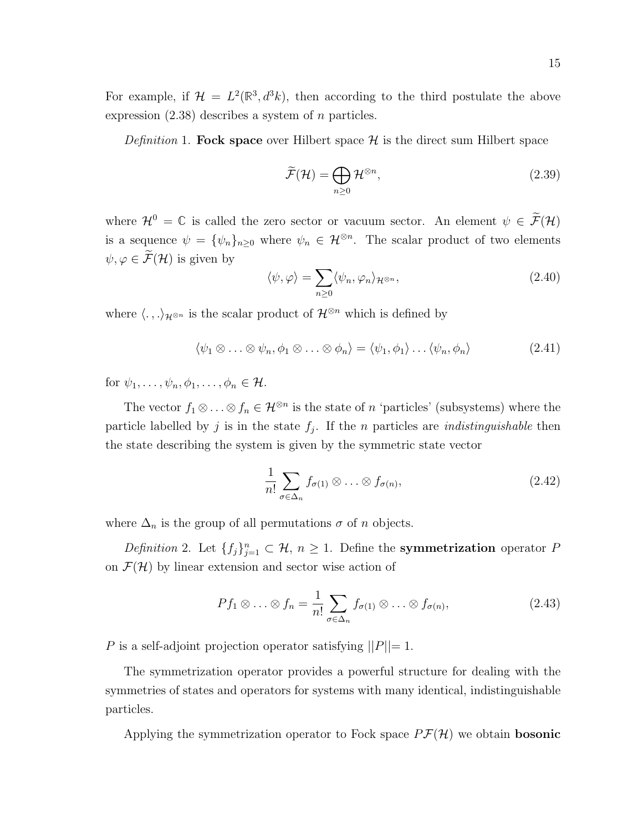15

For example, if  $\mathcal{H} = L^2(\mathbb{R}^3, d^3k)$ , then according to the third postulate the above expression  $(2.38)$  describes a system of *n* particles.

*Definition* 1. Fock space over Hilbert space  $\mathcal{H}$  is the direct sum Hilbert space

$$
\widetilde{\mathcal{F}}(\mathcal{H}) = \bigoplus_{n \ge 0} \mathcal{H}^{\otimes n},\tag{2.39}
$$

where  $\mathcal{H}^0 = \mathbb{C}$  is called the zero sector or vacuum sector. An element  $\psi \in \widetilde{\mathcal{F}}(\mathcal{H})$ is a sequence  $\psi = {\psi_n}_{n\geq 0}$  where  $\psi_n \in \mathcal{H}^{\otimes n}$ . The scalar product of two elements  $\psi, \varphi \in \widetilde{\mathcal{F}}(\mathcal{H})$  is given by

$$
\langle \psi, \varphi \rangle = \sum_{n \ge 0} \langle \psi_n, \varphi_n \rangle_{\mathcal{H}^{\otimes n}},\tag{2.40}
$$

where  $\langle . , . \rangle_{\mathcal{H}^{\otimes n}}$  is the scalar product of  $\mathcal{H}^{\otimes n}$  which is defined by

$$
\langle \psi_1 \otimes \ldots \otimes \psi_n, \phi_1 \otimes \ldots \otimes \phi_n \rangle = \langle \psi_1, \phi_1 \rangle \ldots \langle \psi_n, \phi_n \rangle \tag{2.41}
$$

for  $\psi_1, \ldots, \psi_n, \phi_1, \ldots, \phi_n \in \mathcal{H}$ .

The vector  $f_1 \otimes \ldots \otimes f_n \in \mathcal{H}^{\otimes n}$  is the state of n 'particles' (subsystems) where the particle labelled by j is in the state  $f_j$ . If the n particles are *indistinguishable* then the state describing the system is given by the symmetric state vector

$$
\frac{1}{n!} \sum_{\sigma \in \Delta_n} f_{\sigma(1)} \otimes \ldots \otimes f_{\sigma(n)}, \tag{2.42}
$$

where  $\Delta_n$  is the group of all permutations  $\sigma$  of n objects.

Definition 2. Let  $\{f_j\}_{j=1}^n \subset \mathcal{H}$ ,  $n \geq 1$ . Define the **symmetrization** operator P on  $\mathcal{F}(\mathcal{H})$  by linear extension and sector wise action of

$$
Pf_1 \otimes \ldots \otimes f_n = \frac{1}{n!} \sum_{\sigma \in \Delta_n} f_{\sigma(1)} \otimes \ldots \otimes f_{\sigma(n)}, \qquad (2.43)
$$

P is a self-adjoint projection operator satisfying  $||P||=1$ .

The symmetrization operator provides a powerful structure for dealing with the symmetries of states and operators for systems with many identical, indistinguishable particles.

Applying the symmetrization operator to Fock space  $P\mathcal{F}(\mathcal{H})$  we obtain **bosonic**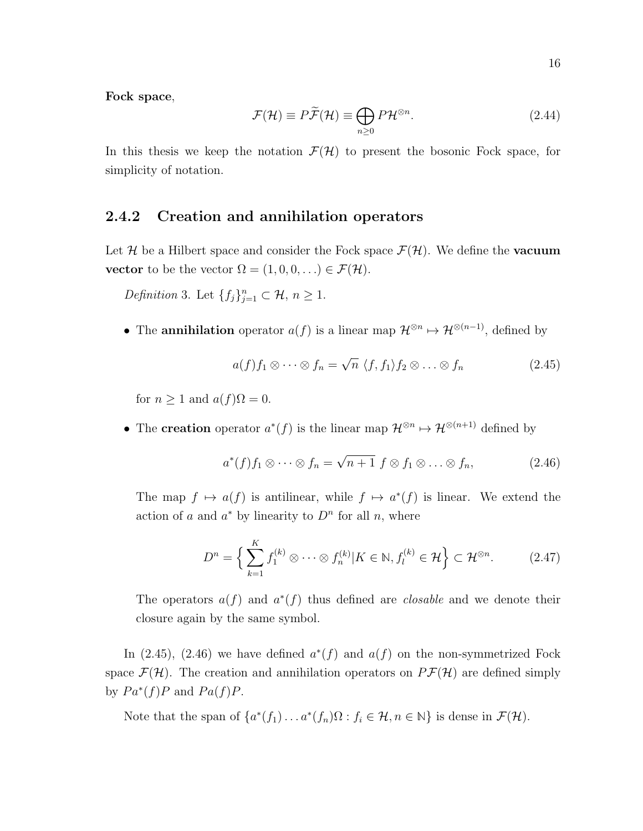Fock space,

$$
\mathcal{F}(\mathcal{H}) \equiv P\widetilde{\mathcal{F}}(\mathcal{H}) \equiv \bigoplus_{n \ge 0} P\mathcal{H}^{\otimes n}.
$$
 (2.44)

In this thesis we keep the notation  $\mathcal{F}(\mathcal{H})$  to present the bosonic Fock space, for simplicity of notation.

#### 2.4.2 Creation and annihilation operators

Let H be a Hilbert space and consider the Fock space  $\mathcal{F}(\mathcal{H})$ . We define the **vacuum** vector to be the vector  $\Omega = (1, 0, 0, \ldots) \in \mathcal{F}(\mathcal{H})$ .

*Definition* 3. Let  $\{f_j\}_{j=1}^n \subset \mathcal{H}, n \geq 1$ .

• The **annihilation** operator  $a(f)$  is a linear map  $\mathcal{H}^{\otimes n} \mapsto \mathcal{H}^{\otimes (n-1)}$ , defined by

$$
a(f)f_1 \otimes \cdots \otimes f_n = \sqrt{n} \langle f, f_1 \rangle f_2 \otimes \ldots \otimes f_n \qquad (2.45)
$$

for  $n \geq 1$  and  $a(f)\Omega = 0$ .

• The creation operator  $a^*(f)$  is the linear map  $\mathcal{H}^{\otimes n} \mapsto \mathcal{H}^{\otimes (n+1)}$  defined by

$$
a^*(f)f_1\otimes\cdots\otimes f_n=\sqrt{n+1} f\otimes f_1\otimes\ldots\otimes f_n,
$$
 (2.46)

The map  $f \mapsto a(f)$  is antilinear, while  $f \mapsto a^*(f)$  is linear. We extend the action of a and  $a^*$  by linearity to  $D^n$  for all n, where

$$
D^{n} = \left\{ \sum_{k=1}^{K} f_1^{(k)} \otimes \cdots \otimes f_n^{(k)} | K \in \mathbb{N}, f_l^{(k)} \in \mathcal{H} \right\} \subset \mathcal{H}^{\otimes n}.
$$
 (2.47)

The operators  $a(f)$  and  $a^*(f)$  thus defined are *closable* and we denote their closure again by the same symbol.

In (2.45), (2.46) we have defined  $a^*(f)$  and  $a(f)$  on the non-symmetrized Fock space  $\mathcal{F}(\mathcal{H})$ . The creation and annihilation operators on  $P\mathcal{F}(\mathcal{H})$  are defined simply by  $Pa^*(f)P$  and  $Pa(f)P$ .

Note that the span of  $\{a^*(f_1)\dots a^*(f_n)\Omega : f_i \in \mathcal{H}, n \in \mathbb{N}\}\)$  is dense in  $\mathcal{F}(\mathcal{H})$ .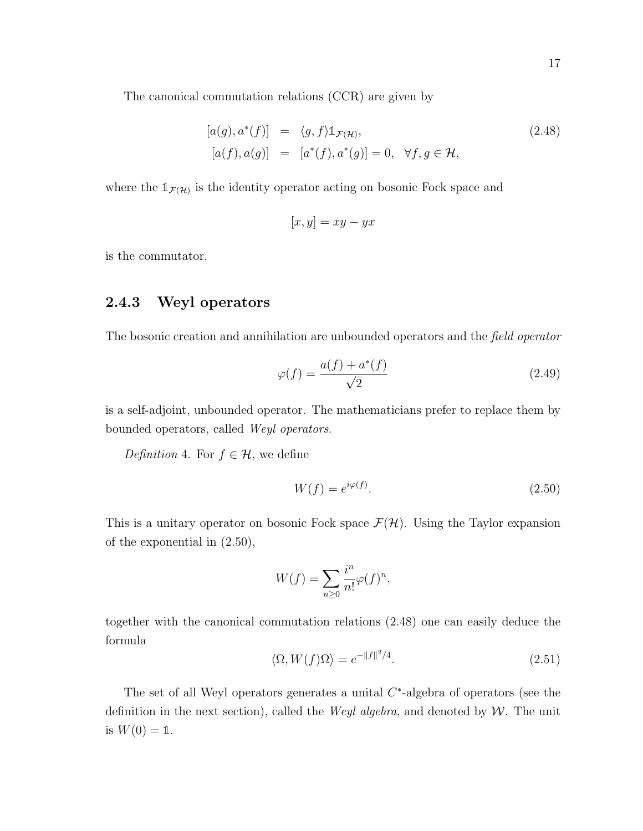The canonical commutation relations (CCR) are given by

$$
[a(g), a^*(f)] = \langle g, f \rangle \mathbb{1}_{\mathcal{F}(\mathcal{H})},
$$
  
\n
$$
[a(f), a(g)] = [a^*(f), a^*(g)] = 0, \quad \forall f, g \in \mathcal{H},
$$
\n(2.48)

where the  $1_{\mathcal{F}(\mathcal{H})}$  is the identity operator acting on bosonic Fock space and

$$
[x, y] = xy - yx
$$

is the commutator.

### 2.4.3 Weyl operators

The bosonic creation and annihilation are unbounded operators and the field operator

$$
\varphi(f) = \frac{a(f) + a^*(f)}{\sqrt{2}}\tag{2.49}
$$

is a self-adjoint, unbounded operator. The mathematicians prefer to replace them by bounded operators, called Weyl operators.

Definition 4. For  $f \in \mathcal{H}$ , we define

$$
W(f) = e^{i\varphi(f)}.\t(2.50)
$$

This is a unitary operator on bosonic Fock space  $\mathcal{F}(\mathcal{H})$ . Using the Taylor expansion of the exponential in (2.50),

$$
W(f) = \sum_{n\geq 0} \frac{i^n}{n!} \varphi(f)^n,
$$

together with the canonical commutation relations (2.48) one can easily deduce the formula

$$
\langle \Omega, W(f) \Omega \rangle = e^{-\|f\|^2/4}.
$$
\n(2.51)

The set of all Weyl operators generates a unital  $C^*$ -algebra of operators (see the definition in the next section), called the *Weyl algebra*, and denoted by  $W$ . The unit is  $W(0) = 1$ .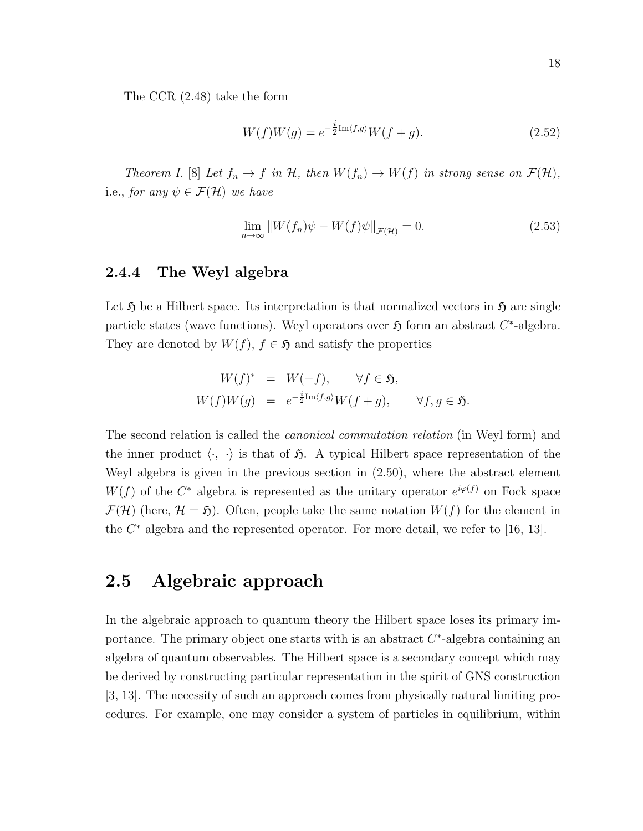The CCR (2.48) take the form

$$
W(f)W(g) = e^{-\frac{i}{2} \text{Im}\langle f,g \rangle} W(f+g).
$$
\n(2.52)

Theorem I. [8] Let  $f_n \to f$  in H, then  $W(f_n) \to W(f)$  in strong sense on  $\mathcal{F}(\mathcal{H})$ , i.e., for any  $\psi \in \mathcal{F}(\mathcal{H})$  we have

$$
\lim_{n \to \infty} ||W(f_n)\psi - W(f)\psi||_{\mathcal{F}(\mathcal{H})} = 0.
$$
\n(2.53)

#### 2.4.4 The Weyl algebra

Let  $\mathfrak H$  be a Hilbert space. Its interpretation is that normalized vectors in  $\mathfrak H$  are single particle states (wave functions). Weyl operators over  $\mathfrak{H}$  form an abstract  $C^*$ -algebra. They are denoted by  $W(f)$ ,  $f \in \mathfrak{H}$  and satisfy the properties

$$
W(f)^* = W(-f), \quad \forall f \in \mathfrak{H},
$$
  

$$
W(f)W(g) = e^{-\frac{i}{2}\text{Im}\langle f,g \rangle}W(f+g), \quad \forall f, g \in \mathfrak{H}.
$$

The second relation is called the canonical commutation relation (in Weyl form) and the inner product  $\langle \cdot, \cdot \rangle$  is that of  $\mathfrak{H}$ . A typical Hilbert space representation of the Weyl algebra is given in the previous section in (2.50), where the abstract element  $W(f)$  of the  $C^*$  algebra is represented as the unitary operator  $e^{i\varphi(f)}$  on Fock space  $\mathcal{F}(\mathcal{H})$  (here,  $\mathcal{H} = \mathfrak{H}$ ). Often, people take the same notation  $W(f)$  for the element in the  $C^*$  algebra and the represented operator. For more detail, we refer to [16, 13].

### 2.5 Algebraic approach

In the algebraic approach to quantum theory the Hilbert space loses its primary importance. The primary object one starts with is an abstract  $C^*$ -algebra containing an algebra of quantum observables. The Hilbert space is a secondary concept which may be derived by constructing particular representation in the spirit of GNS construction [3, 13]. The necessity of such an approach comes from physically natural limiting procedures. For example, one may consider a system of particles in equilibrium, within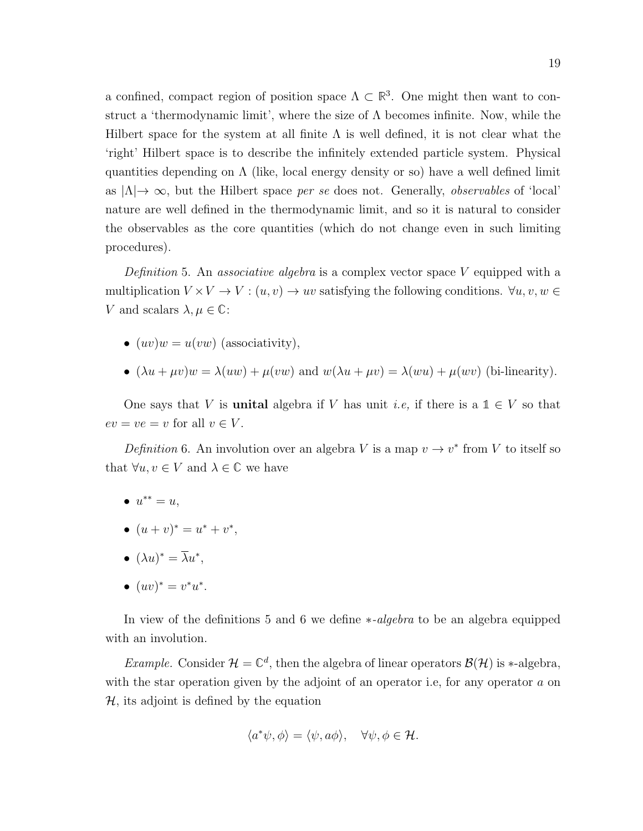a confined, compact region of position space  $\Lambda \subset \mathbb{R}^3$ . One might then want to construct a 'thermodynamic limit', where the size of  $\Lambda$  becomes infinite. Now, while the Hilbert space for the system at all finite  $\Lambda$  is well defined, it is not clear what the 'right' Hilbert space is to describe the infinitely extended particle system. Physical quantities depending on  $\Lambda$  (like, local energy density or so) have a well defined limit as  $|\Lambda| \to \infty$ , but the Hilbert space per se does not. Generally, *observables* of 'local' nature are well defined in the thermodynamic limit, and so it is natural to consider the observables as the core quantities (which do not change even in such limiting procedures).

Definition 5. An associative algebra is a complex vector space V equipped with a multiplication  $V \times V \to V : (u, v) \to uv$  satisfying the following conditions.  $\forall u, v, w \in$ V and scalars  $\lambda, \mu \in \mathbb{C}$ :

- $(uv)w = u(vw)$  (associativity),
- $(\lambda u + \mu v)w = \lambda(uw) + \mu(vw)$  and  $w(\lambda u + \mu v) = \lambda(wu) + \mu(wv)$  (bi-linearity).

One says that V is **unital** algebra if V has unit *i.e*, if there is a  $\mathbb{1} \in V$  so that  $ev = ve = v$  for all  $v \in V$ .

Definition 6. An involution over an algebra V is a map  $v \to v^*$  from V to itself so that  $\forall u, v \in V$  and  $\lambda \in \mathbb{C}$  we have

- $u^{**} = u,$
- $(u + v)^* = u^* + v^*$ ,
- $(\lambda u)^* = \overline{\lambda} u^*,$
- $(uv)^* = v^*u^*.$

In view of the definitions 5 and 6 we define ∗-algebra to be an algebra equipped with an involution.

Example. Consider  $\mathcal{H} = \mathbb{C}^d$ , then the algebra of linear operators  $\mathcal{B}(\mathcal{H})$  is \*-algebra, with the star operation given by the adjoint of an operator i.e, for any operator a on  $H$ , its adjoint is defined by the equation

$$
\langle a^*\psi, \phi \rangle = \langle \psi, a\phi \rangle, \quad \forall \psi, \phi \in \mathcal{H}.
$$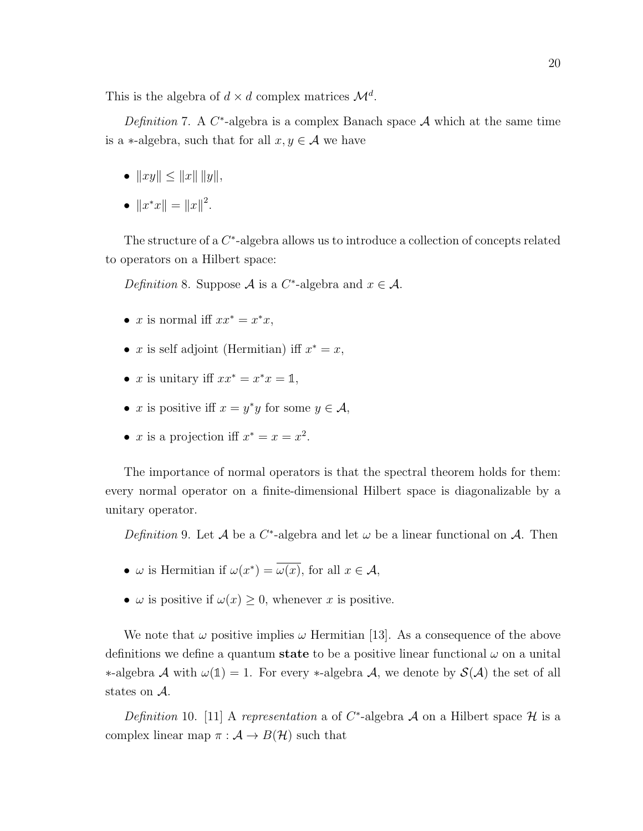This is the algebra of  $d \times d$  complex matrices  $\mathcal{M}^d$ .

Definition 7. A  $C^*$ -algebra is a complex Banach space A which at the same time is a ∗-algebra, such that for all  $x, y \in A$  we have

- $||xy|| \le ||x|| \, ||y||,$
- $||x^*x|| = ||x||^2$ .

The structure of a  $C^*$ -algebra allows us to introduce a collection of concepts related to operators on a Hilbert space:

Definition 8. Suppose A is a C<sup>\*</sup>-algebra and  $x \in \mathcal{A}$ .

- x is normal iff  $xx^* = x^*x$ ,
- x is self adjoint (Hermitian) iff  $x^* = x$ ,
- x is unitary iff  $xx^* = x^*x = \mathbb{1}$ ,
- x is positive iff  $x = y^*y$  for some  $y \in A$ ,
- x is a projection iff  $x^* = x = x^2$ .

The importance of normal operators is that the spectral theorem holds for them: every normal operator on a finite-dimensional Hilbert space is diagonalizable by a unitary operator.

Definition 9. Let A be a  $C^*$ -algebra and let  $\omega$  be a linear functional on A. Then

- $\omega$  is Hermitian if  $\omega(x^*) = \overline{\omega(x)}$ , for all  $x \in \mathcal{A}$ ,
- $\omega$  is positive if  $\omega(x) \geq 0$ , whenever x is positive.

We note that  $\omega$  positive implies  $\omega$  Hermitian [13]. As a consequence of the above definitions we define a quantum **state** to be a positive linear functional  $\omega$  on a unital  $\ast$ -algebra *A* with  $ω(1) = 1$ . For every  $\ast$ -algebra *A*, we denote by *S(A)* the set of all states on A.

Definition 10. [11] A representation a of C<sup>\*</sup>-algebra A on a Hilbert space H is a complex linear map  $\pi : A \to B(\mathcal{H})$  such that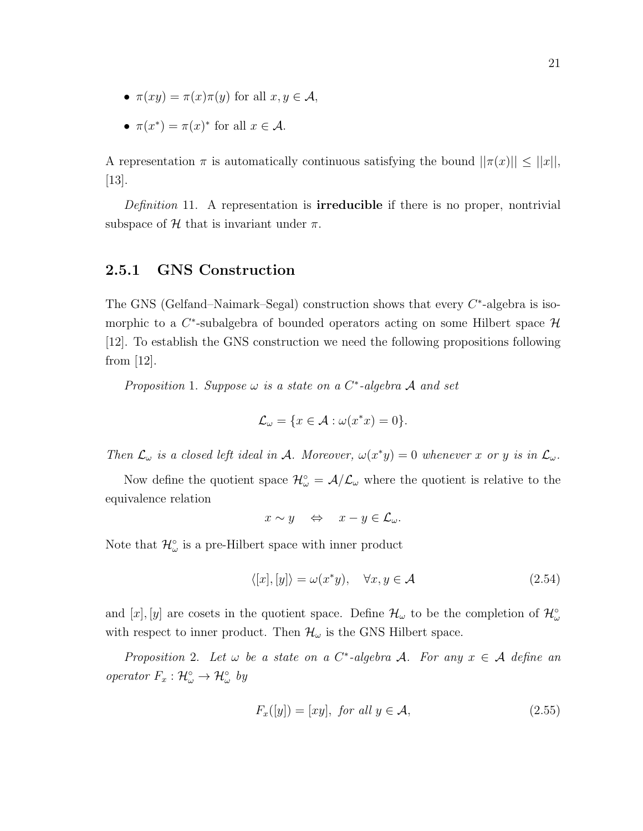- $\pi(xy) = \pi(x)\pi(y)$  for all  $x, y \in \mathcal{A}$ ,
- $\pi(x^*) = \pi(x)^*$  for all  $x \in \mathcal{A}$ .

A representation  $\pi$  is automatically continuous satisfying the bound  $||\pi(x)|| \leq ||x||$ , [13].

*Definition* 11. A representation is **irreducible** if there is no proper, nontrivial subspace of H that is invariant under  $\pi$ .

#### 2.5.1 GNS Construction

The GNS (Gelfand–Naimark–Segal) construction shows that every  $C^*$ -algebra is isomorphic to a  $C^*$ -subalgebra of bounded operators acting on some Hilbert space  $\mathcal H$ [12]. To establish the GNS construction we need the following propositions following from [12].

Proposition 1. Suppose  $\omega$  is a state on a  $C^*$ -algebra  $\mathcal A$  and set

$$
\mathcal{L}_{\omega} = \{ x \in \mathcal{A} : \omega(x^*x) = 0 \}.
$$

Then  $\mathcal{L}_{\omega}$  is a closed left ideal in A. Moreover,  $\omega(x^*y) = 0$  whenever x or y is in  $\mathcal{L}_{\omega}$ .

Now define the quotient space  $\mathcal{H}_{\omega}^{\circ} = \mathcal{A}/\mathcal{L}_{\omega}$  where the quotient is relative to the equivalence relation

$$
x \sim y \quad \Leftrightarrow \quad x - y \in \mathcal{L}_{\omega}.
$$

Note that  $\mathcal{H}_{\omega}^{\circ}$  is a pre-Hilbert space with inner product

$$
\langle [x], [y] \rangle = \omega(x^*y), \quad \forall x, y \in \mathcal{A}
$$
\n(2.54)

and [x], [y] are cosets in the quotient space. Define  $\mathcal{H}_{\omega}$  to be the completion of  $\mathcal{H}_{\omega}^{\circ}$ with respect to inner product. Then  $\mathcal{H}_{\omega}$  is the GNS Hilbert space.

Proposition 2. Let  $\omega$  be a state on a C<sup>\*</sup>-algebra A. For any  $x \in A$  define an operator  $F_x: \mathcal{H}_\omega^\circ \to \mathcal{H}_\omega^\circ$  by

$$
F_x([y]) = [xy], \text{ for all } y \in \mathcal{A}, \tag{2.55}
$$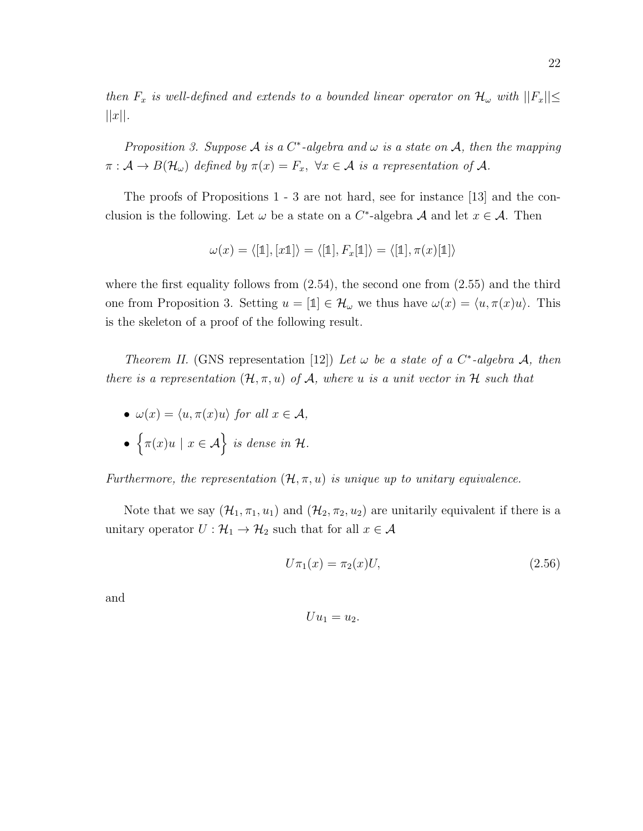then  $F_x$  is well-defined and extends to a bounded linear operator on  $\mathcal{H}_{\omega}$  with  $||F_x|| \le$  $||x||$ .

Proposition 3. Suppose A is a C<sup>\*</sup>-algebra and  $\omega$  is a state on A, then the mapping  $\pi: \mathcal{A} \to B(\mathcal{H}_{\omega})$  defined by  $\pi(x) = F_x$ ,  $\forall x \in \mathcal{A}$  is a representation of  $\mathcal{A}$ .

The proofs of Propositions 1 - 3 are not hard, see for instance [13] and the conclusion is the following. Let  $\omega$  be a state on a C<sup>\*</sup>-algebra A and let  $x \in A$ . Then

$$
\omega(x) = \langle [\mathbb{1}], [x\mathbb{1}] \rangle = \langle [\mathbb{1}], F_x[\mathbb{1}] \rangle = \langle [\mathbb{1}], \pi(x)[\mathbb{1}] \rangle
$$

where the first equality follows from  $(2.54)$ , the second one from  $(2.55)$  and the third one from Proposition 3. Setting  $u = [\mathbb{1}] \in \mathcal{H}_{\omega}$  we thus have  $\omega(x) = \langle u, \pi(x)u \rangle$ . This is the skeleton of a proof of the following result.

Theorem II. (GNS representation [12]) Let  $\omega$  be a state of a C<sup>\*</sup>-algebra A, then there is a representation  $(\mathcal{H}, \pi, u)$  of  $\mathcal{A}$ , where u is a unit vector in  $\mathcal{H}$  such that

- $\omega(x) = \langle u, \pi(x)u \rangle$  for all  $x \in \mathcal{A}$ ,
- $\{\pi(x)u \mid x \in \mathcal{A}\}\$ is dense in H.

Furthermore, the representation  $(\mathcal{H}, \pi, u)$  is unique up to unitary equivalence.

Note that we say  $(\mathcal{H}_1, \pi_1, u_1)$  and  $(\mathcal{H}_2, \pi_2, u_2)$  are unitarily equivalent if there is a unitary operator  $U: \mathcal{H}_1 \to \mathcal{H}_2$  such that for all  $x \in \mathcal{A}$ 

$$
U\pi_1(x) = \pi_2(x)U,\t(2.56)
$$

and

$$
Uu_1=u_2.
$$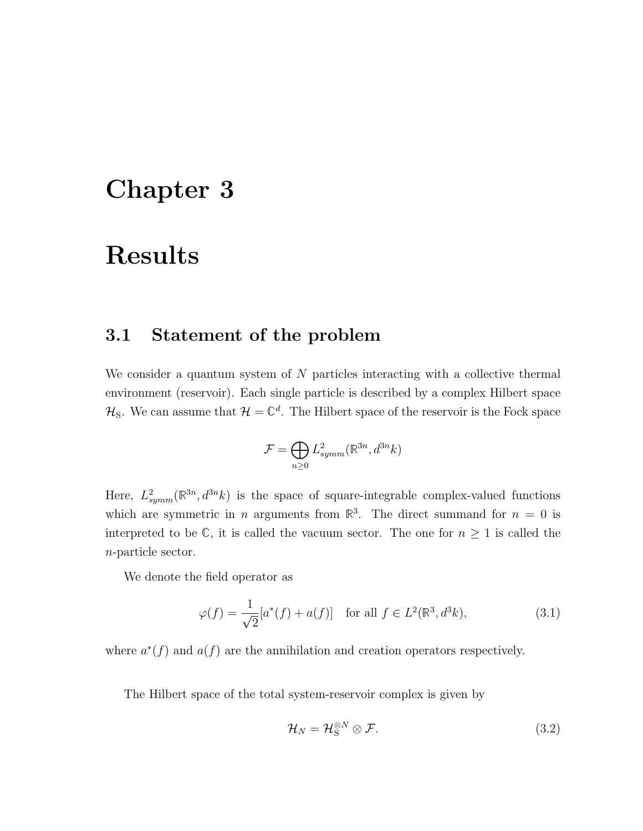## Chapter 3

## Results

### 3.1 Statement of the problem

We consider a quantum system of  $N$  particles interacting with a collective thermal environment (reservoir). Each single particle is described by a complex Hilbert space  $\mathcal{H}_\mathbf{S}$ . We can assume that  $\mathcal{H} = \mathbb{C}^d$ . The Hilbert space of the reservoir is the Fock space

$$
\mathcal{F} = \bigoplus_{n \geq 0} L^2_{symm}(\mathbb{R}^{3n}, d^{3n}k)
$$

Here,  $L_{symm}^2(\mathbb{R}^{3n}, d^{3n}k)$  is the space of square-integrable complex-valued functions which are symmetric in *n* arguments from  $\mathbb{R}^3$ . The direct summand for  $n = 0$  is interpreted to be  $\mathbb{C}$ , it is called the vacuum sector. The one for  $n \geq 1$  is called the n-particle sector.

We denote the field operator as

$$
\varphi(f) = \frac{1}{\sqrt{2}} [a^*(f) + a(f)] \quad \text{for all } f \in L^2(\mathbb{R}^3, d^3k),
$$
 (3.1)

where  $a^*(f)$  and  $a(f)$  are the annihilation and creation operators respectively.

The Hilbert space of the total system-reservoir complex is given by

$$
\mathcal{H}_N = \mathcal{H}_\mathcal{S}^{\otimes N} \otimes \mathcal{F}.\tag{3.2}
$$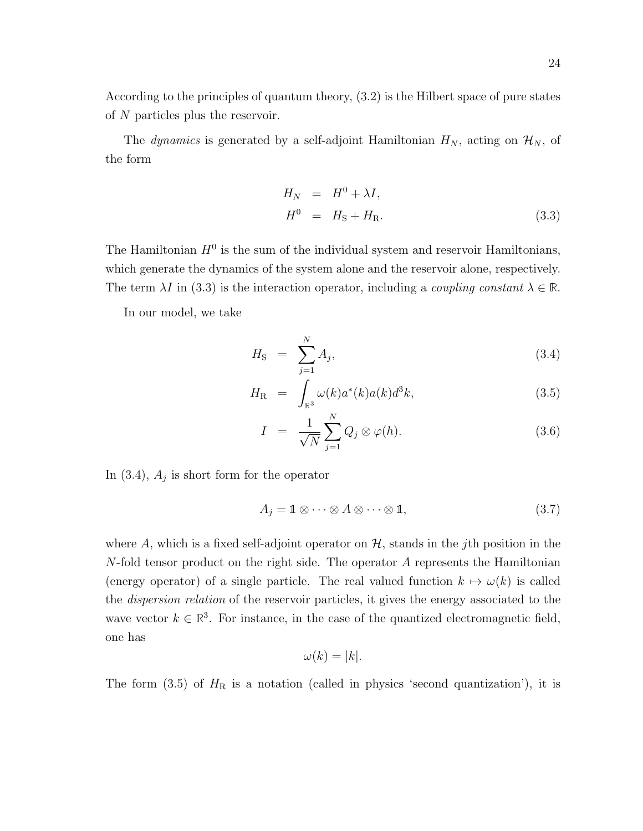According to the principles of quantum theory, (3.2) is the Hilbert space of pure states of N particles plus the reservoir.

The *dynamics* is generated by a self-adjoint Hamiltonian  $H_N$ , acting on  $\mathcal{H}_N$ , of the form

$$
H_N = H^0 + \lambda I,
$$
  
\n
$$
H^0 = H_S + H_R.
$$
\n(3.3)

The Hamiltonian  $H^0$  is the sum of the individual system and reservoir Hamiltonians, which generate the dynamics of the system alone and the reservoir alone, respectively. The term  $\lambda I$  in (3.3) is the interaction operator, including a *coupling constant*  $\lambda \in \mathbb{R}$ .

In our model, we take

$$
H_{\rm S} = \sum_{j=1}^{N} A_j, \tag{3.4}
$$

$$
H_{\mathcal{R}} = \int_{\mathbb{R}^3} \omega(k) a^*(k) a(k) d^3k,
$$
\n(3.5)

$$
I = \frac{1}{\sqrt{N}} \sum_{j=1}^{N} Q_j \otimes \varphi(h). \tag{3.6}
$$

In  $(3.4)$ ,  $A_j$  is short form for the operator

$$
A_j = \mathbb{1} \otimes \cdots \otimes A \otimes \cdots \otimes \mathbb{1},\tag{3.7}
$$

where A, which is a fixed self-adjoint operator on  $H$ , stands in the j<sup>th</sup> position in the N-fold tensor product on the right side. The operator A represents the Hamiltonian (energy operator) of a single particle. The real valued function  $k \mapsto \omega(k)$  is called the dispersion relation of the reservoir particles, it gives the energy associated to the wave vector  $k \in \mathbb{R}^3$ . For instance, in the case of the quantized electromagnetic field, one has

$$
\omega(k) = |k|.
$$

The form  $(3.5)$  of  $H_R$  is a notation (called in physics 'second quantization'), it is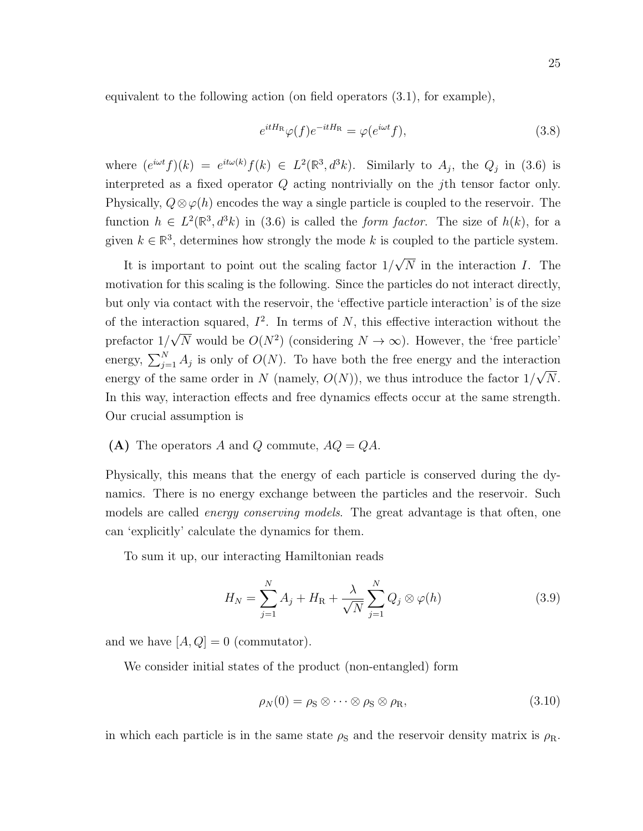equivalent to the following action (on field operators (3.1), for example),

$$
e^{itH_{\rm R}}\varphi(f)e^{-itH_{\rm R}} = \varphi(e^{i\omega t}f),\tag{3.8}
$$

where  $(e^{i\omega t}f)(k) = e^{it\omega(k)}f(k) \in L^2(\mathbb{R}^3, d^3k)$ . Similarly to  $A_j$ , the  $Q_j$  in (3.6) is interpreted as a fixed operator Q acting nontrivially on the jth tensor factor only. Physically,  $Q \otimes \varphi(h)$  encodes the way a single particle is coupled to the reservoir. The function  $h \in L^2(\mathbb{R}^3, d^3k)$  in (3.6) is called the *form factor*. The size of  $h(k)$ , for a given  $k \in \mathbb{R}^3$ , determines how strongly the mode k is coupled to the particle system.

It is important to point out the scaling factor 1/ √ N in the interaction I. The motivation for this scaling is the following. Since the particles do not interact directly, but only via contact with the reservoir, the 'effective particle interaction' is of the size of the interaction squared,  $I^2$ . In terms of N, this effective interaction without the prefactor 1/ √  $\overline{N}$  would be  $O(N^2)$  (considering  $N \to \infty$ ). However, the 'free particle' energy,  $\sum_{j=1}^{N} A_j$  is only of  $O(N)$ . To have both the free energy and the interaction energy of the same order in N (namely,  $O(N)$ ), we thus introduce the factor  $1/\sqrt{N}$ . In this way, interaction effects and free dynamics effects occur at the same strength. Our crucial assumption is

(A) The operators A and Q commute,  $AQ = QA$ .

Physically, this means that the energy of each particle is conserved during the dynamics. There is no energy exchange between the particles and the reservoir. Such models are called *energy conserving models*. The great advantage is that often, one can 'explicitly' calculate the dynamics for them.

To sum it up, our interacting Hamiltonian reads

$$
H_N = \sum_{j=1}^N A_j + H_R + \frac{\lambda}{\sqrt{N}} \sum_{j=1}^N Q_j \otimes \varphi(h)
$$
 (3.9)

and we have  $[A, Q] = 0$  (commutator).

We consider initial states of the product (non-entangled) form

$$
\rho_N(0) = \rho_S \otimes \cdots \otimes \rho_S \otimes \rho_R,\tag{3.10}
$$

in which each particle is in the same state  $\rho_s$  and the reservoir density matrix is  $\rho_R$ .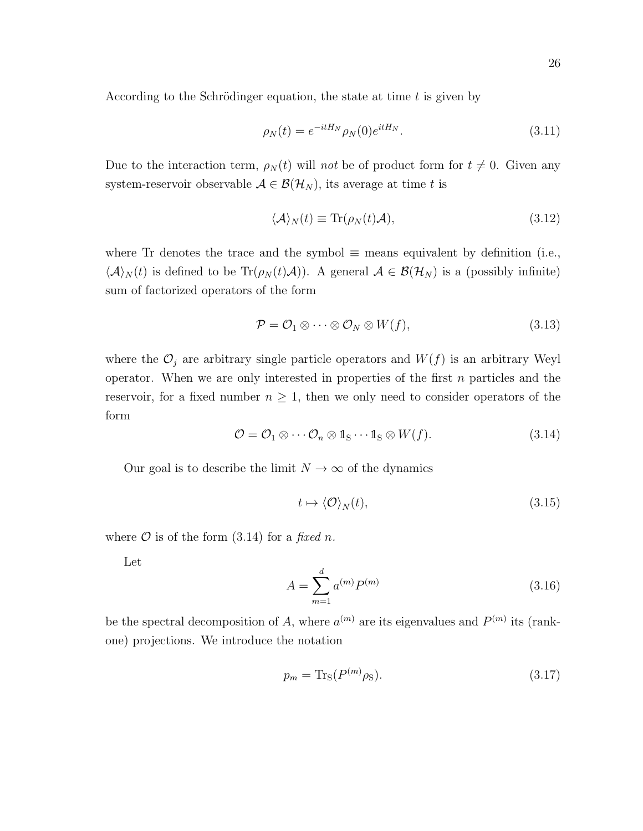According to the Schrödinger equation, the state at time  $t$  is given by

$$
\rho_N(t) = e^{-itH_N} \rho_N(0) e^{itH_N}.
$$
\n(3.11)

Due to the interaction term,  $\rho_N(t)$  will not be of product form for  $t \neq 0$ . Given any system-reservoir observable  $A \in \mathcal{B}(\mathcal{H}_N)$ , its average at time t is

$$
\langle A \rangle_N(t) \equiv \text{Tr}(\rho_N(t)A), \tag{3.12}
$$

where Tr denotes the trace and the symbol  $\equiv$  means equivalent by definition (i.e.,  $\langle A \rangle_N(t)$  is defined to be Tr $(\rho_N(t)A)$ . A general  $A \in \mathcal{B}(\mathcal{H}_N)$  is a (possibly infinite) sum of factorized operators of the form

$$
\mathcal{P} = \mathcal{O}_1 \otimes \cdots \otimes \mathcal{O}_N \otimes W(f), \tag{3.13}
$$

where the  $\mathcal{O}_j$  are arbitrary single particle operators and  $W(f)$  is an arbitrary Weyl operator. When we are only interested in properties of the first  $n$  particles and the reservoir, for a fixed number  $n \geq 1$ , then we only need to consider operators of the form

$$
\mathcal{O} = \mathcal{O}_1 \otimes \cdots \mathcal{O}_n \otimes \mathbb{1}_{S} \cdots \mathbb{1}_{S} \otimes W(f). \tag{3.14}
$$

Our goal is to describe the limit  $N \to \infty$  of the dynamics

$$
t \mapsto \langle \mathcal{O} \rangle_N(t), \tag{3.15}
$$

where  $\mathcal O$  is of the form (3.14) for a fixed n.

Let

$$
A = \sum_{m=1}^{d} a^{(m)} P^{(m)} \tag{3.16}
$$

be the spectral decomposition of A, where  $a^{(m)}$  are its eigenvalues and  $P^{(m)}$  its (rankone) projections. We introduce the notation

$$
p_m = \text{Tr}_S(P^{(m)}\rho_S). \tag{3.17}
$$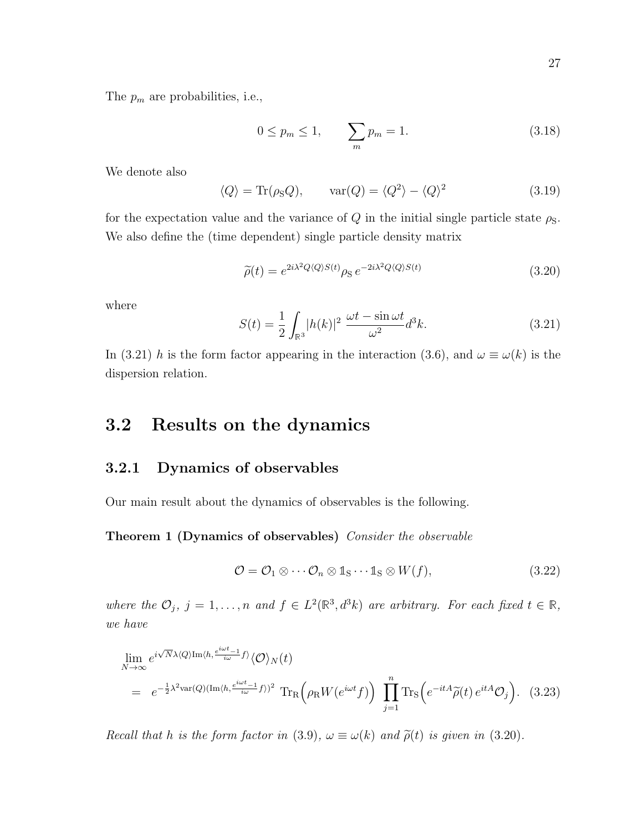The  $p_m$  are probabilities, i.e.,

$$
0 \le p_m \le 1, \qquad \sum_m p_m = 1. \tag{3.18}
$$

We denote also

$$
\langle Q \rangle = \text{Tr}(\rho_S Q), \qquad \text{var}(Q) = \langle Q^2 \rangle - \langle Q \rangle^2 \tag{3.19}
$$

for the expectation value and the variance of  $Q$  in the initial single particle state  $\rho_{\rm S}$ . We also define the (time dependent) single particle density matrix

$$
\tilde{\rho}(t) = e^{2i\lambda^2 Q \langle Q \rangle S(t)} \rho_{\rm S} \, e^{-2i\lambda^2 Q \langle Q \rangle S(t)} \tag{3.20}
$$

where

$$
S(t) = \frac{1}{2} \int_{\mathbb{R}^3} |h(k)|^2 \frac{\omega t - \sin \omega t}{\omega^2} d^3k. \tag{3.21}
$$

In (3.21) h is the form factor appearing in the interaction (3.6), and  $\omega \equiv \omega(k)$  is the dispersion relation.

### 3.2 Results on the dynamics

#### 3.2.1 Dynamics of observables

Our main result about the dynamics of observables is the following.

Theorem 1 (Dynamics of observables) Consider the observable

$$
\mathcal{O} = \mathcal{O}_1 \otimes \cdots \mathcal{O}_n \otimes \mathbb{1}_{S} \cdots \mathbb{1}_{S} \otimes W(f), \tag{3.22}
$$

where the  $\mathcal{O}_j$ ,  $j = 1, \ldots, n$  and  $f \in L^2(\mathbb{R}^3, d^3k)$  are arbitrary. For each fixed  $t \in \mathbb{R}$ , we have

$$
\lim_{N \to \infty} e^{i\sqrt{N}\lambda \langle Q \rangle \text{Im}\langle h, \frac{e^{i\omega t} - 1}{i\omega} f \rangle} \langle \mathcal{O} \rangle_N(t)
$$
\n
$$
= e^{-\frac{1}{2}\lambda^2 \text{var}(Q)(\text{Im}\langle h, \frac{e^{i\omega t} - 1}{i\omega} f \rangle)^2} \text{Tr}_R \left( \rho_R W(e^{i\omega t} f) \right) \prod_{j=1}^n \text{Tr}_S \left( e^{-itA} \widetilde{\rho}(t) e^{itA} \mathcal{O}_j \right). \tag{3.23}
$$

Recall that h is the form factor in (3.9),  $\omega \equiv \omega(k)$  and  $\tilde{\rho}(t)$  is given in (3.20).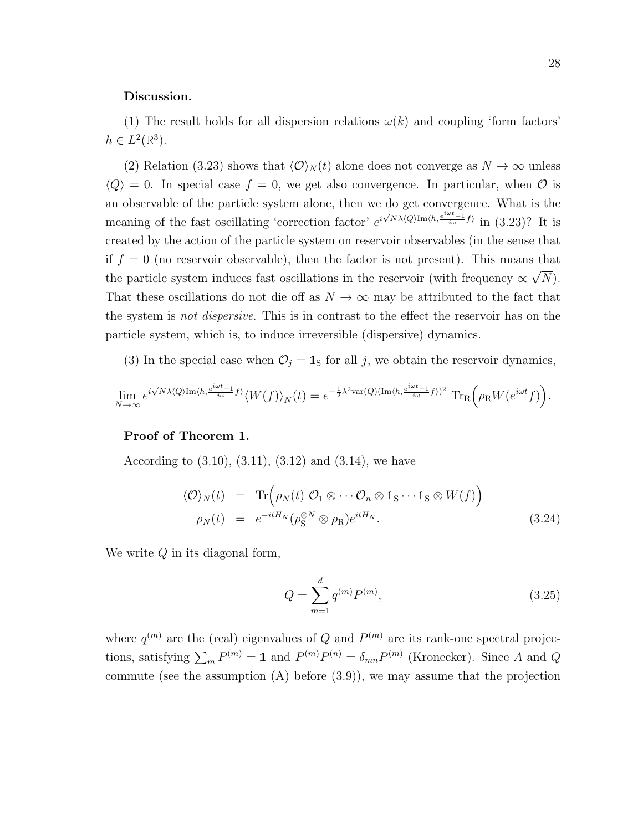#### Discussion.

(1) The result holds for all dispersion relations  $\omega(k)$  and coupling 'form factors'  $h \in L^2(\mathbb{R}^3).$ 

(2) Relation (3.23) shows that  $\langle \mathcal{O} \rangle_N (t)$  alone does not converge as  $N \to \infty$  unless  $\langle Q \rangle = 0$ . In special case  $f = 0$ , we get also convergence. In particular, when  $\mathcal O$  is an observable of the particle system alone, then we do get convergence. What is the meaning of the fast oscillating 'correction factor'  $e^{i\sqrt{N}\lambda(Q)\text{Im}\langle h, \frac{e^{i\omega t}-1}{i\omega}f\rangle}$  in (3.23)? It is created by the action of the particle system on reservoir observables (in the sense that if  $f = 0$  (no reservoir observable), then the factor is not present). This means that the particle system induces fast oscillations in the reservoir (with frequency  $\propto$ √  $(N).$ That these oscillations do not die off as  $N \to \infty$  may be attributed to the fact that the system is not dispersive. This is in contrast to the effect the reservoir has on the particle system, which is, to induce irreversible (dispersive) dynamics.

(3) In the special case when  $\mathcal{O}_j = \mathbb{1}_S$  for all j, we obtain the reservoir dynamics,

$$
\lim_{N\to\infty}e^{i\sqrt{N}\lambda\langle Q\rangle\mathrm{Im}\langle h,\frac{e^{i\omega t}-1}{i\omega}f\rangle}\langle W(f)\rangle_N(t)=e^{-\frac{1}{2}\lambda^2\mathrm{var}(Q)(\mathrm{Im}\langle h,\frac{e^{i\omega t}-1}{i\omega}f\rangle)^2}\mathrm{\,Tr_R}\Big(\rho_{\mathrm{R}}W(e^{i\omega t}f)\Big).
$$

#### Proof of Theorem 1.

According to  $(3.10), (3.11), (3.12)$  and  $(3.14),$  we have

$$
\langle \mathcal{O} \rangle_N(t) = \text{Tr} \Big( \rho_N(t) \mathcal{O}_1 \otimes \cdots \mathcal{O}_n \otimes \mathbb{1}_S \cdots \mathbb{1}_S \otimes W(f) \Big) \n\rho_N(t) = e^{-itH_N} (\rho_S^{\otimes N} \otimes \rho_R) e^{itH_N}.
$$
\n(3.24)

We write  $Q$  in its diagonal form,

$$
Q = \sum_{m=1}^{d} q^{(m)} P^{(m)},
$$
\n(3.25)

where  $q^{(m)}$  are the (real) eigenvalues of Q and  $P^{(m)}$  are its rank-one spectral projections, satisfying  $\sum_m P^{(m)} = \mathbb{1}$  and  $P^{(m)}P^{(n)} = \delta_{mn}P^{(m)}$  (Kronecker). Since A and Q commute (see the assumption  $(A)$  before  $(3.9)$ ), we may assume that the projection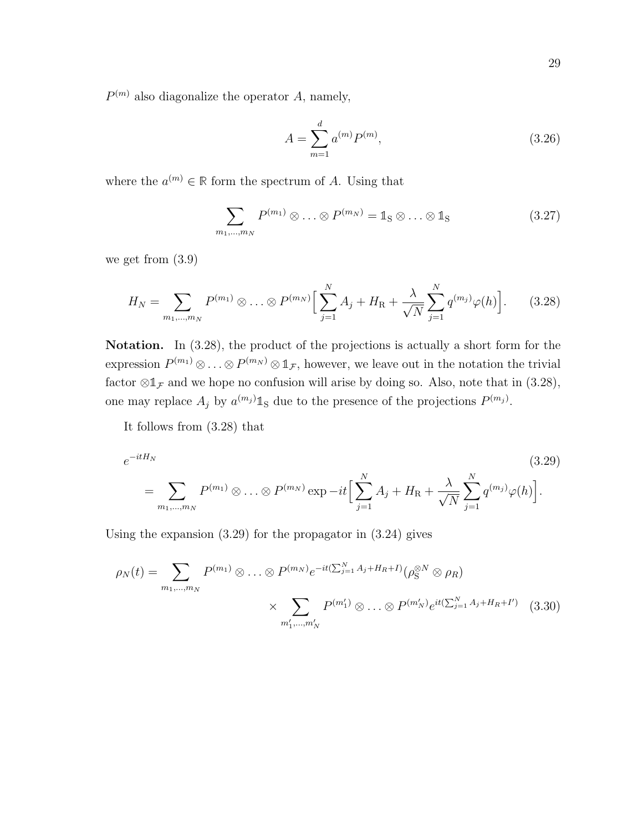$P^{(m)}$  also diagonalize the operator A, namely,

$$
A = \sum_{m=1}^{d} a^{(m)} P^{(m)},
$$
\n(3.26)

where the  $a^{(m)} \in \mathbb{R}$  form the spectrum of A. Using that

$$
\sum_{m_1,\dots,m_N} P^{(m_1)} \otimes \dots \otimes P^{(m_N)} = \mathbb{1}_{S} \otimes \dots \otimes \mathbb{1}_{S}
$$
 (3.27)

we get from (3.9)

$$
H_N = \sum_{m_1,\dots,m_N} P^{(m_1)} \otimes \dots \otimes P^{(m_N)} \Big[ \sum_{j=1}^N A_j + H_R + \frac{\lambda}{\sqrt{N}} \sum_{j=1}^N q^{(m_j)} \varphi(h) \Big]. \tag{3.28}
$$

Notation. In  $(3.28)$ , the product of the projections is actually a short form for the expression  $P^{(m_1)} \otimes \ldots \otimes P^{(m_N)} \otimes \mathbb{1}_{\mathcal{F}}$ , however, we leave out in the notation the trivial factor  $\otimes \mathbb{1}_F$  and we hope no confusion will arise by doing so. Also, note that in (3.28), one may replace  $A_j$  by  $a^{(m_j)} \mathbb{1}_S$  due to the presence of the projections  $P^{(m_j)}$ .

It follows from (3.28) that

$$
e^{-itH_N}
$$
\n
$$
= \sum_{m_1,\dots,m_N} P^{(m_1)} \otimes \dots \otimes P^{(m_N)} \exp{-it} \Big[ \sum_{j=1}^N A_j + H_R + \frac{\lambda}{\sqrt{N}} \sum_{j=1}^N q^{(m_j)} \varphi(h) \Big].
$$
\n(3.29)

Using the expansion (3.29) for the propagator in (3.24) gives

$$
\rho_N(t) = \sum_{m_1, \dots, m_N} P^{(m_1)} \otimes \dots \otimes P^{(m_N)} e^{-it(\sum_{j=1}^N A_j + H_R + I)} (\rho_S^{\otimes N} \otimes \rho_R)
$$

$$
\times \sum_{m'_1, \dots, m'_N} P^{(m'_1)} \otimes \dots \otimes P^{(m'_N)} e^{it(\sum_{j=1}^N A_j + H_R + I')} \quad (3.30)
$$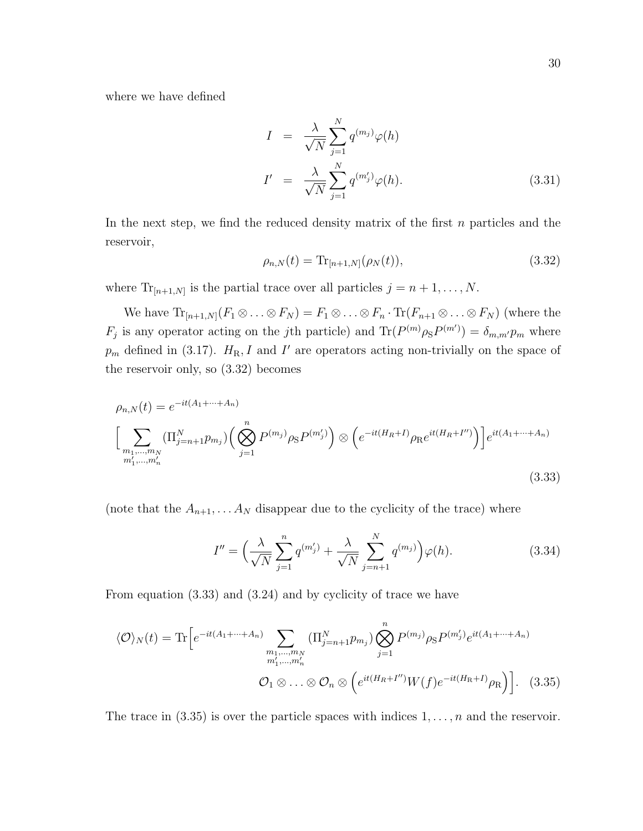where we have defined

$$
I = \frac{\lambda}{\sqrt{N}} \sum_{j=1}^{N} q^{(m_j)} \varphi(h)
$$
  

$$
I' = \frac{\lambda}{\sqrt{N}} \sum_{j=1}^{N} q^{(m'_j)} \varphi(h).
$$
 (3.31)

In the next step, we find the reduced density matrix of the first  $n$  particles and the reservoir,

$$
\rho_{n,N}(t) = \text{Tr}_{[n+1,N]}(\rho_N(t)),\tag{3.32}
$$

where  $\text{Tr}_{[n+1,N]}$  is the partial trace over all particles  $j = n+1, \ldots, N$ .

We have  $\text{Tr}_{[n+1,N]}(F_1 \otimes \ldots \otimes F_N) = F_1 \otimes \ldots \otimes F_n \cdot \text{Tr}(F_{n+1} \otimes \ldots \otimes F_N)$  (where the  $F_j$  is any operator acting on the jth particle) and  $\text{Tr}(P^{(m)}\rho_{\rm S}P^{(m')})=\delta_{m,m'}p_m$  where  $p_m$  defined in (3.17).  $H_R$ , I and I' are operators acting non-trivially on the space of the reservoir only, so (3.32) becomes

$$
\rho_{n,N}(t) = e^{-it(A_1 + \dots + A_n)}
$$
\n
$$
\left[ \sum_{\substack{m_1, \dots, m_N \\ m'_1, \dots, m'_n}} (\Pi_{j=n+1}^N p_{m_j}) \left( \bigotimes_{j=1}^n P^{(m_j)} \rho_S P^{(m'_j)} \right) \otimes \left( e^{-it(H_R + I)} \rho_R e^{it(H_R + I'')} \right) \right] e^{it(A_1 + \dots + A_n)}
$$
\n(3.33)

(note that the  $A_{n+1}, \ldots, A_N$  disappear due to the cyclicity of the trace) where

$$
I'' = \left(\frac{\lambda}{\sqrt{N}} \sum_{j=1}^{n} q^{(m'_j)} + \frac{\lambda}{\sqrt{N}} \sum_{j=n+1}^{N} q^{(m_j)}\right) \varphi(h).
$$
 (3.34)

From equation (3.33) and (3.24) and by cyclicity of trace we have

$$
\langle \mathcal{O} \rangle_N(t) = \text{Tr} \Big[ e^{-it(A_1 + \dots + A_n)} \sum_{\substack{m_1, \dots, m_N \\ m'_1, \dots, m'_n}} \left( \prod_{j=n+1}^N p_{m_j} \right) \bigotimes_{j=1}^n P^{(m_j)} \rho_S P^{(m'_j)} e^{it(A_1 + \dots + A_n)}
$$
  

$$
\mathcal{O}_1 \otimes \dots \otimes \mathcal{O}_n \otimes \left( e^{it(H_R + I'')} W(f) e^{-it(H_R + I)} \rho_R \right) \Big]. \tag{3.35}
$$

The trace in  $(3.35)$  is over the particle spaces with indices  $1, \ldots, n$  and the reservoir.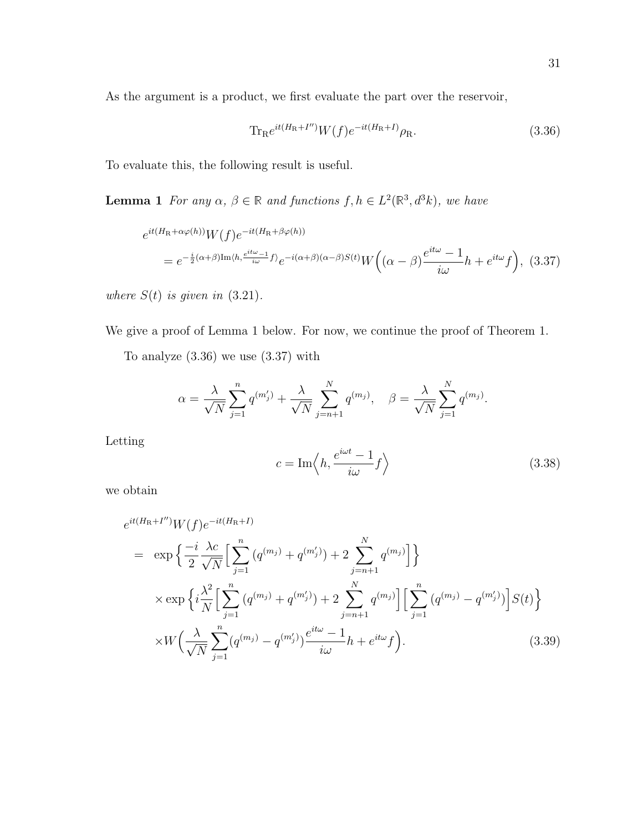As the argument is a product, we first evaluate the part over the reservoir,

$$
\text{Tr}_{\text{R}}e^{it(H_{\text{R}}+I'')}W(f)e^{-it(H_{\text{R}}+I)}\rho_{\text{R}}.\tag{3.36}
$$

To evaluate this, the following result is useful.

**Lemma 1** For any  $\alpha, \beta \in \mathbb{R}$  and functions  $f, h \in L^2(\mathbb{R}^3, d^3k)$ , we have

$$
e^{it(H_{\rm R}+\alpha\varphi(h))}W(f)e^{-it(H_{\rm R}+\beta\varphi(h))}
$$
  
=  $e^{-\frac{i}{2}(\alpha+\beta)\text{Im}\langle h, \frac{e^{it\omega}-1}{i\omega}f\rangle}e^{-i(\alpha+\beta)(\alpha-\beta)S(t)}W\Big((\alpha-\beta)\frac{e^{it\omega}-1}{i\omega}h+e^{it\omega}f\Big), (3.37)$ 

where  $S(t)$  is given in (3.21).

We give a proof of Lemma 1 below. For now, we continue the proof of Theorem 1.

To analyze  $(3.36)$  we use  $(3.37)$  with

$$
\alpha = \frac{\lambda}{\sqrt{N}} \sum_{j=1}^{n} q^{(m'_j)} + \frac{\lambda}{\sqrt{N}} \sum_{j=n+1}^{N} q^{(m_j)}, \quad \beta = \frac{\lambda}{\sqrt{N}} \sum_{j=1}^{N} q^{(m_j)}.
$$

Letting

$$
c = \operatorname{Im}\left\langle h, \frac{e^{i\omega t} - 1}{i\omega} f \right\rangle \tag{3.38}
$$

we obtain

$$
e^{it(H_{\rm R}+I'')}W(f)e^{-it(H_{\rm R}+I)}
$$
\n
$$
= \exp\left\{\frac{-i}{2}\frac{\lambda c}{\sqrt{N}}\Big[\sum_{j=1}^{n}\left(q^{(m_j)}+q^{(m'_j)}\right)+2\sum_{j=n+1}^{N}q^{(m_j)}\Big]\right\}
$$
\n
$$
\times \exp\left\{i\frac{\lambda^2}{N}\Big[\sum_{j=1}^{n}\left(q^{(m_j)}+q^{(m'_j)}\right)+2\sum_{j=n+1}^{N}q^{(m_j)}\Big]\Big[\sum_{j=1}^{n}\left(q^{(m_j)}-q^{(m'_j)}\right)\Big]S(t)\right\}
$$
\n
$$
\times W\left(\frac{\lambda}{\sqrt{N}}\sum_{j=1}^{n}\left(q^{(m_j)}-q^{(m'_j)}\right)\frac{e^{it\omega}-1}{i\omega}h+e^{it\omega}f\right).
$$
\n(3.39)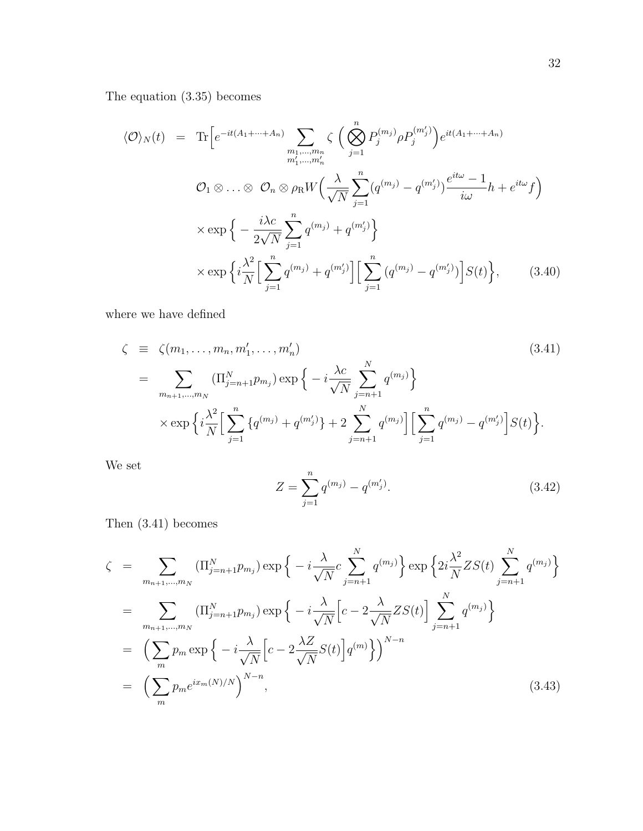The equation (3.35) becomes

$$
\langle \mathcal{O} \rangle_N(t) = \text{Tr}\Big[e^{-it(A_1 + \dots + A_n)} \sum_{\substack{m_1, \dots, m_n \\ m'_1, \dots, m'_n}} \zeta \Big(\bigotimes_{j=1}^n P_j^{(m_j)} \rho P_j^{(m'_j)}\Big) e^{it(A_1 + \dots + A_n)}
$$
  

$$
\mathcal{O}_1 \otimes \dots \otimes \mathcal{O}_n \otimes \rho_R W \Big(\frac{\lambda}{\sqrt{N}} \sum_{j=1}^n (q^{(m_j)} - q^{(m'_j)}) \frac{e^{it\omega} - 1}{i\omega} h + e^{it\omega} f\Big)
$$
  

$$
\times \exp\Big\{-\frac{i\lambda c}{2\sqrt{N}} \sum_{j=1}^n q^{(m_j)} + q^{(m'_j)}\Big\}
$$
  

$$
\times \exp\Big\{i\frac{\lambda^2}{N} \Big[\sum_{j=1}^n q^{(m_j)} + q^{(m'_j)}\Big] \Big[\sum_{j=1}^n (q^{(m_j)} - q^{(m'_j)})\Big] S(t)\Big\}, \qquad (3.40)
$$

where we have defined

$$
\zeta \equiv \zeta(m_1, \dots, m_n, m'_1, \dots, m'_n)
$$
\n
$$
= \sum_{m_{n+1}, \dots, m_N} (\Pi_{j=n+1}^N p_{m_j}) \exp \left\{ -i \frac{\lambda c}{\sqrt{N}} \sum_{j=n+1}^N q^{(m_j)} \right\}
$$
\n
$$
\times \exp \left\{ i \frac{\lambda^2}{N} \Big[ \sum_{j=1}^n \left\{ q^{(m_j)} + q^{(m'_j)} \right\} + 2 \sum_{j=n+1}^N q^{(m_j)} \Big] \Big[ \sum_{j=1}^n q^{(m_j)} - q^{(m'_j)} \Big] S(t) \right\}.
$$
\n(3.41)

We set

$$
Z = \sum_{j=1}^{n} q^{(m_j)} - q^{(m'_j)}.
$$
\n(3.42)

Then (3.41) becomes

$$
\zeta = \sum_{m_{n+1}, \dots, m_N} (\Pi_{j=n+1}^N p_{m_j}) \exp \left\{ -i \frac{\lambda}{\sqrt{N}} c \sum_{j=n+1}^N q^{(m_j)} \right\} \exp \left\{ 2i \frac{\lambda^2}{N} Z S(t) \sum_{j=n+1}^N q^{(m_j)} \right\}
$$
  
\n
$$
= \sum_{m_{n+1}, \dots, m_N} (\Pi_{j=n+1}^N p_{m_j}) \exp \left\{ -i \frac{\lambda}{\sqrt{N}} \left[ c - 2 \frac{\lambda}{\sqrt{N}} Z S(t) \right] \sum_{j=n+1}^N q^{(m_j)} \right\}
$$
  
\n
$$
= \left( \sum_m p_m \exp \left\{ -i \frac{\lambda}{\sqrt{N}} \left[ c - 2 \frac{\lambda Z}{\sqrt{N}} S(t) \right] q^{(m)} \right\} \right)^{N-n}
$$
  
\n
$$
= \left( \sum_m p_m e^{i x_m(N)/N} \right)^{N-n}, \tag{3.43}
$$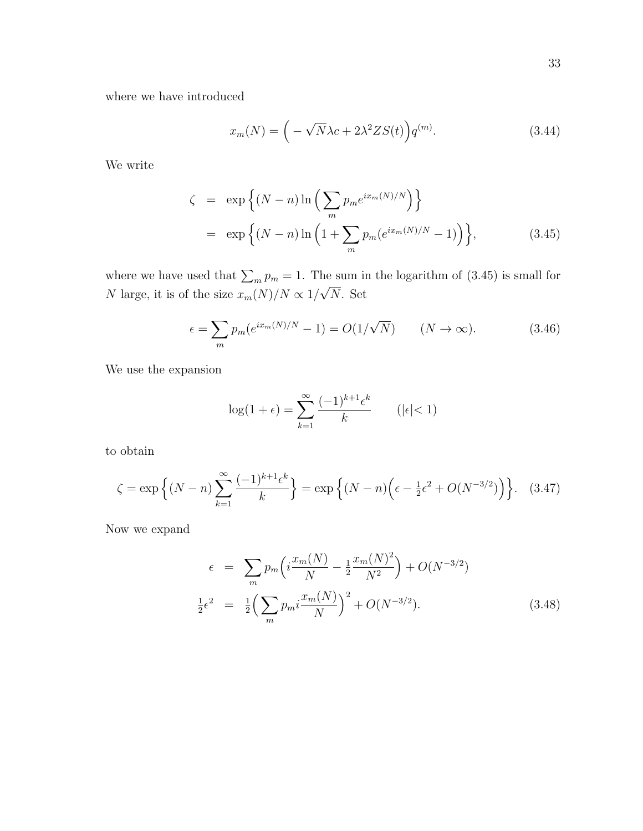where we have introduced

$$
x_m(N) = \left(-\sqrt{N}\lambda c + 2\lambda^2 Z S(t)\right) q^{(m)}.\tag{3.44}
$$

We write

$$
\zeta = \exp \left\{ (N - n) \ln \left( \sum_{m} p_m e^{i x_m(N)/N} \right) \right\}
$$
  
= 
$$
\exp \left\{ (N - n) \ln \left( 1 + \sum_{m} p_m (e^{i x_m(N)/N} - 1) \right) \right\},
$$
 (3.45)

where we have used that  $\sum_m p_m = 1$ . The sum in the logarithm of (3.45) is small for N large, it is of the size  $x_m(N)/N \propto 1/$ √ N. Set

$$
\epsilon = \sum_{m} p_m(e^{ix_m(N)/N} - 1) = O(1/\sqrt{N}) \qquad (N \to \infty).
$$
 (3.46)

We use the expansion

$$
\log(1+\epsilon) = \sum_{k=1}^{\infty} \frac{(-1)^{k+1} \epsilon^k}{k} \qquad (|\epsilon| < 1)
$$

to obtain

$$
\zeta = \exp\left\{ (N - n) \sum_{k=1}^{\infty} \frac{(-1)^{k+1} \epsilon^k}{k} \right\} = \exp\left\{ (N - n) \left( \epsilon - \frac{1}{2} \epsilon^2 + O(N^{-3/2}) \right) \right\}. \tag{3.47}
$$

Now we expand

$$
\epsilon = \sum_{m} p_m \left( i \frac{x_m(N)}{N} - \frac{1}{2} \frac{x_m(N)^2}{N^2} \right) + O(N^{-3/2})
$$
  

$$
\frac{1}{2} \epsilon^2 = \frac{1}{2} \left( \sum_{m} p_m i \frac{x_m(N)}{N} \right)^2 + O(N^{-3/2}).
$$
 (3.48)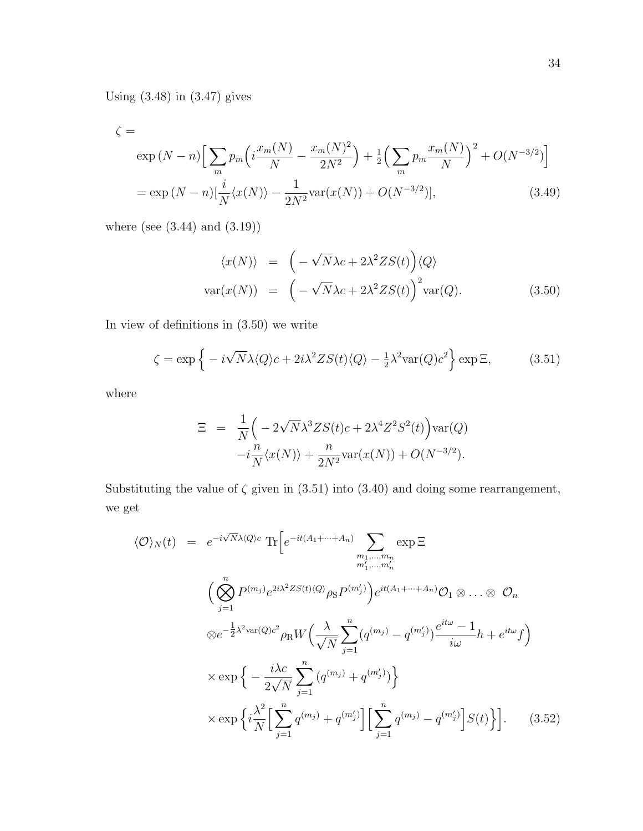Using (3.48) in (3.47) gives

$$
\zeta = \exp(N - n) \Big[ \sum_{m} p_m \Big( i \frac{x_m(N)}{N} - \frac{x_m(N)^2}{2N^2} \Big) + \frac{1}{2} \Big( \sum_{m} p_m \frac{x_m(N)}{N} \Big)^2 + O(N^{-3/2}) \Big]
$$
  
=  $\exp(N - n) [\frac{i}{N} \langle x(N) \rangle - \frac{1}{2N^2} \text{var}(x(N)) + O(N^{-3/2})],$  (3.49)

where (see (3.44) and (3.19))

$$
\langle x(N) \rangle = \left( -\sqrt{N} \lambda c + 2\lambda^2 Z S(t) \right) \langle Q \rangle
$$
  
var
$$
(x(N)) = \left( -\sqrt{N} \lambda c + 2\lambda^2 Z S(t) \right)^2 \text{var}(Q).
$$
 (3.50)

In view of definitions in (3.50) we write

$$
\zeta = \exp\left\{-i\sqrt{N}\lambda \langle Q \rangle c + 2i\lambda^2 Z S(t) \langle Q \rangle - \frac{1}{2}\lambda^2 \text{var}(Q)c^2\right\} \exp \Xi,
$$
 (3.51)

where

$$
\Xi = \frac{1}{N} \left( -2\sqrt{N} \lambda^3 Z S(t) c + 2\lambda^4 Z^2 S^2(t) \right) \text{var}(Q)
$$

$$
-i\frac{n}{N} \langle x(N) \rangle + \frac{n}{2N^2} \text{var}(x(N)) + O(N^{-3/2}).
$$

Substituting the value of  $\zeta$  given in (3.51) into (3.40) and doing some rearrangement, we get

$$
\langle \mathcal{O} \rangle_N(t) = e^{-i\sqrt{N}\lambda \langle Q \rangle c} \operatorname{Tr} \Big[ e^{-it(A_1 + \dots + A_n)} \sum_{\substack{m_1, \dots, m_n \\ m'_1, \dots, m'_n}} \exp \Xi
$$
  

$$
\Big( \bigotimes_{j=1}^n P^{(m_j)} e^{2i\lambda^2 Z S(t) \langle Q \rangle} \rho_S P^{(m'_j)} \Big) e^{it(A_1 + \dots + A_n)} \mathcal{O}_1 \otimes \dots \otimes \mathcal{O}_n
$$
  

$$
\otimes e^{-\frac{1}{2}\lambda^2 \text{var}(Q)c^2} \rho_R W \Big( \frac{\lambda}{\sqrt{N}} \sum_{j=1}^n (q^{(m_j)} - q^{(m'_j)}) \frac{e^{it\omega} - 1}{i\omega} h + e^{it\omega} f \Big)
$$
  

$$
\times \exp \Big\{ -\frac{i\lambda c}{2\sqrt{N}} \sum_{j=1}^n (q^{(m_j)} + q^{(m'_j)}) \Big\}
$$
  

$$
\times \exp \Big\{ i \frac{\lambda^2}{N} \Big[ \sum_{j=1}^n q^{(m_j)} + q^{(m'_j)} \Big] \Big[ \sum_{j=1}^n q^{(m_j)} - q^{(m'_j)} \Big] S(t) \Big\} \Big]. \qquad (3.52)
$$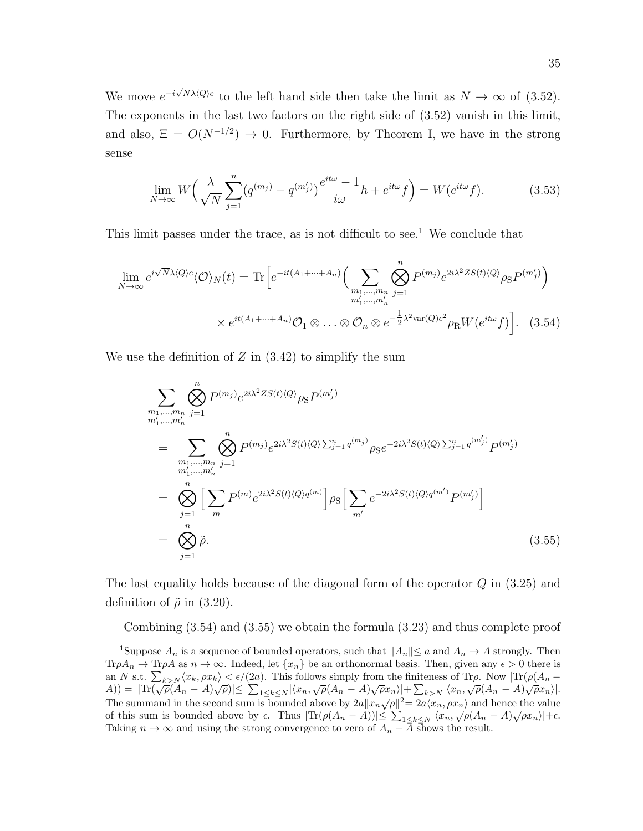We move  $e^{-i\sqrt{N}\lambda\langle Q\rangle c}$  to the left hand side then take the limit as  $N \to \infty$  of (3.52). The exponents in the last two factors on the right side of (3.52) vanish in this limit, and also,  $\Xi = O(N^{-1/2}) \rightarrow 0$ . Furthermore, by Theorem I, we have in the strong sense

$$
\lim_{N \to \infty} W\left(\frac{\lambda}{\sqrt{N}} \sum_{j=1}^{n} (q^{(m_j)} - q^{(m'_j)}) \frac{e^{it\omega} - 1}{i\omega} h + e^{it\omega} f\right) = W(e^{it\omega} f). \tag{3.53}
$$

This limit passes under the trace, as is not difficult to see.<sup>1</sup> We conclude that

$$
\lim_{N \to \infty} e^{i\sqrt{N}\lambda \langle Q \rangle c} \langle \mathcal{O} \rangle_N(t) = \text{Tr}\Big[e^{-it(A_1 + \dots + A_n)} \Big(\sum_{m_1, \dots, m_n \atop m_1', \dots, m_n'} \bigotimes_{j=1}^n P^{(m_j)} e^{2i\lambda^2 Z S(t) \langle Q \rangle} \rho_{\mathcal{S}} P^{(m'_j)}\Big) \times e^{it(A_1 + \dots + A_n)} \mathcal{O}_1 \otimes \dots \otimes \mathcal{O}_n \otimes e^{-\frac{1}{2}\lambda^2 \text{var}(Q)c^2} \rho_{\mathcal{R}} W(e^{it\omega} f)\Big]. \tag{3.54}
$$

We use the definition of  $Z$  in  $(3.42)$  to simplify the sum

$$
\sum_{m_1,\dots,m_n} \bigotimes_{j=1}^n P^{(m_j)} e^{2i\lambda^2 Z S(t) \langle Q \rangle} \rho_{\mathcal{S}} P^{(m'_j)}
$$
\n
$$
= \sum_{\substack{m_1,\dots,m_n \\ m'_1,\dots,m'_n \\ n'_1,\dots,m'_n}} \bigotimes_{j=1}^n P^{(m_j)} e^{2i\lambda^2 S(t) \langle Q \rangle \sum_{j=1}^n q^{(m_j)}} \rho_{\mathcal{S}} e^{-2i\lambda^2 S(t) \langle Q \rangle \sum_{j=1}^n q^{(m'_j)}} P^{(m'_j)}
$$
\n
$$
= \bigotimes_{j=1}^n \Big[ \sum_m P^{(m)} e^{2i\lambda^2 S(t) \langle Q \rangle q^{(m)}} \Big] \rho_{\mathcal{S}} \Big[ \sum_{m'} e^{-2i\lambda^2 S(t) \langle Q \rangle q^{(m')}} P^{(m'_j)} \Big]
$$
\n
$$
= \bigotimes_{j=1}^n \tilde{\rho}.
$$
\n(3.55)

The last equality holds because of the diagonal form of the operator  $Q$  in  $(3.25)$  and definition of  $\tilde{\rho}$  in (3.20).

Combining (3.54) and (3.55) we obtain the formula (3.23) and thus complete proof

<sup>&</sup>lt;sup>1</sup>Suppose  $A_n$  is a sequence of bounded operators, such that  $||A_n|| \le a$  and  $A_n \to A$  strongly. Then  $Tr \rho A_n \to Tr \rho A$  as  $n \to \infty$ . Indeed, let  $\{x_n\}$  be an orthonormal basis. Then, given any  $\epsilon > 0$  there is an N s.t.  $\sum_{k>N} \langle x_k, \rho x_k \rangle < \epsilon/(2a)$ . This follows simply from the finiteness of Tr $\rho$ . Now  $|\text{Tr}(\rho(A_n \Delta(A)|=|\text{Tr}(\sqrt{\rho}(A_n-A)\sqrt{\rho})|\leq \sum_{1\leq k\leq N}|\langle x_n,\sqrt{\rho}(A_n-A)\sqrt{\rho}x_n\rangle|+\sum_{k>N}|\langle x_n,\sqrt{\rho}(A_n-A)\sqrt{\rho}x_n\rangle|.$ The summand in the second sum is bounded above by  $2a||x_n\sqrt{\rho}||^2 = 2a\langle x_n, \rho x_n \rangle$  and hence the value of this sum is bounded above by  $\epsilon$ . Thus  $|\text{Tr}(\rho(A_n - A))| \leq \sum_{1 \leq k \leq N} |\langle x_n, \sqrt{\rho}(A_n - A) \sqrt{\rho} x_n \rangle| + \epsilon$ . Taking  $n \to \infty$  and using the strong convergence to zero of  $A_n - \overline{A}$  shows the result.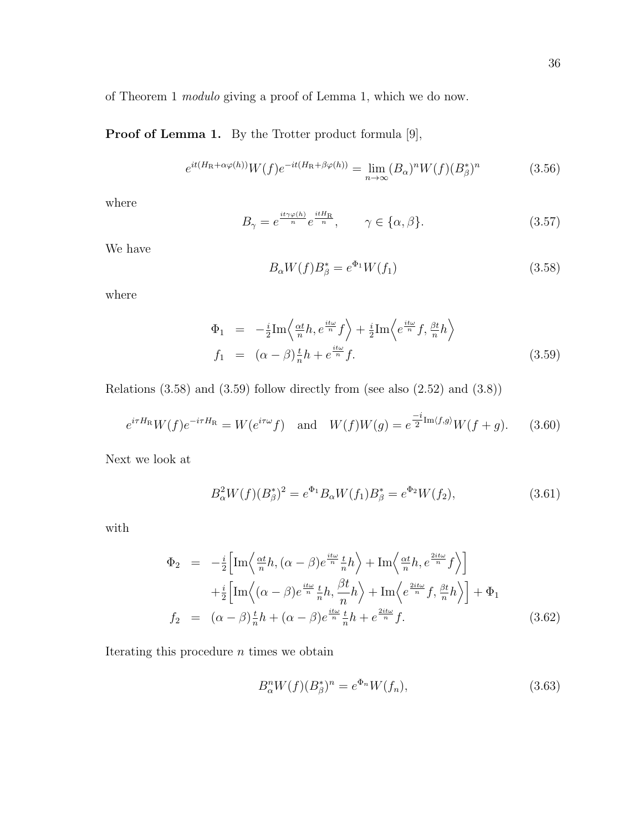of Theorem 1 modulo giving a proof of Lemma 1, which we do now.

Proof of Lemma 1. By the Trotter product formula [9],

$$
e^{it(H_{\rm R} + \alpha \varphi(h))} W(f) e^{-it(H_{\rm R} + \beta \varphi(h))} = \lim_{n \to \infty} (B_{\alpha})^n W(f) (B_{\beta}^*)^n \tag{3.56}
$$

where

$$
B_{\gamma} = e^{\frac{it\gamma\varphi(h)}{n}} e^{\frac{itH_{\rm R}}{n}}, \qquad \gamma \in \{\alpha, \beta\}.
$$
 (3.57)

We have

$$
B_{\alpha}W(f)B_{\beta}^{*} = e^{\Phi_{1}}W(f_{1})
$$
\n(3.58)

where

$$
\Phi_1 = -\frac{i}{2} \text{Im} \left\langle \frac{\alpha t}{n} h, e^{\frac{it\omega}{n}} f \right\rangle + \frac{i}{2} \text{Im} \left\langle e^{\frac{it\omega}{n}} f, \frac{\beta t}{n} h \right\rangle \nf_1 = (\alpha - \beta) \frac{t}{n} h + e^{\frac{it\omega}{n}} f.
$$
\n(3.59)

Relations  $(3.58)$  and  $(3.59)$  follow directly from (see also  $(2.52)$  and  $(3.8)$ )

$$
e^{i\tau H_{\rm R}}W(f)e^{-i\tau H_{\rm R}} = W(e^{i\tau\omega}f) \quad \text{and} \quad W(f)W(g) = e^{\frac{-i}{2}\text{Im}\langle f,g\rangle}W(f+g). \tag{3.60}
$$

Next we look at

$$
B_{\alpha}^{2}W(f)(B_{\beta}^{*})^{2} = e^{\Phi_{1}}B_{\alpha}W(f_{1})B_{\beta}^{*} = e^{\Phi_{2}}W(f_{2}), \qquad (3.61)
$$

with

$$
\Phi_2 = -\frac{i}{2} \Big[ \text{Im} \Big\langle \frac{\alpha t}{n} h, (\alpha - \beta) e^{\frac{it\omega}{n}} \frac{t}{n} h \Big\rangle + \text{Im} \Big\langle \frac{\alpha t}{n} h, e^{\frac{2it\omega}{n}} f \Big\rangle \Big] \n+ \frac{i}{2} \Big[ \text{Im} \Big\langle (\alpha - \beta) e^{\frac{it\omega}{n}} \frac{t}{n} h, \frac{\beta t}{n} h \Big\rangle + \text{Im} \Big\langle e^{\frac{2it\omega}{n}} f, \frac{\beta t}{n} h \Big\rangle \Big] + \Phi_1 \nf_2 = (\alpha - \beta) \frac{t}{n} h + (\alpha - \beta) e^{\frac{it\omega}{n}} \frac{t}{n} h + e^{\frac{2it\omega}{n}} f.
$$
\n(3.62)

Iterating this procedure  $n$  times we obtain

$$
B_{\alpha}^{n}W(f)(B_{\beta}^{*})^{n} = e^{\Phi_{n}}W(f_{n}),
$$
\n(3.63)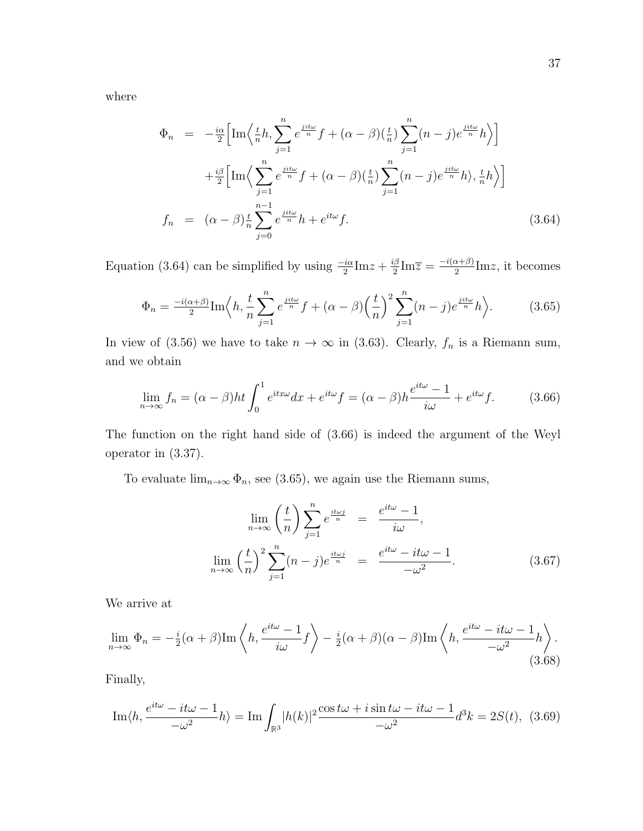where

$$
\Phi_n = -\frac{i\alpha}{2} \Big[ \text{Im} \Big\langle \frac{t}{n} h, \sum_{j=1}^n e^{\frac{jit\omega}{n}} f + (\alpha - \beta) \Big(\frac{t}{n}\Big) \sum_{j=1}^n (n - j) e^{\frac{jit\omega}{n}} h \Big\rangle \Big] \n+ \frac{i\beta}{2} \Big[ \text{Im} \Big\langle \sum_{j=1}^n e^{\frac{jit\omega}{n}} f + (\alpha - \beta) \Big(\frac{t}{n}\Big) \sum_{j=1}^n (n - j) e^{\frac{jit\omega}{n}} h \Big\rangle, \frac{t}{n} h \Big\rangle \Big] \nf_n = (\alpha - \beta) \frac{t}{n} \sum_{j=0}^{n-1} e^{\frac{jit\omega}{n}} h + e^{it\omega} f.
$$
\n(3.64)

Equation (3.64) can be simplified by using  $\frac{-i\alpha}{2}$ Im $z + \frac{i\beta}{2}$  $\frac{2}{2}$ Im $\overline{z} = \frac{-i(\alpha+\beta)}{2}$  $\frac{\alpha+\beta}{2}$ Imz, it becomes

$$
\Phi_n = \frac{-i(\alpha+\beta)}{2} \operatorname{Im} \left\langle h, \frac{t}{n} \sum_{j=1}^n e^{\frac{jit\omega}{n}} f + (\alpha - \beta) \left(\frac{t}{n}\right)^2 \sum_{j=1}^n (n-j) e^{\frac{jit\omega}{n}} h \right\rangle. \tag{3.65}
$$

In view of (3.56) we have to take  $n \to \infty$  in (3.63). Clearly,  $f_n$  is a Riemann sum, and we obtain

$$
\lim_{n \to \infty} f_n = (\alpha - \beta)ht \int_0^1 e^{itx\omega} dx + e^{it\omega} f = (\alpha - \beta)h \frac{e^{it\omega} - 1}{i\omega} + e^{it\omega} f. \tag{3.66}
$$

The function on the right hand side of (3.66) is indeed the argument of the Weyl operator in (3.37).

To evaluate  $\lim_{n\to\infty} \Phi_n$ , see (3.65), we again use the Riemann sums,

$$
\lim_{n \to \infty} \left(\frac{t}{n}\right) \sum_{j=1}^{n} e^{\frac{it\omega j}{n}} = \frac{e^{it\omega} - 1}{i\omega},
$$

$$
\lim_{n \to \infty} \left(\frac{t}{n}\right)^2 \sum_{j=1}^{n} (n-j)e^{\frac{it\omega j}{n}} = \frac{e^{it\omega} - it\omega - 1}{-\omega^2}.
$$
(3.67)

We arrive at

$$
\lim_{n \to \infty} \Phi_n = -\frac{i}{2} (\alpha + \beta) \operatorname{Im} \left\langle h, \frac{e^{it\omega} - 1}{i\omega} f \right\rangle - \frac{i}{2} (\alpha + \beta) (\alpha - \beta) \operatorname{Im} \left\langle h, \frac{e^{it\omega} - it\omega - 1}{-\omega^2} h \right\rangle.
$$
\n(3.68)

Finally,

$$
\operatorname{Im}\langle h, \frac{e^{it\omega} - it\omega - 1}{-\omega^2} h \rangle = \operatorname{Im} \int_{\mathbb{R}^3} |h(k)|^2 \frac{\cos t\omega + i\sin t\omega - it\omega - 1}{-\omega^2} d^3k = 2S(t), \tag{3.69}
$$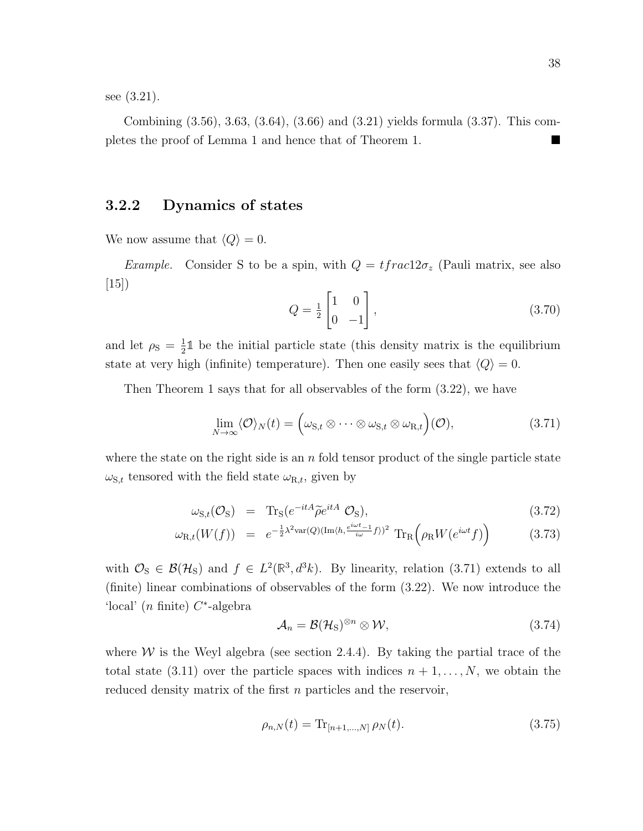see (3.21).

Combining (3.56), 3.63, (3.64), (3.66) and (3.21) yields formula (3.37). This completes the proof of Lemma 1 and hence that of Theorem 1.

#### 3.2.2 Dynamics of states

We now assume that  $\langle Q \rangle = 0$ .

*Example.* Consider S to be a spin, with  $Q = tfrac{2\sigma_z}{\text{Pauli} \text{ matrix}}$ , see also [15])

$$
Q = \frac{1}{2} \begin{bmatrix} 1 & 0 \\ 0 & -1 \end{bmatrix},\tag{3.70}
$$

and let  $\rho_{\rm S} = \frac{1}{2}$  $\frac{1}{2}$ <sup>1</sup> be the initial particle state (this density matrix is the equilibrium state at very high (infinite) temperature). Then one easily sees that  $\langle Q \rangle = 0$ .

Then Theorem 1 says that for all observables of the form (3.22), we have

$$
\lim_{N \to \infty} \langle \mathcal{O} \rangle_N(t) = \Big( \omega_{\mathbf{S},t} \otimes \cdots \otimes \omega_{\mathbf{S},t} \otimes \omega_{\mathbf{R},t} \Big) (\mathcal{O}), \tag{3.71}
$$

where the state on the right side is an  $n$  fold tensor product of the single particle state  $\omega_{\text{S},t}$  tensored with the field state  $\omega_{\text{R},t}$ , given by

$$
\omega_{\mathbf{S},t}(\mathcal{O}_{\mathbf{S}}) = \mathbf{T}_{\mathbf{S}}(e^{-itA}\widetilde{\rho}e^{itA}\mathcal{O}_{\mathbf{S}}), \tag{3.72}
$$

$$
\omega_{\mathcal{R},t}(W(f)) = e^{-\frac{1}{2}\lambda^2 \text{var}(Q)(\text{Im}\langle h, \frac{e^{i\omega t} - 1}{i\omega}f \rangle)^2} \text{Tr}_{\mathcal{R}}\left(\rho_{\mathcal{R}}W(e^{i\omega t}f)\right) \tag{3.73}
$$

with  $\mathcal{O}_S \in \mathcal{B}(\mathcal{H}_S)$  and  $f \in L^2(\mathbb{R}^3, d^3k)$ . By linearity, relation (3.71) extends to all (finite) linear combinations of observables of the form (3.22). We now introduce the 'local' (n finite)  $C^*$ -algebra

$$
\mathcal{A}_n = \mathcal{B}(\mathcal{H}_S)^{\otimes n} \otimes \mathcal{W},\tag{3.74}
$$

where  $W$  is the Weyl algebra (see section 2.4.4). By taking the partial trace of the total state (3.11) over the particle spaces with indices  $n+1,\ldots,N$ , we obtain the reduced density matrix of the first  $n$  particles and the reservoir,

$$
\rho_{n,N}(t) = \text{Tr}_{[n+1,\dots,N]} \,\rho_N(t). \tag{3.75}
$$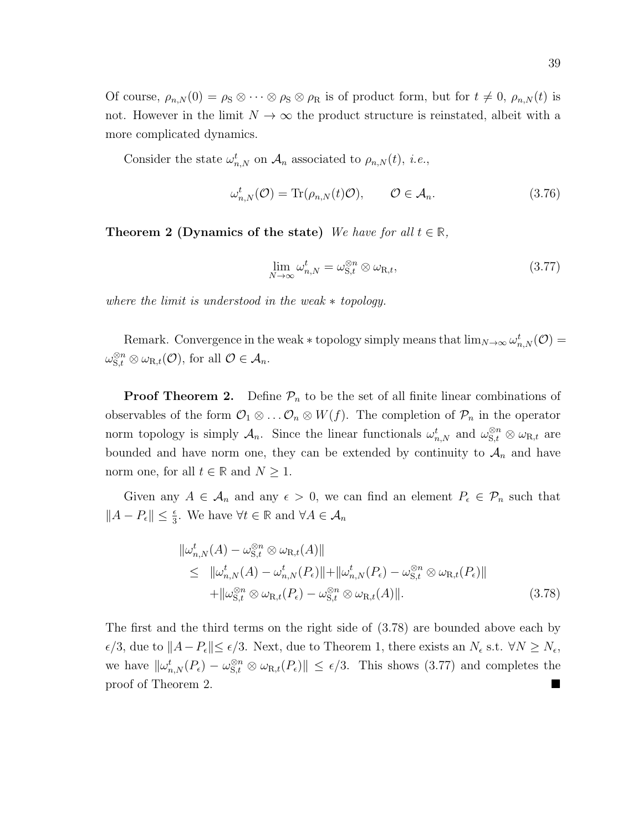Of course,  $\rho_{n,N}(0) = \rho_S \otimes \cdots \otimes \rho_S \otimes \rho_R$  is of product form, but for  $t \neq 0$ ,  $\rho_{n,N}(t)$  is not. However in the limit  $N \to \infty$  the product structure is reinstated, albeit with a more complicated dynamics.

Consider the state  $\omega_{n,N}^t$  on  $\mathcal{A}_n$  associated to  $\rho_{n,N}(t)$ , *i.e.*,

$$
\omega_{n,N}^t(\mathcal{O}) = \text{Tr}(\rho_{n,N}(t)\mathcal{O}), \qquad \mathcal{O} \in \mathcal{A}_n. \tag{3.76}
$$

**Theorem 2 (Dynamics of the state)** We have for all  $t \in \mathbb{R}$ ,

$$
\lim_{N \to \infty} \omega_{n,N}^t = \omega_{\mathcal{S},t}^{\otimes n} \otimes \omega_{\mathcal{R},t},\tag{3.77}
$$

where the limit is understood in the weak  $*$  topology.

Remark. Convergence in the weak  $*$  topology simply means that  $\lim_{N\to\infty} \omega_{n,N}^t(\mathcal{O}) =$  $\omega_{\mathbf{S},t}^{\otimes n} \otimes \omega_{\mathbf{R},t}(\mathcal{O}), \text{ for all } \mathcal{O} \in \mathcal{A}_n.$ 

**Proof Theorem 2.** Define  $\mathcal{P}_n$  to be the set of all finite linear combinations of observables of the form  $\mathcal{O}_1 \otimes \ldots \mathcal{O}_n \otimes W(f)$ . The completion of  $\mathcal{P}_n$  in the operator norm topology is simply  $\mathcal{A}_n$ . Since the linear functionals  $\omega_{n,N}^t$  and  $\omega_{S,t}^{\otimes n} \otimes \omega_{R,t}$  are bounded and have norm one, they can be extended by continuity to  $A_n$  and have norm one, for all  $t \in \mathbb{R}$  and  $N \geq 1$ .

Given any  $A \in \mathcal{A}_n$  and any  $\epsilon > 0$ , we can find an element  $P_{\epsilon} \in \mathcal{P}_n$  such that  $||A - P_{\epsilon}|| \leq \frac{\epsilon}{3}$ . We have  $\forall t \in \mathbb{R}$  and  $\forall A \in \mathcal{A}_n$ 

$$
\|\omega_{n,N}^{t}(A) - \omega_{\mathbf{S},t}^{\otimes n} \otimes \omega_{\mathbf{R},t}(A)\|
$$
  
\n
$$
\leq \|\omega_{n,N}^{t}(A) - \omega_{n,N}^{t}(P_{\epsilon})\| + \|\omega_{n,N}^{t}(P_{\epsilon}) - \omega_{\mathbf{S},t}^{\otimes n} \otimes \omega_{\mathbf{R},t}(P_{\epsilon})\|
$$
  
\n
$$
+ \|\omega_{\mathbf{S},t}^{\otimes n} \otimes \omega_{\mathbf{R},t}(P_{\epsilon}) - \omega_{\mathbf{S},t}^{\otimes n} \otimes \omega_{\mathbf{R},t}(A)\|.
$$
 (3.78)

The first and the third terms on the right side of (3.78) are bounded above each by  $\epsilon/3$ , due to  $||A-P_{\epsilon}|| \leq \epsilon/3$ . Next, due to Theorem 1, there exists an  $N_{\epsilon}$  s.t. ∀N ≥  $N_{\epsilon}$ , we have  $\|\omega_{n,N}^t(P_\epsilon)-\omega_{\mathbf{S},t}^{\otimes n}\otimes \omega_{\mathbf{R},t}(P_\epsilon)\|\leq \epsilon/3$ . This shows (3.77) and completes the proof of Theorem 2.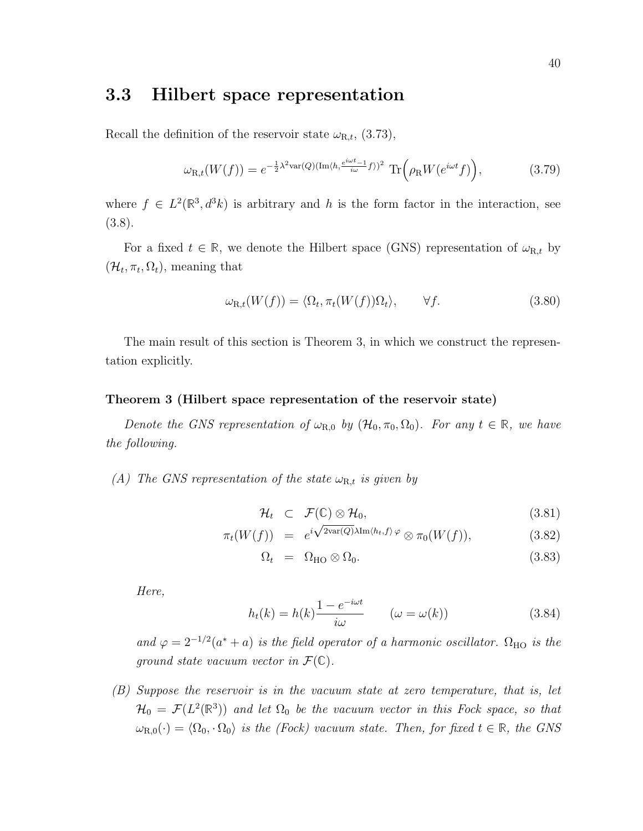### 3.3 Hilbert space representation

Recall the definition of the reservoir state  $\omega_{\text{R},t}$ , (3.73),

$$
\omega_{\mathcal{R},t}(W(f)) = e^{-\frac{1}{2}\lambda^2 \text{var}(Q)(\text{Im}\langle h, \frac{e^{i\omega t} - 1}{i\omega}f \rangle)^2} \text{Tr}\Big(\rho_{\mathcal{R}}W(e^{i\omega t}f)\Big),\tag{3.79}
$$

where  $f \in L^2(\mathbb{R}^3, d^3k)$  is arbitrary and h is the form factor in the interaction, see (3.8).

For a fixed  $t \in \mathbb{R}$ , we denote the Hilbert space (GNS) representation of  $\omega_{R,t}$  by  $(\mathcal{H}_t, \pi_t, \Omega_t)$ , meaning that

$$
\omega_{\mathcal{R},t}(W(f)) = \langle \Omega_t, \pi_t(W(f))\Omega_t \rangle, \qquad \forall f. \tag{3.80}
$$

The main result of this section is Theorem 3, in which we construct the representation explicitly.

#### Theorem 3 (Hilbert space representation of the reservoir state)

Denote the GNS representation of  $\omega_{R,0}$  by  $(\mathcal{H}_0, \pi_0, \Omega_0)$ . For any  $t \in \mathbb{R}$ , we have the following.

(A) The GNS representation of the state  $\omega_{R,t}$  is given by

$$
\mathcal{H}_t \quad \subset \quad \mathcal{F}(\mathbb{C}) \otimes \mathcal{H}_0,\tag{3.81}
$$

$$
\pi_t(W(f)) = e^{i\sqrt{2}\text{var}(Q)\lambda \text{Im}\langle h_t, f \rangle \varphi} \otimes \pi_0(W(f)), \tag{3.82}
$$

$$
\Omega_t = \Omega_{\text{HO}} \otimes \Omega_0. \tag{3.83}
$$

Here,

$$
h_t(k) = h(k)\frac{1 - e^{-i\omega t}}{i\omega} \qquad (\omega = \omega(k))
$$
\n(3.84)

and  $\varphi = 2^{-1/2}(a^* + a)$  is the field operator of a harmonic oscillator.  $\Omega_{\text{HO}}$  is the ground state vacuum vector in  $\mathcal{F}(\mathbb{C})$ .

(B) Suppose the reservoir is in the vacuum state at zero temperature, that is, let  $\mathcal{H}_0 = \mathcal{F}(L^2(\mathbb{R}^3))$  and let  $\Omega_0$  be the vacuum vector in this Fock space, so that  $\omega_{R,0}(\cdot) = \langle \Omega_0, \cdot \Omega_0 \rangle$  is the (Fock) vacuum state. Then, for fixed  $t \in \mathbb{R}$ , the GNS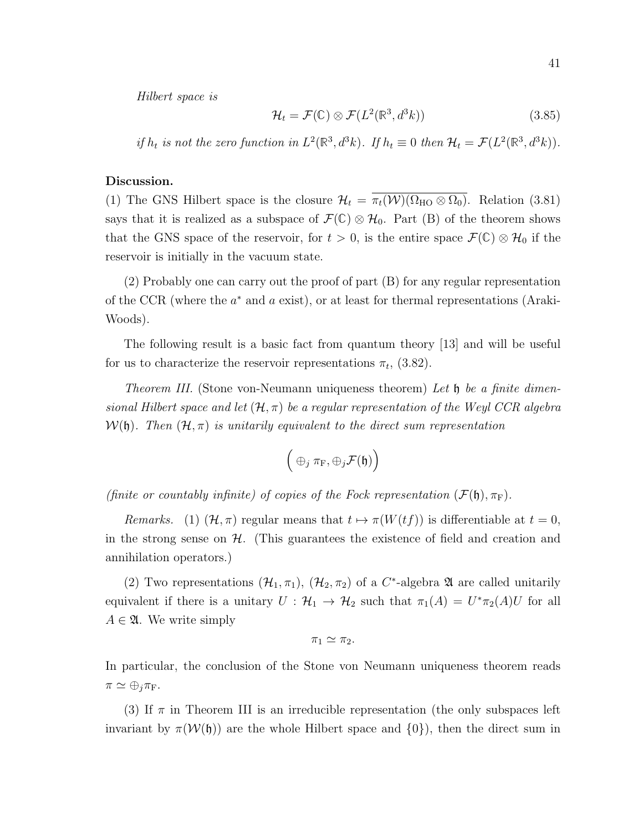$$
\mathcal{H}_t = \mathcal{F}(\mathbb{C}) \otimes \mathcal{F}(L^2(\mathbb{R}^3, d^3k)) \tag{3.85}
$$

if  $h_t$  is not the zero function in  $L^2(\mathbb{R}^3, d^3k)$ . If  $h_t \equiv 0$  then  $\mathcal{H}_t = \mathcal{F}(L^2(\mathbb{R}^3, d^3k))$ .

#### Discussion.

(1) The GNS Hilbert space is the closure  $\mathcal{H}_t = \overline{\pi_t(\mathcal{W})(\Omega_{\text{HO}} \otimes \Omega_0)}$ . Relation (3.81) says that it is realized as a subspace of  $\mathcal{F}(\mathbb{C}) \otimes \mathcal{H}_0$ . Part (B) of the theorem shows that the GNS space of the reservoir, for  $t > 0$ , is the entire space  $\mathcal{F}(\mathbb{C}) \otimes \mathcal{H}_0$  if the reservoir is initially in the vacuum state.

(2) Probably one can carry out the proof of part (B) for any regular representation of the CCR (where the  $a^*$  and  $a$  exist), or at least for thermal representations (Araki-Woods).

The following result is a basic fact from quantum theory [13] and will be useful for us to characterize the reservoir representations  $\pi_t$ , (3.82).

Theorem III. (Stone von-Neumann uniqueness theorem) Let  $\mathfrak h$  be a finite dimensional Hilbert space and let  $(\mathcal{H}, \pi)$  be a regular representation of the Weyl CCR algebra  $\mathcal{W}(\mathfrak{h})$ . Then  $(\mathcal{H}, \pi)$  is unitarily equivalent to the direct sum representation

$$
\Big( \oplus_j \pi_{\rm F} , \oplus_j {\cal F}({\frak h}) \Big)
$$

(finite or countably infinite) of copies of the Fock representation  $(\mathcal{F}(\mathfrak{h}), \pi_F)$ .

Remarks. (1)  $(\mathcal{H}, \pi)$  regular means that  $t \mapsto \pi(W(tf))$  is differentiable at  $t = 0$ , in the strong sense on  $H$ . (This guarantees the existence of field and creation and annihilation operators.)

(2) Two representations  $(\mathcal{H}_1, \pi_1)$ ,  $(\mathcal{H}_2, \pi_2)$  of a  $C^*$ -algebra  $\mathfrak A$  are called unitarily equivalent if there is a unitary  $U : \mathcal{H}_1 \to \mathcal{H}_2$  such that  $\pi_1(A) = U^* \pi_2(A) U$  for all  $A \in \mathfrak{A}$ . We write simply

$$
\pi_1 \simeq \pi_2.
$$

In particular, the conclusion of the Stone von Neumann uniqueness theorem reads  $\pi \simeq \bigoplus_i \pi_{\mathrm{F}}$ .

(3) If  $\pi$  in Theorem III is an irreducible representation (the only subspaces left invariant by  $\pi(\mathcal{W}(\mathfrak{h}))$  are the whole Hilbert space and  $\{0\}$ , then the direct sum in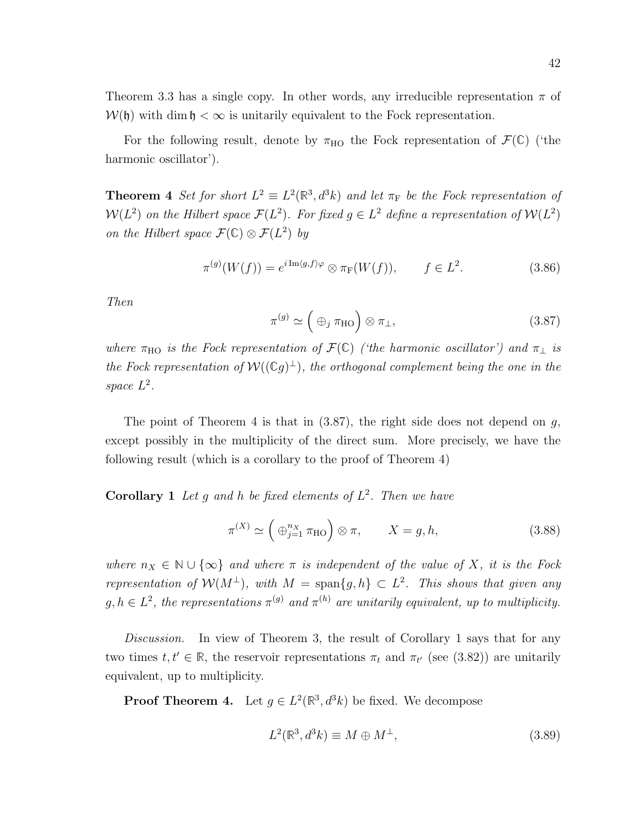Theorem 3.3 has a single copy. In other words, any irreducible representation  $\pi$  of  $W(\mathfrak{h})$  with dim  $\mathfrak{h} < \infty$  is unitarily equivalent to the Fock representation.

For the following result, denote by  $\pi_{\text{HO}}$  the Fock representation of  $\mathcal{F}(\mathbb{C})$  ('the harmonic oscillator').

**Theorem 4** Set for short  $L^2 \equiv L^2(\mathbb{R}^3, d^3k)$  and let  $\pi_F$  be the Fock representation of  $\mathcal{W}(L^2)$  on the Hilbert space  $\mathcal{F}(L^2)$ . For fixed  $g \in L^2$  define a representation of  $\mathcal{W}(L^2)$ on the Hilbert space  $\mathcal{F}(\mathbb{C}) \otimes \mathcal{F}(L^2)$  by

$$
\pi^{(g)}(W(f)) = e^{i \operatorname{Im} \langle g, f \rangle \varphi} \otimes \pi_{\mathcal{F}}(W(f)), \qquad f \in L^2. \tag{3.86}
$$

Then

$$
\pi^{(g)} \simeq \left(\bigoplus_{j} \pi_{\text{HO}}\right) \otimes \pi_{\perp},\tag{3.87}
$$

where  $\pi_{\text{HO}}$  is the Fock representation of  $\mathcal{F}(\mathbb{C})$  ('the harmonic oscillator') and  $\pi_{\perp}$  is the Fock representation of  $W((\mathbb{C} g)^{\perp})$ , the orthogonal complement being the one in the space  $L^2$ .

The point of Theorem 4 is that in  $(3.87)$ , the right side does not depend on g, except possibly in the multiplicity of the direct sum. More precisely, we have the following result (which is a corollary to the proof of Theorem 4)

**Corollary 1** Let g and h be fixed elements of  $L^2$ . Then we have

$$
\pi^{(X)} \simeq \left(\bigoplus_{j=1}^{n_X} \pi_{\text{HO}}\right) \otimes \pi, \qquad X = g, h,\tag{3.88}
$$

where  $n_X \in \mathbb{N} \cup \{\infty\}$  and where  $\pi$  is independent of the value of X, it is the Fock representation of  $\mathcal{W}(M^{\perp})$ , with  $M = \text{span}\{g,h\} \subset L^2$ . This shows that given any  $g, h \in L^2$ , the representations  $\pi^{(g)}$  and  $\pi^{(h)}$  are unitarily equivalent, up to multiplicity.

Discussion. In view of Theorem 3, the result of Corollary 1 says that for any two times  $t, t' \in \mathbb{R}$ , the reservoir representations  $\pi_t$  and  $\pi_{t'}$  (see (3.82)) are unitarily equivalent, up to multiplicity.

**Proof Theorem 4.** Let  $g \in L^2(\mathbb{R}^3, d^3k)$  be fixed. We decompose

$$
L^{2}(\mathbb{R}^{3}, d^{3}k) \equiv M \oplus M^{\perp}, \qquad (3.89)
$$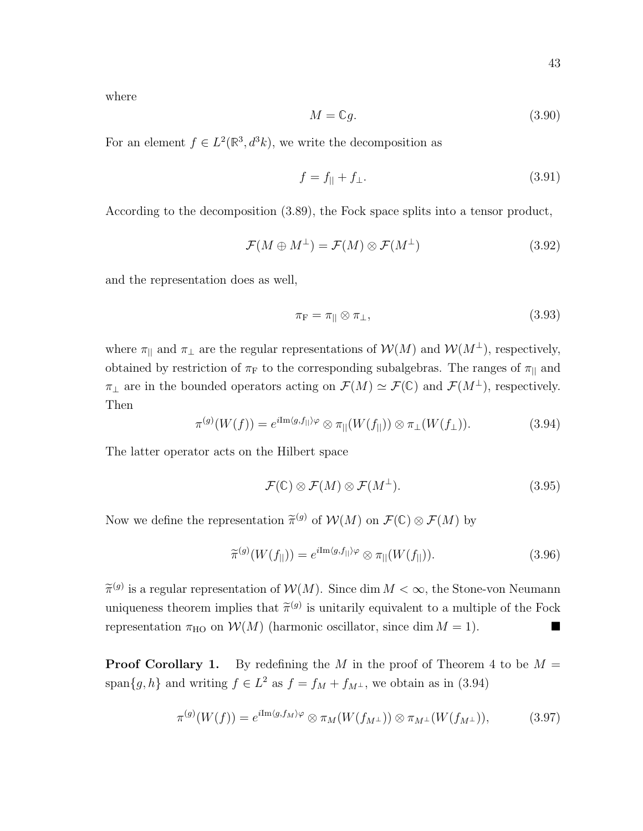where

$$
M = \mathbb{C}g. \tag{3.90}
$$

For an element  $f \in L^2(\mathbb{R}^3, d^3k)$ , we write the decomposition as

$$
f = f_{\parallel} + f_{\perp}.\tag{3.91}
$$

According to the decomposition (3.89), the Fock space splits into a tensor product,

$$
\mathcal{F}(M \oplus M^{\perp}) = \mathcal{F}(M) \otimes \mathcal{F}(M^{\perp}) \tag{3.92}
$$

and the representation does as well,

$$
\pi_{\mathcal{F}} = \pi_{\parallel} \otimes \pi_{\perp},\tag{3.93}
$$

where  $\pi_{\parallel}$  and  $\pi_{\perp}$  are the regular representations of  $\mathcal{W}(M)$  and  $\mathcal{W}(M^{\perp})$ , respectively, obtained by restriction of  $\pi_F$  to the corresponding subalgebras. The ranges of  $\pi_{\parallel}$  and  $\pi_{\perp}$  are in the bounded operators acting on  $\mathcal{F}(M) \simeq \mathcal{F}(\mathbb{C})$  and  $\mathcal{F}(M^{\perp})$ , respectively. Then

$$
\pi^{(g)}(W(f)) = e^{i \text{Im}\langle g, f_{||}\rangle \varphi} \otimes \pi_{||}(W(f_{||})) \otimes \pi_{\perp}(W(f_{\perp})). \tag{3.94}
$$

The latter operator acts on the Hilbert space

$$
\mathcal{F}(\mathbb{C}) \otimes \mathcal{F}(M) \otimes \mathcal{F}(M^{\perp}). \tag{3.95}
$$

Now we define the representation  $\widetilde{\pi}^{(g)}$  of  $\mathcal{W}(M)$  on  $\mathcal{F}(\mathbb{C}) \otimes \mathcal{F}(M)$  by

$$
\widetilde{\pi}^{(g)}(W(f_{\parallel})) = e^{i \text{Im}\langle g, f_{\parallel} \rangle \varphi} \otimes \pi_{\parallel}(W(f_{\parallel})). \tag{3.96}
$$

 $\widetilde{\pi}^{(g)}$  is a regular representation of  $\mathcal{W}(M)$ . Since dim  $M < \infty$ , the Stone-von Neumann uniqueness theorem implies that  $\tilde{\pi}^{(g)}$  is unitarily equivalent to a multiple of the Fock representation  $\pi_{\text{HO}}$  on  $\mathcal{W}(M)$  (harmonic oscillator, since dim  $M = 1$ ).

**Proof Corollary 1.** By redefining the M in the proof of Theorem 4 to be  $M =$ span ${g, h}$  and writing  $f \in L^2$  as  $f = f_M + f_{M^{\perp}}$ , we obtain as in (3.94)

$$
\pi^{(g)}(W(f)) = e^{i \text{Im}\langle g, f_M \rangle \varphi} \otimes \pi_M(W(f_{M^\perp})) \otimes \pi_{M^\perp}(W(f_{M^\perp})), \tag{3.97}
$$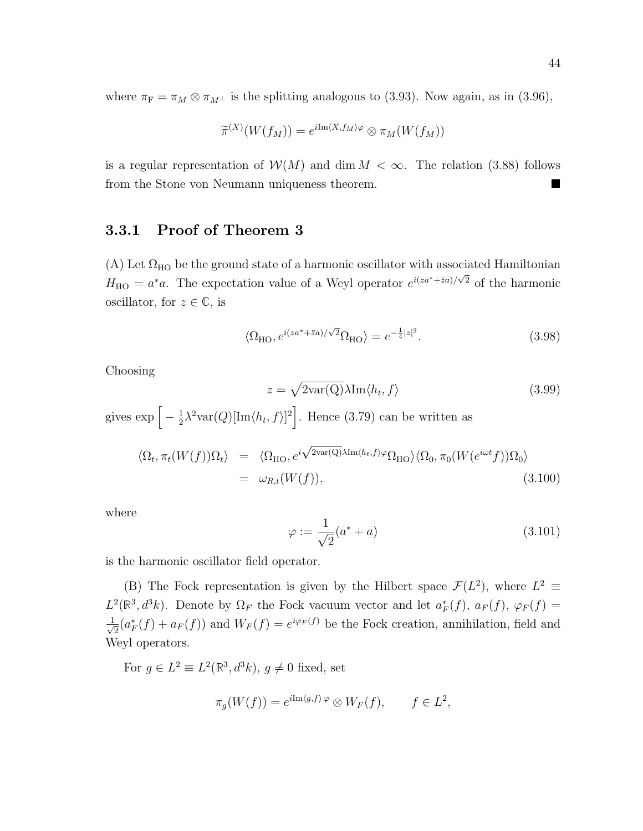where  $\pi_F = \pi_M \otimes \pi_{M^{\perp}}$  is the splitting analogous to (3.93). Now again, as in (3.96),

$$
\widetilde{\pi}^{(X)}(W(f_M)) = e^{i \text{Im}\langle X, f_M \rangle \varphi} \otimes \pi_M(W(f_M))
$$

is a regular representation of  $W(M)$  and dim  $M < \infty$ . The relation (3.88) follows from the Stone von Neumann uniqueness theorem.

#### 3.3.1 Proof of Theorem 3

(A) Let  $\Omega_{HO}$  be the ground state of a harmonic oscillator with associated Hamiltonian  $H_{\text{HO}} = a^* a$ . The expectation value of a Weyl operator  $e^{i(za^* + \bar{z}a)/\sqrt{2}}$  of the harmonic oscillator, for  $z \in \mathbb{C}$ , is

$$
\langle \Omega_{\rm HO}, e^{i(za^* + \bar{z}a)/\sqrt{2}} \Omega_{\rm HO} \rangle = e^{-\frac{1}{4}|z|^2}.
$$
 (3.98)

Choosing

$$
= \sqrt{2var(Q)}\lambda \text{Im}\langle h_t, f \rangle \tag{3.99}
$$

gives  $\exp\left[-\frac{1}{2}\right]$  $\frac{1}{2}\lambda^2 \text{var}(Q)[\text{Im}\langle h_t, f \rangle]^2$ . Hence (3.79) can be written as

 $\overline{z}$ 

$$
\langle \Omega_t, \pi_t(W(f))\Omega_t \rangle = \langle \Omega_{\text{HO}}, e^{i\sqrt{2\text{var}(Q)}\lambda \text{Im}\langle h_t, f \rangle \varphi} \Omega_{\text{HO}} \rangle \langle \Omega_0, \pi_0(W(e^{i\omega t}f))\Omega_0 \rangle
$$
  
=  $\omega_{R,t}(W(f)),$  (3.100)

where

$$
\varphi := \frac{1}{\sqrt{2}}(a^* + a) \tag{3.101}
$$

is the harmonic oscillator field operator.

(B) The Fock representation is given by the Hilbert space  $\mathcal{F}(L^2)$ , where  $L^2 \equiv$  $L^2(\mathbb{R}^3, d^3k)$ . Denote by  $\Omega_F$  the Fock vacuum vector and let  $a_F^*(f)$ ,  $a_F(f)$ ,  $\varphi_F(f)$  =  $\frac{1}{\sqrt{2}}$  $\overline{E}_{\overline{2}}(a_F^*(f) + a_F(f))$  and  $W_F(f) = e^{i\varphi_F(f)}$  be the Fock creation, annihilation, field and Weyl operators.

For  $g \in L^2 \equiv L^2(\mathbb{R}^3, d^3k)$ ,  $g \neq 0$  fixed, set

$$
\pi_g(W(f)) = e^{i \text{Im}\langle g, f \rangle \varphi} \otimes W_F(f), \qquad f \in L^2,
$$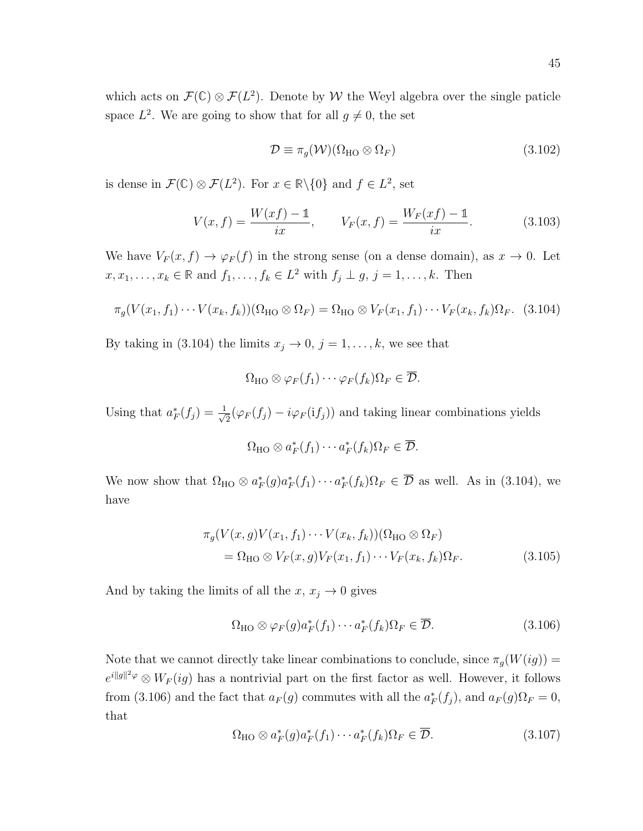which acts on  $\mathcal{F}(\mathbb{C}) \otimes \mathcal{F}(L^2)$ . Denote by W the Weyl algebra over the single paticle space  $L^2$ . We are going to show that for all  $g \neq 0$ , the set

$$
\mathcal{D} \equiv \pi_g(\mathcal{W})(\Omega_{\text{HO}} \otimes \Omega_F) \tag{3.102}
$$

is dense in  $\mathcal{F}(\mathbb{C}) \otimes \mathcal{F}(L^2)$ . For  $x \in \mathbb{R} \setminus \{0\}$  and  $f \in L^2$ , set

$$
V(x,f) = \frac{W(xf) - 1}{ix}, \qquad V_F(x,f) = \frac{W_F(xf) - 1}{ix}.
$$
 (3.103)

We have  $V_F(x, f) \to \varphi_F(f)$  in the strong sense (on a dense domain), as  $x \to 0$ . Let  $x, x_1, \ldots, x_k \in \mathbb{R}$  and  $f_1, \ldots, f_k \in L^2$  with  $f_j \perp g, j = 1, \ldots, k$ . Then

$$
\pi_g(V(x_1, f_1)\cdots V(x_k, f_k))(\Omega_{\text{HO}}\otimes \Omega_F) = \Omega_{\text{HO}}\otimes V_F(x_1, f_1)\cdots V_F(x_k, f_k)\Omega_F. \tag{3.104}
$$

By taking in (3.104) the limits  $x_j \to 0$ ,  $j = 1, ..., k$ , we see that

$$
\Omega_{\mathrm{HO}} \otimes \varphi_F(f_1) \cdots \varphi_F(f_k) \Omega_F \in \overline{\mathcal{D}}.
$$

Using that  $a_F^*(f_j) = \frac{1}{\sqrt{j}}$  $\frac{1}{2}(\varphi_F(f_j) - i\varphi_F(i f_j))$  and taking linear combinations yields

$$
\Omega_{\mathrm{HO}} \otimes a_F^*(f_1) \cdots a_F^*(f_k) \Omega_F \in \overline{\mathcal{D}}.
$$

We now show that  $\Omega_{HO} \otimes a_F^*(g)a_F^*(f_1)\cdots a_F^*(f_k)\Omega_F \in \overline{\mathcal{D}}$  as well. As in (3.104), we have

$$
\pi_g(V(x,g)V(x_1,f_1)\cdots V(x_k,f_k))(\Omega_{\text{HO}}\otimes\Omega_F)
$$
  
=  $\Omega_{\text{HO}}\otimes V_F(x,g)V_F(x_1,f_1)\cdots V_F(x_k,f_k)\Omega_F.$  (3.105)

And by taking the limits of all the  $x, x_j \to 0$  gives

$$
\Omega_{\text{HO}} \otimes \varphi_F(g) a_F^*(f_1) \cdots a_F^*(f_k) \Omega_F \in \overline{\mathcal{D}}.
$$
\n(3.106)

Note that we cannot directly take linear combinations to conclude, since  $\pi_g(W(ig)) =$  $e^{i||g||^2\varphi} \otimes W_F(ig)$  has a nontrivial part on the first factor as well. However, it follows from (3.106) and the fact that  $a_F(g)$  commutes with all the  $a_F^*(f_j)$ , and  $a_F(g)\Omega_F=0$ , that

$$
\Omega_{\text{HO}} \otimes a_F^*(g) a_F^*(f_1) \cdots a_F^*(f_k) \Omega_F \in \overline{\mathcal{D}}.
$$
\n(3.107)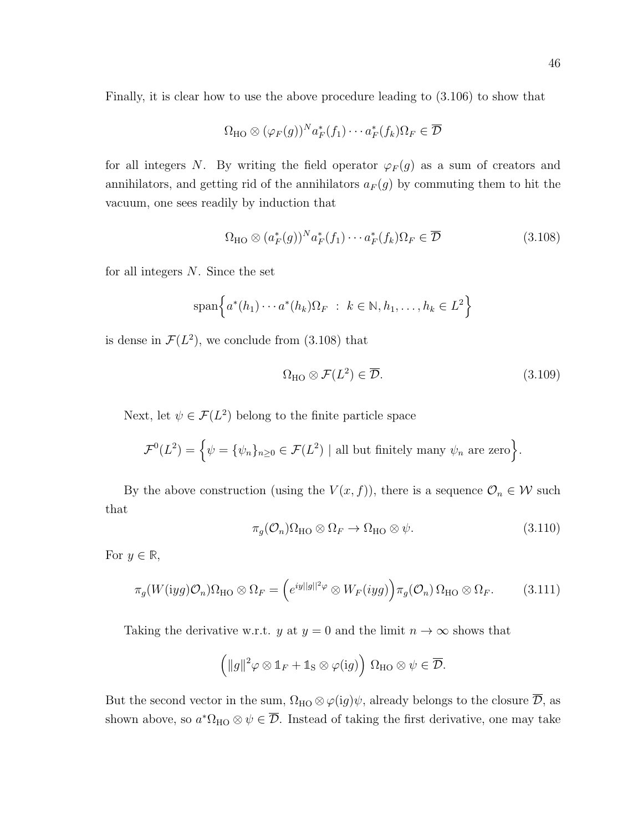Finally, it is clear how to use the above procedure leading to (3.106) to show that

$$
\Omega_{\mathrm{HO}} \otimes (\varphi_F(g))^N a_F^*(f_1) \cdots a_F^*(f_k) \Omega_F \in \overline{\mathcal{D}}
$$

for all integers N. By writing the field operator  $\varphi_F(g)$  as a sum of creators and annihilators, and getting rid of the annihilators  $a_F(g)$  by commuting them to hit the vacuum, one sees readily by induction that

$$
\Omega_{\text{HO}} \otimes (a_F^*(g))^N a_F^*(f_1) \cdots a_F^*(f_k) \Omega_F \in \overline{\mathcal{D}} \tag{3.108}
$$

for all integers  $N$ . Since the set

$$
\operatorname{span}\left\{a^*(h_1)\cdots a^*(h_k)\Omega_F \ : \ k \in \mathbb{N}, h_1, \ldots, h_k \in L^2\right\}
$$

is dense in  $\mathcal{F}(L^2)$ , we conclude from (3.108) that

$$
\Omega_{\rm HO} \otimes \mathcal{F}(L^2) \in \overline{\mathcal{D}}.\tag{3.109}
$$

Next, let  $\psi \in \mathcal{F}(L^2)$  belong to the finite particle space

$$
\mathcal{F}^0(L^2) = \left\{ \psi = \{ \psi_n \}_{n \ge 0} \in \mathcal{F}(L^2) \mid \text{all but finitely many } \psi_n \text{ are zero} \right\}.
$$

By the above construction (using the  $V(x, f)$ ), there is a sequence  $\mathcal{O}_n \in \mathcal{W}$  such that

$$
\pi_g(\mathcal{O}_n)\Omega_{\mathrm{HO}} \otimes \Omega_F \to \Omega_{\mathrm{HO}} \otimes \psi. \tag{3.110}
$$

For  $y \in \mathbb{R}$ ,

$$
\pi_g(W(iyg)\mathcal{O}_n)\Omega_{\mathrm{HO}}\otimes\Omega_F=\left(e^{iy||g||^2\varphi}\otimes W_F(iyg)\right)\pi_g(\mathcal{O}_n)\Omega_{\mathrm{HO}}\otimes\Omega_F.\tag{3.111}
$$

Taking the derivative w.r.t. y at  $y = 0$  and the limit  $n \to \infty$  shows that

$$
(\|g\|^2 \varphi \otimes \mathbb{1}_F + \mathbb{1}_S \otimes \varphi(\mathrm{i} g)) \Omega_{\mathrm{HO}} \otimes \psi \in \overline{\mathcal{D}}.
$$

But the second vector in the sum,  $\Omega_{HO} \otimes \varphi(ig)\psi$ , already belongs to the closure  $\overline{\mathcal{D}}$ , as shown above, so  $a^*\Omega_{HO} \otimes \psi \in \overline{\mathcal{D}}$ . Instead of taking the first derivative, one may take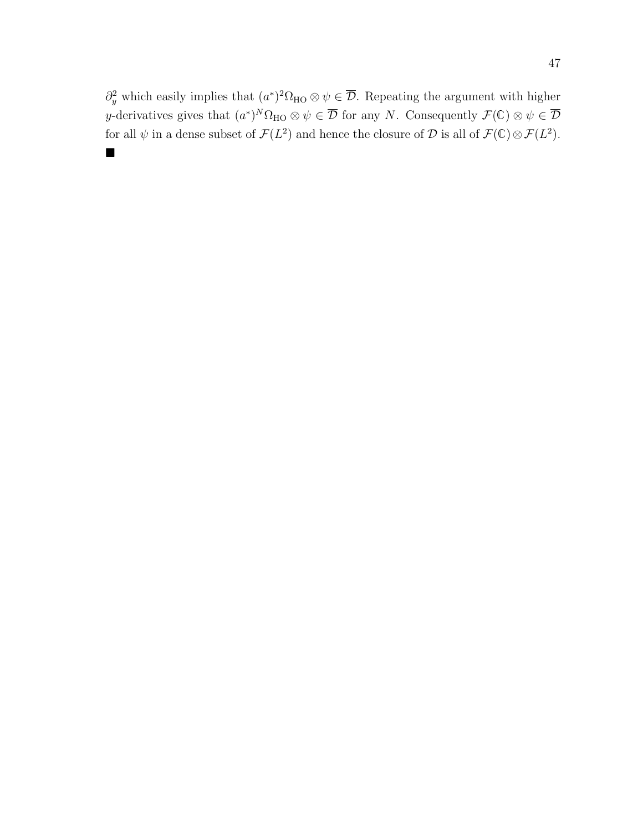$\partial_y^2$  which easily implies that  $(a^*)^2\Omega_{HO} \otimes \psi \in \overline{\mathcal{D}}$ . Repeating the argument with higher y-derivatives gives that  $(a^*)^N \Omega_{\text{HO}} \otimes \psi \in \overline{\mathcal{D}}$  for any N. Consequently  $\mathcal{F}(\mathbb{C}) \otimes \psi \in \overline{\mathcal{D}}$ for all  $\psi$  in a dense subset of  $\mathcal{F}(L^2)$  and hence the closure of  $\mathcal D$  is all of  $\mathcal{F}(\mathbb C)\otimes\mathcal{F}(L^2)$ .  $\blacksquare$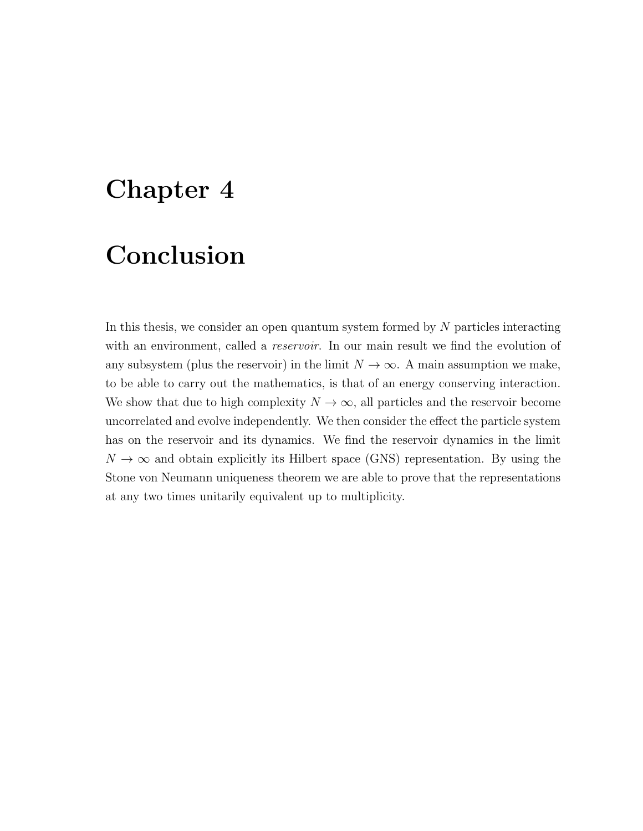## Chapter 4

## Conclusion

In this thesis, we consider an open quantum system formed by  $N$  particles interacting with an environment, called a *reservoir*. In our main result we find the evolution of any subsystem (plus the reservoir) in the limit  $N \to \infty$ . A main assumption we make, to be able to carry out the mathematics, is that of an energy conserving interaction. We show that due to high complexity  $N \to \infty$ , all particles and the reservoir become uncorrelated and evolve independently. We then consider the effect the particle system has on the reservoir and its dynamics. We find the reservoir dynamics in the limit  $N \to \infty$  and obtain explicitly its Hilbert space (GNS) representation. By using the Stone von Neumann uniqueness theorem we are able to prove that the representations at any two times unitarily equivalent up to multiplicity.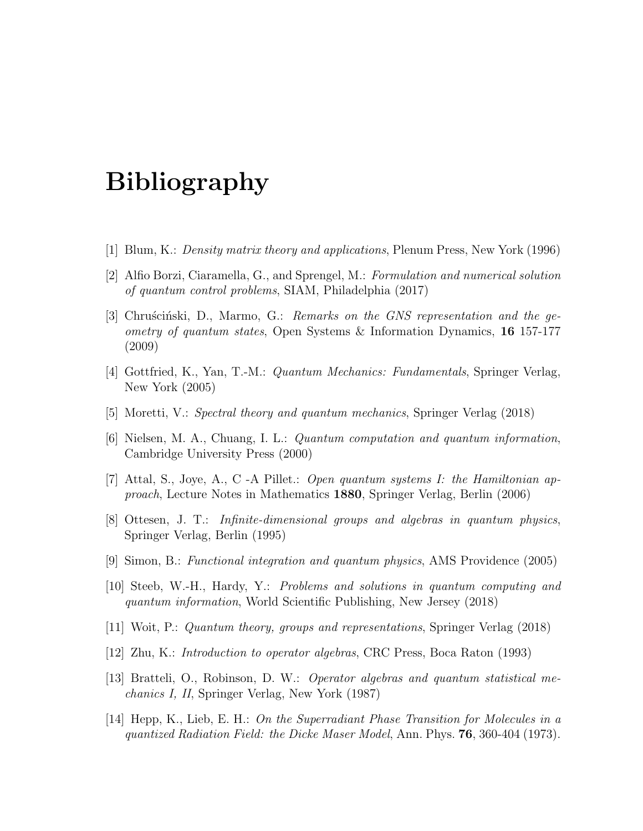## Bibliography

- [1] Blum, K.: Density matrix theory and applications, Plenum Press, New York (1996)
- [2] Alfio Borzi, Ciaramella, G., and Sprengel, M.: Formulation and numerical solution of quantum control problems, SIAM, Philadelphia (2017)
- [3] Chruscinski, D., Marmo, G.: Remarks on the GNS representation and the geometry of quantum states, Open Systems & Information Dynamics, 16 157-177 (2009)
- [4] Gottfried, K., Yan, T.-M.: Quantum Mechanics: Fundamentals, Springer Verlag, New York (2005)
- [5] Moretti, V.: Spectral theory and quantum mechanics, Springer Verlag (2018)
- [6] Nielsen, M. A., Chuang, I. L.: Quantum computation and quantum information, Cambridge University Press (2000)
- [7] Attal, S., Joye, A., C -A Pillet.: Open quantum systems I: the Hamiltonian approach, Lecture Notes in Mathematics 1880, Springer Verlag, Berlin (2006)
- [8] Ottesen, J. T.: Infinite-dimensional groups and algebras in quantum physics, Springer Verlag, Berlin (1995)
- [9] Simon, B.: Functional integration and quantum physics, AMS Providence (2005)
- [10] Steeb, W.-H., Hardy, Y.: Problems and solutions in quantum computing and quantum information, World Scientific Publishing, New Jersey (2018)
- [11] Woit, P.: Quantum theory, groups and representations, Springer Verlag (2018)
- [12] Zhu, K.: Introduction to operator algebras, CRC Press, Boca Raton (1993)
- [13] Bratteli, O., Robinson, D. W.: Operator algebras and quantum statistical mechanics I, II, Springer Verlag, New York (1987)
- [14] Hepp, K., Lieb, E. H.: On the Superradiant Phase Transition for Molecules in a quantized Radiation Field: the Dicke Maser Model, Ann. Phys. 76, 360-404 (1973).